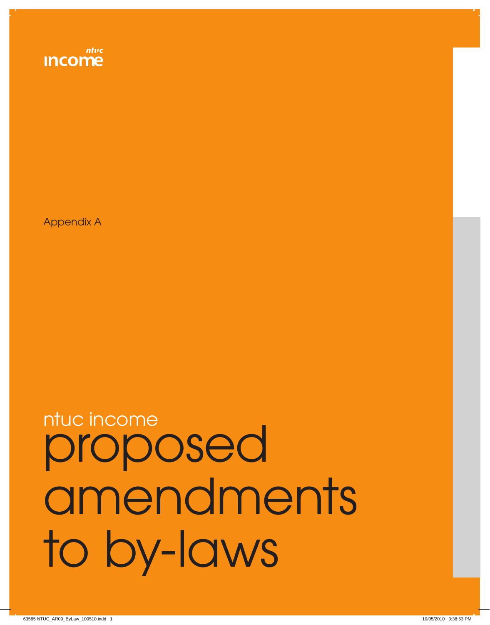# proposed amendments to by-laws ntuc income

Appendix A

ntuc

**Income**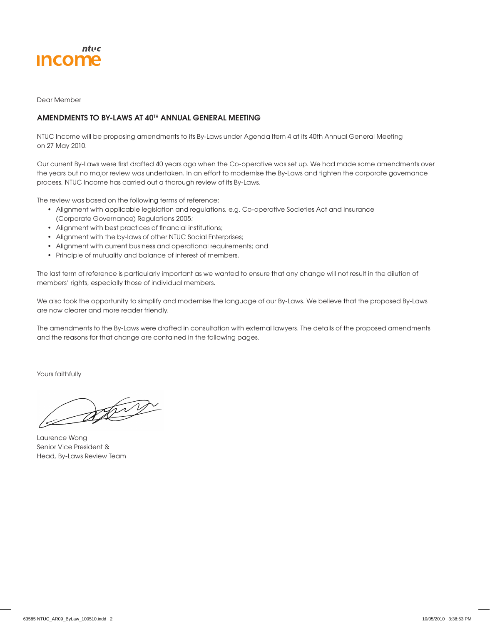

Dear Member

## **AMENDMENTS TO BY-LAWS AT 40TH ANNUAL GENERAL MEETING**

NTUC Income will be proposing amendments to its By-Laws under Agenda Item 4 at its 40th Annual General Meeting on 27 May 2010.

Our current By-Laws were first drafted 40 years ago when the Co-operative was set up. We had made some amendments over the years but no major review was undertaken. In an effort to modernise the By-Laws and tighten the corporate governance process, NTUC Income has carried out a thorough review of its By-Laws.

The review was based on the following terms of reference:

- Alignment with applicable legislation and regulations, e.g. Co-operative Societies Act and Insurance (Corporate Governance) Regulations 2005;
- Alignment with best practices of financial institutions;
- Alignment with the by-laws of other NTUC Social Enterprises;
- Alignment with current business and operational requirements; and
- Principle of mutuality and balance of interest of members.

The last term of reference is particularly important as we wanted to ensure that any change will not result in the dilution of members' rights, especially those of individual members.

We also took the opportunity to simplify and modernise the language of our By-Laws. We believe that the proposed By-Laws are now clearer and more reader friendly.

The amendments to the By-Laws were drafted in consultation with external lawyers. The details of the proposed amendments and the reasons for that change are contained in the following pages.

Yours faithfully

String

Laurence Wong Senior Vice President & Head, By-Laws Review Team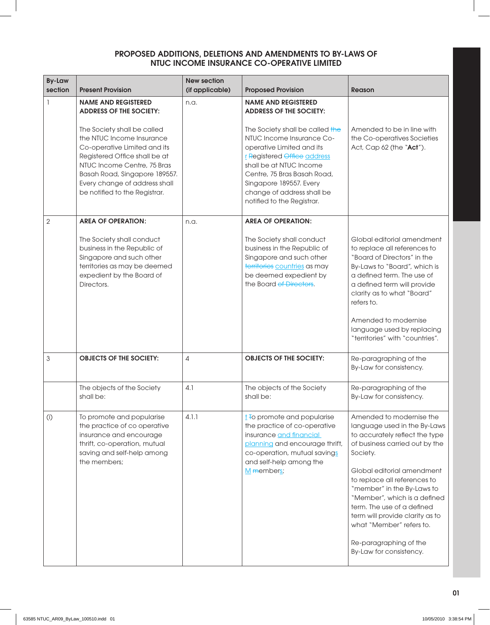| <b>By-Law</b>  |                                                                                                                                                                                                                                                             | <b>New section</b> |                                                                                                                                                                                                                                                                           |                                                                                                                                                                                                                                                                                                                                                                                                                        |
|----------------|-------------------------------------------------------------------------------------------------------------------------------------------------------------------------------------------------------------------------------------------------------------|--------------------|---------------------------------------------------------------------------------------------------------------------------------------------------------------------------------------------------------------------------------------------------------------------------|------------------------------------------------------------------------------------------------------------------------------------------------------------------------------------------------------------------------------------------------------------------------------------------------------------------------------------------------------------------------------------------------------------------------|
| section        | <b>Present Provision</b>                                                                                                                                                                                                                                    | (if applicable)    | <b>Proposed Provision</b>                                                                                                                                                                                                                                                 | <b>Reason</b>                                                                                                                                                                                                                                                                                                                                                                                                          |
| 1              | <b>NAME AND REGISTERED</b><br><b>ADDRESS OF THE SOCIETY:</b>                                                                                                                                                                                                | n.a.               | <b>NAME AND REGISTERED</b><br><b>ADDRESS OF THE SOCIETY:</b>                                                                                                                                                                                                              |                                                                                                                                                                                                                                                                                                                                                                                                                        |
|                | The Society shall be called<br>the NTUC Income Insurance<br>Co-operative Limited and its<br>Registered Office shall be at<br>NTUC Income Centre, 75 Bras<br>Basah Road, Singapore 189557.<br>Every change of address shall<br>be notified to the Registrar. |                    | The Society shall be called the<br>NTUC Income Insurance Co-<br>operative Limited and its<br>r Registered Office address<br>shall be at NTUC Income<br>Centre, 75 Bras Basah Road,<br>Singapore 189557. Every<br>change of address shall be<br>notified to the Registrar. | Amended to be in line with<br>the Co-operatives Societies<br>Act, Cap 62 (the "Act").                                                                                                                                                                                                                                                                                                                                  |
| $\overline{2}$ | <b>AREA OF OPERATION:</b>                                                                                                                                                                                                                                   | n.a.               | <b>AREA OF OPERATION:</b>                                                                                                                                                                                                                                                 |                                                                                                                                                                                                                                                                                                                                                                                                                        |
|                | The Society shall conduct<br>business in the Republic of<br>Singapore and such other<br>territories as may be deemed<br>expedient by the Board of<br>Directors.                                                                                             |                    | The Society shall conduct<br>business in the Republic of<br>Singapore and such other<br>territories countries as may<br>be deemed expedient by<br>the Board of Directors.                                                                                                 | Global editorial amendment<br>to replace all references to<br>"Board of Directors" in the<br>By-Laws to "Board", which is<br>a defined term. The use of<br>a defined term will provide<br>clarity as to what "Board"<br>refers to.                                                                                                                                                                                     |
|                |                                                                                                                                                                                                                                                             |                    |                                                                                                                                                                                                                                                                           | Amended to modernise<br>language used by replacing<br>"territories" with "countries".                                                                                                                                                                                                                                                                                                                                  |
| 3              | <b>OBJECTS OF THE SOCIETY:</b>                                                                                                                                                                                                                              | $\overline{4}$     | <b>OBJECTS OF THE SOCIETY:</b>                                                                                                                                                                                                                                            | Re-paragraphing of the<br>By-Law for consistency.                                                                                                                                                                                                                                                                                                                                                                      |
|                | The objects of the Society<br>shall be:                                                                                                                                                                                                                     | 4.1                | The objects of the Society<br>shall be:                                                                                                                                                                                                                                   | Re-paragraphing of the<br>By-Law for consistency.                                                                                                                                                                                                                                                                                                                                                                      |
| (i)            | To promote and popularise<br>the practice of co operative<br>insurance and encourage<br>thrift, co-operation, mutual<br>saving and self-help among<br>the members;                                                                                          | 4.1.1              | $i$ To promote and popularise<br>the practice of co-operative<br>insurance and financial<br>planning and encourage thrift,<br>co-operation, mutual savings<br>and self-help among the<br>M members;                                                                       | Amended to modernise the<br>language used in the By-Laws<br>to accurately reflect the type<br>of business carried out by the<br>Society.<br>Global editorial amendment<br>to replace all references to<br>"member" in the By-Laws to<br>"Member", which is a defined<br>term. The use of a defined<br>term will provide clarity as to<br>what "Member" refers to.<br>Re-paragraphing of the<br>By-Law for consistency. |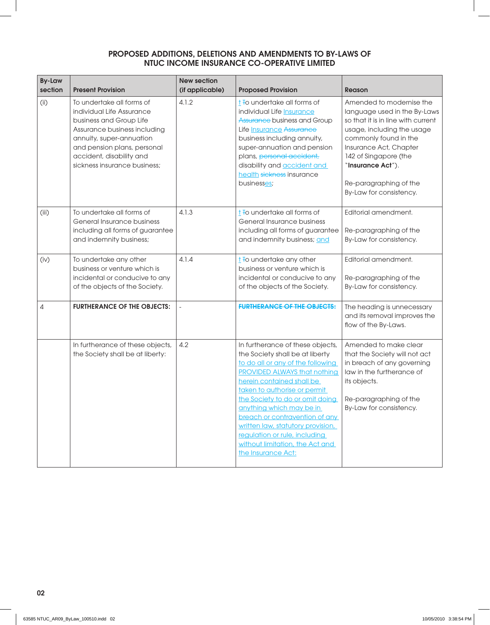| <b>By-Law</b><br>section | <b>Present Provision</b>                                                                                                                                                                                                                 | <b>New section</b><br>(if applicable) | <b>Proposed Provision</b>                                                                                                                                                                                                                                                                                                                                                                                                                    | Reason                                                                                                                                                                                                                                                                             |
|--------------------------|------------------------------------------------------------------------------------------------------------------------------------------------------------------------------------------------------------------------------------------|---------------------------------------|----------------------------------------------------------------------------------------------------------------------------------------------------------------------------------------------------------------------------------------------------------------------------------------------------------------------------------------------------------------------------------------------------------------------------------------------|------------------------------------------------------------------------------------------------------------------------------------------------------------------------------------------------------------------------------------------------------------------------------------|
| (i)                      | To undertake all forms of<br>individual Life Assurance<br>business and Group Life<br>Assurance business including<br>annuity, super-annuation<br>and pension plans, personal<br>accident, disability and<br>sickness insurance business: | 4.1.2                                 | t To undertake all forms of<br>individual Life Insurance<br>Assurance business and Group<br>Life Insurance Assurance<br>business including annuity,<br>super-annuation and pension<br>plans, personal accident,<br>disability and <b>accident and</b><br>health sickness insurance<br>businesses;                                                                                                                                            | Amended to modernise the<br>language used in the By-Laws<br>so that it is in line with current<br>usage, including the usage<br>commonly found in the<br>Insurance Act, Chapter<br>142 of Singapore (the<br>"Insurance Act").<br>Re-paragraphing of the<br>By-Law for consistency. |
| (iii)                    | To undertake all forms of<br>General Insurance business<br>including all forms of guarantee<br>and indemnity business;                                                                                                                   | 4.1.3                                 | $\frac{1}{1}$ To undertake all forms of<br>General Insurance business<br>including all forms of guarantee<br>and indemnity business; and                                                                                                                                                                                                                                                                                                     | Editorial amendment.<br>Re-paragraphing of the<br>By-Law for consistency.                                                                                                                                                                                                          |
| (iv)                     | To undertake any other<br>business or venture which is<br>incidental or conducive to any<br>of the objects of the Society.                                                                                                               | 4.1.4                                 | $t$ To undertake any other<br>business or venture which is<br>incidental or conducive to any<br>of the objects of the Society.                                                                                                                                                                                                                                                                                                               | Editorial amendment.<br>Re-paragraphing of the<br>By-Law for consistency.                                                                                                                                                                                                          |
| 4                        | <b>FURTHERANCE OF THE OBJECTS:</b>                                                                                                                                                                                                       |                                       | <b>FURTHERANCE OF THE OBJECTS:</b>                                                                                                                                                                                                                                                                                                                                                                                                           | The heading is unnecessary<br>and its removal improves the<br>flow of the By-Laws.                                                                                                                                                                                                 |
|                          | In furtherance of these objects,<br>the Society shall be at liberty:                                                                                                                                                                     | 4.2                                   | In furtherance of these objects,<br>the Society shall be at liberty<br>to do all or any of the following<br><b>PROVIDED ALWAYS that nothing</b><br>herein contained shall be<br>taken to authorise or permit<br>the Society to do or omit doing<br>anything which may be in<br>breach or contravention of any<br>written law, statutory provision,<br>regulation or rule, including<br>without limitation, the Act and<br>the Insurance Act: | Amended to make clear<br>that the Society will not act<br>in breach of any governing<br>law in the furtherance of<br>its objects.<br>Re-paragraphing of the<br>By-Law for consistency.                                                                                             |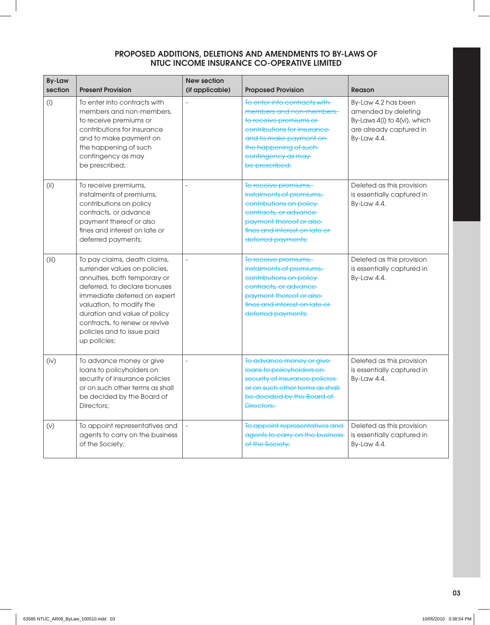| <b>By-Law</b><br>section | <b>Present Provision</b>                                                                                                                                                                                                                                                                                 | <b>New section</b><br>(if applicable) | <b>Proposed Provision</b>                                                                                                                                                                                     | Reason                                                                                                               |
|--------------------------|----------------------------------------------------------------------------------------------------------------------------------------------------------------------------------------------------------------------------------------------------------------------------------------------------------|---------------------------------------|---------------------------------------------------------------------------------------------------------------------------------------------------------------------------------------------------------------|----------------------------------------------------------------------------------------------------------------------|
| (i)                      | To enter into contracts with<br>members and non-members,<br>to receive premiums or<br>contributions for insurance<br>and to make payment on<br>the happening of such<br>contingency as may<br>be prescribed;                                                                                             |                                       | To enter into contracts with<br>members and non-members.<br>to receive premiums or<br>contributions for insurance<br>and to make payment on<br>the happening of such-<br>contingency as may<br>be prescribed; | By-Law 4.2 has been<br>amended by deleting<br>By-Laws 4(i) to 4(vi), which<br>are already captured in<br>By-Law 4.4. |
| (i)                      | To receive premiums,<br>instalments of premiums,<br>contributions on policy<br>contracts, or advance<br>payment thereof or also<br>fines and interest on late or<br>deferred payments;                                                                                                                   |                                       | To receive premiums,<br>instalments of premiums,<br>contributions on policy<br>contracts, or advance<br>payment thereof or also-<br>fines and interest on late or<br>deferred payments;                       | Deleted as this provision<br>is essentially captured in<br>By-Law 4.4.                                               |
| (iii)                    | To pay claims, death claims,<br>surrender values on policies,<br>annuities, both temporary or<br>deferred, to declare bonuses<br>immediate deferred on expert<br>valuation, to modify the<br>duration and value of policy<br>contracts, to renew or revive<br>policies and to issue paid<br>up policies; | $\overline{a}$                        | To receive premiums,<br>instalments of premiums,<br>contributions on policy<br>contracts, or advance<br>payment thereof or also-<br>fines and interest on late or<br>deferred payments;                       | Deleted as this provision<br>is essentially captured in<br>By-Law 4.4.                                               |
| (iv)                     | To advance money or give<br>loans to policyholders on<br>security of insurance policies<br>or on such other terms as shall<br>be decided by the Board of<br>Directors:                                                                                                                                   |                                       | To advance money or give-<br>loans to policyholders on<br>security of insurance policies-<br>or on such other terms as shall<br>be decided by the Board of<br>Directors:                                      | Deleted as this provision<br>is essentially captured in<br>By-Law 4.4.                                               |
| (V)                      | To appoint representatives and<br>agents to carry on the business<br>of the Society;                                                                                                                                                                                                                     |                                       | To appoint representatives and<br>agents to carry on the business<br>of the Society;                                                                                                                          | Deleted as this provision<br>is essentially captured in<br>By-Law 4.4.                                               |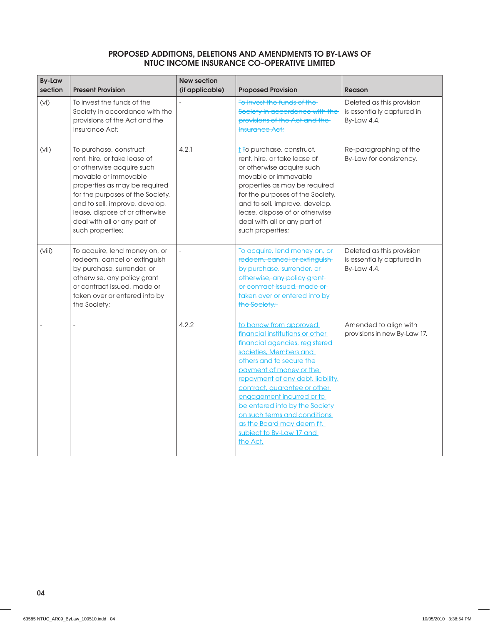| <b>By-Law</b><br>section | <b>Present Provision</b>                                                                                                                                                                                                                                                                                  | <b>New section</b><br>(if applicable) | <b>Proposed Provision</b>                                                                                                                                                                                                                                                                                                                                                                                               | Reason                                                                 |
|--------------------------|-----------------------------------------------------------------------------------------------------------------------------------------------------------------------------------------------------------------------------------------------------------------------------------------------------------|---------------------------------------|-------------------------------------------------------------------------------------------------------------------------------------------------------------------------------------------------------------------------------------------------------------------------------------------------------------------------------------------------------------------------------------------------------------------------|------------------------------------------------------------------------|
| (vi)                     | To invest the funds of the<br>Society in accordance with the<br>provisions of the Act and the<br>Insurance Act;                                                                                                                                                                                           |                                       | To invest the funds of the<br>Society in accordance with the<br>provisions of the Act and the<br><b>Insurance Act;</b>                                                                                                                                                                                                                                                                                                  | Deleted as this provision<br>is essentially captured in<br>By-Law 4.4. |
| (vii)                    | To purchase, construct,<br>rent, hire, or take lease of<br>or otherwise acquire such<br>movable or immovable<br>properties as may be required<br>for the purposes of the Society,<br>and to sell, improve, develop,<br>lease, dispose of or otherwise<br>deal with all or any part of<br>such properties; | 4.2.1                                 | $t$ To purchase, construct,<br>rent, hire, or take lease of<br>or otherwise acquire such<br>movable or immovable<br>properties as may be required<br>for the purposes of the Society,<br>and to sell, improve, develop,<br>lease, dispose of or otherwise<br>deal with all or any part of<br>such properties;                                                                                                           | Re-paragraphing of the<br>By-Law for consistency.                      |
| (viii)                   | To acquire, lend money on, or<br>redeem, cancel or extinguish<br>by purchase, surrender, or<br>otherwise, any policy grant<br>or contract issued, made or<br>taken over or entered into by<br>the Society;                                                                                                |                                       | To acquire, lend money on, or<br>redeem, cancel or extinguish<br>by purchase, surrender, or<br>otherwise, any policy grant-<br>or contract issued, made or<br>taken over or entered into by-<br>the Society;                                                                                                                                                                                                            | Deleted as this provision<br>is essentially captured in<br>By-Law 4.4. |
|                          |                                                                                                                                                                                                                                                                                                           | 4.2.2                                 | to borrow from approved<br>financial institutions or other<br>financial agencies, registered<br>societies, Members and<br>others and to secure the<br>payment of money or the<br>repayment of any debt, liability,<br>contract, guarantee or other<br>engagement incurred or to<br>be entered into by the Society<br>on such terms and conditions<br>as the Board may deem fit,<br>subject to By-Law 17 and<br>the Act. | Amended to align with<br>provisions in new By-Law 17.                  |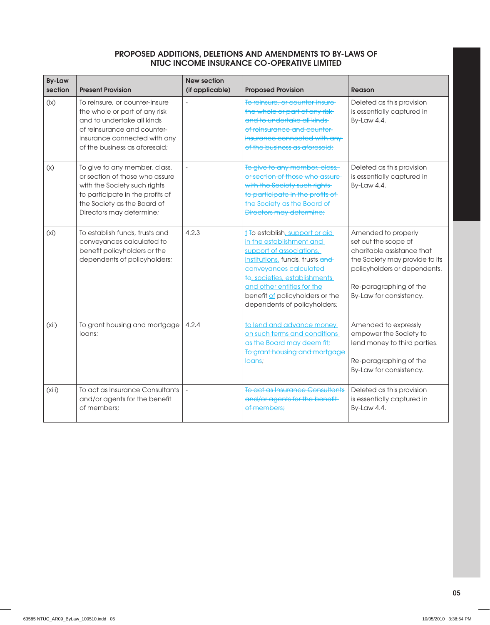| <b>By-Law</b><br>section | <b>Present Provision</b>                                                                                                                                                                       | <b>New section</b><br>(if applicable) | <b>Proposed Provision</b>                                                                                                                                                                                                                                                             | <b>Reason</b>                                                                                                                                                                                    |
|--------------------------|------------------------------------------------------------------------------------------------------------------------------------------------------------------------------------------------|---------------------------------------|---------------------------------------------------------------------------------------------------------------------------------------------------------------------------------------------------------------------------------------------------------------------------------------|--------------------------------------------------------------------------------------------------------------------------------------------------------------------------------------------------|
| (ix)                     | To reinsure, or counter-insure<br>the whole or part of any risk<br>and to undertake all kinds<br>of reinsurance and counter-<br>insurance connected with any<br>of the business as aforesaid:  |                                       | To reinsure, or counter-insure<br>the whole or part of any risk-<br>and to undertake all kinds-<br>of reinsurance and counter-<br>insurance connected with any-<br>of the business as aforesaid:                                                                                      | Deleted as this provision<br>is essentially captured in<br>By-Law 4.4.                                                                                                                           |
| (x)                      | To give to any member, class,<br>or section of those who assure<br>with the Society such rights<br>to participate in the profits of<br>the Society as the Board of<br>Directors may determine; |                                       | To give to any member, class,<br>or section of those who assure-<br>with the Society such rights<br>to participate in the profits of<br>the Society as the Board of<br><b>Directors may determine;</b>                                                                                | Deleted as this provision<br>is essentially captured in<br>By-Law 4.4.                                                                                                                           |
| (xi)                     | To establish funds, trusts and<br>conveyances calculated to<br>benefit policyholders or the<br>dependents of policyholders;                                                                    | 4.2.3                                 | t To establish, support or aid<br>in the establishment and<br>support of associations,<br>institutions, funds, trusts and<br>conveyances calculated<br>to, societies, establishments<br>and other entities for the<br>benefit of policyholders or the<br>dependents of policyholders; | Amended to properly<br>set out the scope of<br>charitable assistance that<br>the Society may provide to its<br>policyholders or dependents.<br>Re-paragraphing of the<br>By-Law for consistency. |
| (xii)                    | To grant housing and mortgage<br>loans;                                                                                                                                                        | 4.2.4                                 | to lend and advance money<br>on such terms and conditions<br>as the Board may deem fit;<br>To grant housing and mortgage<br><del>loans</del> ;                                                                                                                                        | Amended to expressly<br>empower the Society to<br>lend money to third parties.<br>Re-paragraphing of the<br>By-Law for consistency.                                                              |
| (xiii)                   | To act as Insurance Consultants<br>and/or agents for the benefit<br>of members;                                                                                                                |                                       | To act as Insurance Consultants<br>and/or agents for the benefit-<br>of members:                                                                                                                                                                                                      | Deleted as this provision<br>is essentially captured in<br>By-Law 4.4.                                                                                                                           |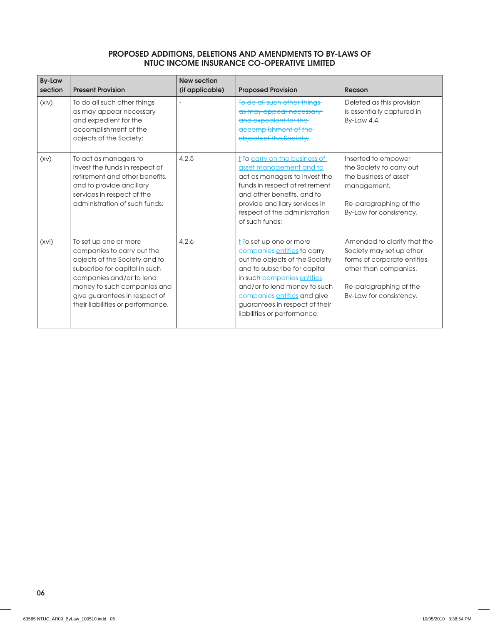| <b>By-Law</b><br>section | <b>Present Provision</b>                                                                                                                                                                                                                               | <b>New section</b><br>(if applicable) | <b>Proposed Provision</b>                                                                                                                                                                                                                                                                          | Reason                                                                                                                                                               |
|--------------------------|--------------------------------------------------------------------------------------------------------------------------------------------------------------------------------------------------------------------------------------------------------|---------------------------------------|----------------------------------------------------------------------------------------------------------------------------------------------------------------------------------------------------------------------------------------------------------------------------------------------------|----------------------------------------------------------------------------------------------------------------------------------------------------------------------|
| (xiv)                    | To do all such other things<br>as may appear necessary<br>and expedient for the<br>accomplishment of the<br>objects of the Society;                                                                                                                    |                                       | To do all such other things<br>as may appear necessary<br>and expedient for the<br>accomplishment of the<br>objects of the Society;                                                                                                                                                                | Deleted as this provision<br>is essentially captured in<br>By-Law 4.4.                                                                                               |
| (XV)                     | To act as managers to<br>invest the funds in respect of<br>retirement and other benefits,<br>and to provide ancillary<br>services in respect of the<br>administration of such funds:                                                                   | 4.2.5                                 | t To carry on the business of<br>asset management and to<br>act as managers to invest the<br>funds in respect of retirement<br>and other benefits, and to<br>provide ancillary services in<br>respect of the administration<br>of such funds:                                                      | Inserted to empower<br>the Society to carry out<br>the business of asset<br>management.<br>Re-paragraphing of the<br>By-Law for consistency.                         |
| (xvi)                    | To set up one or more<br>companies to carry out the<br>objects of the Society and to<br>subscribe for capital in such<br>companies and/or to lend<br>money to such companies and<br>give guarantees in respect of<br>their liabilities or performance. | 4.2.6                                 | $\frac{1}{2}$ To set up one or more<br>companies entities to carry<br>out the objects of the Society<br>and to subscribe for capital<br>in such companies entities<br>and/or to lend money to such<br>companies entities and give<br>guarantees in respect of their<br>liabilities or performance; | Amended to clarify that the<br>Society may set up other<br>forms of corporate entities<br>other than companies.<br>Re-paragraphing of the<br>By-Law for consistency. |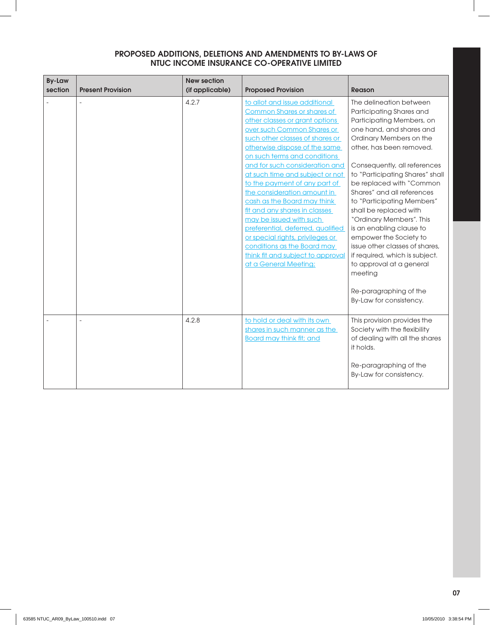| <b>By-Law</b><br>section | <b>Present Provision</b> | <b>New section</b><br>(if applicable) | <b>Proposed Provision</b>                                                                                                                                                                                                                                                                                                                                                                                                                                                                                                                                                                                                                    | <b>Reason</b>                                                                                                                                                                                                                                                                                                                                                                                                                                                                                                                                                                                              |
|--------------------------|--------------------------|---------------------------------------|----------------------------------------------------------------------------------------------------------------------------------------------------------------------------------------------------------------------------------------------------------------------------------------------------------------------------------------------------------------------------------------------------------------------------------------------------------------------------------------------------------------------------------------------------------------------------------------------------------------------------------------------|------------------------------------------------------------------------------------------------------------------------------------------------------------------------------------------------------------------------------------------------------------------------------------------------------------------------------------------------------------------------------------------------------------------------------------------------------------------------------------------------------------------------------------------------------------------------------------------------------------|
|                          |                          | 4.2.7                                 | to allot and issue additional<br><b>Common Shares or shares of</b><br>other classes or grant options<br>over such Common Shares or<br>such other classes of shares or<br>otherwise dispose of the same<br>on such terms and conditions<br>and for such consideration and<br>at such time and subject or not<br>to the payment of any part of<br>the consideration amount in<br>cash as the Board may think<br>fit and any shares in classes<br>may be issued with such<br>preferential, deferred, qualified<br>or special rights, privileges or<br>conditions as the Board may<br>think fit and subject to approval<br>at a General Meeting; | The delineation between<br>Participating Shares and<br>Participating Members, on<br>one hand, and shares and<br>Ordinary Members on the<br>other, has been removed.<br>Consequently, all references<br>to "Participating Shares" shall<br>be replaced with "Common<br>Shares" and all references<br>to "Participating Members"<br>shall be replaced with<br>"Ordinary Members". This<br>is an enabling clause to<br>empower the Society to<br>issue other classes of shares.<br>if required, which is subject.<br>to approval at a general<br>meeting<br>Re-paragraphing of the<br>By-Law for consistency. |
|                          |                          | 4.2.8                                 | to hold or deal with its own<br>shares in such manner as the<br><b>Board may think fit; and</b>                                                                                                                                                                                                                                                                                                                                                                                                                                                                                                                                              | This provision provides the<br>Society with the flexibility<br>of dealing with all the shares<br>it holds.<br>Re-paragraphing of the<br>By-Law for consistency.                                                                                                                                                                                                                                                                                                                                                                                                                                            |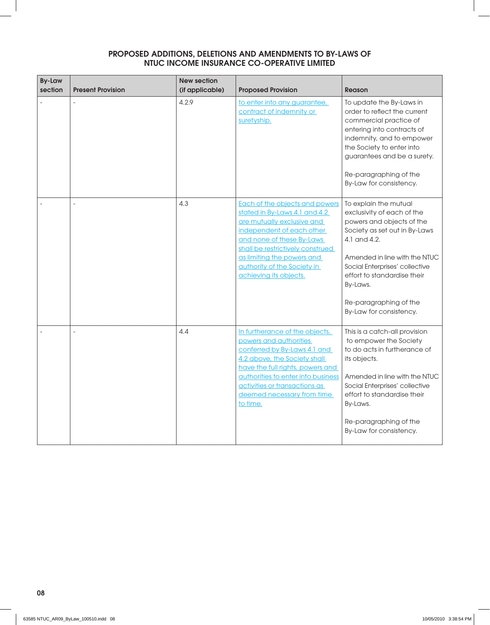| <b>By-Law</b><br>section | <b>Present Provision</b> | <b>New section</b><br>(if applicable) | <b>Proposed Provision</b>                                                                                                                                                                                                                                                          | <b>Reason</b>                                                                                                                                                                                                                                                                                        |
|--------------------------|--------------------------|---------------------------------------|------------------------------------------------------------------------------------------------------------------------------------------------------------------------------------------------------------------------------------------------------------------------------------|------------------------------------------------------------------------------------------------------------------------------------------------------------------------------------------------------------------------------------------------------------------------------------------------------|
|                          |                          | 4.2.9                                 | to enter into any guarantee,<br>contract of indemnity or<br>suretyship.                                                                                                                                                                                                            | To update the By-Laws in<br>order to reflect the current<br>commercial practice of<br>entering into contracts of<br>indemnity, and to empower<br>the Society to enter into<br>guarantees and be a surety.<br>Re-paragraphing of the<br>By-Law for consistency.                                       |
|                          |                          | 4.3                                   | Each of the objects and powers<br>stated in By-Laws 4.1 and 4.2<br>are mutually exclusive and<br>independent of each other<br>and none of these By-Laws<br>shall be restrictively construed<br>as limiting the powers and<br>authority of the Society in<br>achieving its objects. | To explain the mutual<br>exclusivity of each of the<br>powers and objects of the<br>Society as set out in By-Laws<br>4.1 and 4.2.<br>Amended in line with the NTUC<br>Social Enterprises' collective<br>effort to standardise their<br>By-Laws.<br>Re-paragraphing of the<br>By-Law for consistency. |
|                          | $\overline{a}$           | 4.4                                   | In furtherance of the objects,<br>powers and authorities<br>conferred by By-Laws 4.1 and<br>4.2 above, the Society shall<br>have the full rights, powers and<br>authorities to enter into business<br>activities or transactions as<br>deemed necessary from time<br>to time.      | This is a catch-all provision<br>to empower the Society<br>to do acts in furtherance of<br>its objects.<br>Amended in line with the NTUC<br>Social Enterprises' collective<br>effort to standardise their<br>By-Laws.<br>Re-paragraphing of the<br>By-Law for consistency.                           |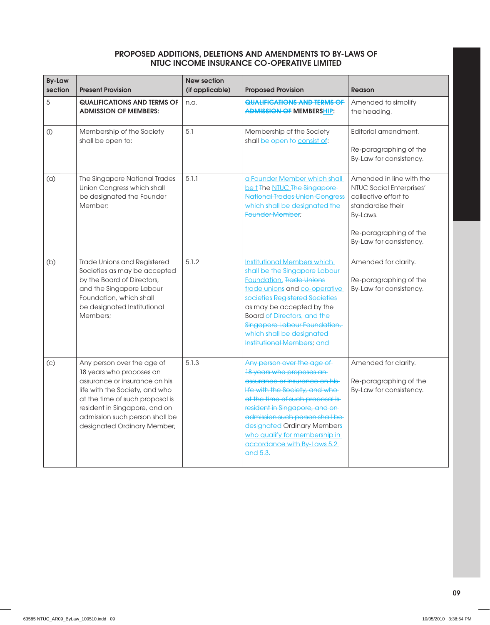| <b>By-Law</b><br>section | <b>Present Provision</b>                                                                                                                                                                                                                                       | <b>New section</b><br>(if applicable) | <b>Proposed Provision</b>                                                                                                                                                                                                                                                                                                                        | <b>Reason</b>                                                                                                                                                      |
|--------------------------|----------------------------------------------------------------------------------------------------------------------------------------------------------------------------------------------------------------------------------------------------------------|---------------------------------------|--------------------------------------------------------------------------------------------------------------------------------------------------------------------------------------------------------------------------------------------------------------------------------------------------------------------------------------------------|--------------------------------------------------------------------------------------------------------------------------------------------------------------------|
| 5                        | <b>QUALIFICATIONS AND TERMS OF</b><br><b>ADMISSION OF MEMBERS:</b>                                                                                                                                                                                             | n.a.                                  | <b>QUALIFICATIONS AND TERMS OF</b><br><b>ADMISSION OF MEMBERSHIP:</b>                                                                                                                                                                                                                                                                            | Amended to simplify<br>the heading.                                                                                                                                |
| (i)                      | Membership of the Society<br>shall be open to:                                                                                                                                                                                                                 | 5.1                                   | Membership of the Society<br>shall be open to consist of:                                                                                                                                                                                                                                                                                        | Editorial amendment.<br>Re-paragraphing of the<br>By-Law for consistency.                                                                                          |
| (a)                      | The Singapore National Trades<br>Union Congress which shall<br>be designated the Founder<br>Member:                                                                                                                                                            | 5.1.1                                 | a Founder Member which shall<br>be t The NTUC The Singapore<br><b>National Trades Union Congress</b><br>which shall be designated the<br><b>Founder Member;</b>                                                                                                                                                                                  | Amended in line with the<br>NTUC Social Enterprises'<br>collective effort to<br>standardise their<br>By-Laws.<br>Re-paragraphing of the<br>By-Law for consistency. |
| (b)                      | Trade Unions and Registered<br>Societies as may be accepted<br>by the Board of Directors,<br>and the Singapore Labour<br>Foundation, which shall<br>be designated Institutional<br>Members;                                                                    | 5.1.2                                 | <b>Institutional Members which</b><br>shall be the Singapore Labour<br><b>Foundation, Trade Unions</b><br>trade unions and co-operative<br>societies Registered Societies<br>as may be accepted by the<br>Board of Directors, and the-<br>Singapore Labour Foundation,<br>which shall be designated<br>Institutional Members; and                | Amended for clarity.<br>Re-paragraphing of the<br>By-Law for consistency.                                                                                          |
| (c)                      | Any person over the age of<br>18 years who proposes an<br>assurance or insurance on his<br>life with the Society, and who<br>at the time of such proposal is<br>resident in Singapore, and on<br>admission such person shall be<br>designated Ordinary Member; | 5.1.3                                 | Any person over the age of<br>18 years who proposes an-<br>assurance or insurance on his-<br>life with the Society, and who-<br>at the time of such proposal is-<br>resident in Singapore, and on-<br>admission such person shall be-<br>designated Ordinary Members<br>who qualify for membership in<br>accordance with By-Laws 5.2<br>and 5.3. | Amended for clarity.<br>Re-paragraphing of the<br>By-Law for consistency.                                                                                          |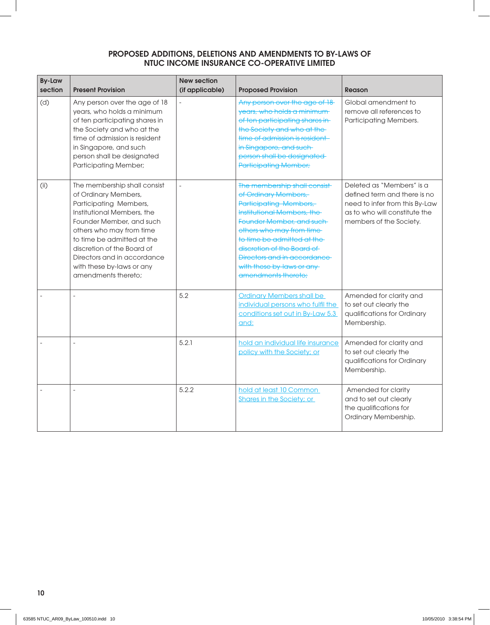| <b>By-Law</b><br>section | <b>Present Provision</b>                                                                                                                                                                                                                                                                                            | <b>New section</b><br>(if applicable) | <b>Proposed Provision</b>                                                                                                                                                                                                                                                                                              | Reason                                                                                                                                                  |
|--------------------------|---------------------------------------------------------------------------------------------------------------------------------------------------------------------------------------------------------------------------------------------------------------------------------------------------------------------|---------------------------------------|------------------------------------------------------------------------------------------------------------------------------------------------------------------------------------------------------------------------------------------------------------------------------------------------------------------------|---------------------------------------------------------------------------------------------------------------------------------------------------------|
| (d)                      | Any person over the age of 18<br>years, who holds a minimum<br>of ten participating shares in<br>the Society and who at the<br>time of admission is resident<br>in Singapore, and such<br>person shall be designated<br><b>Participating Member;</b>                                                                |                                       | Any person over the age of 18<br>years, who holds a minimum-<br>of ten participating shares in-<br>the Society and who at the<br>time of admission is resident-<br>in Singapore, and such<br>person shall be designated<br><b>Participating Member;</b>                                                                | Global amendment to<br>remove all references to<br>Participating Members.                                                                               |
| (i)                      | The membership shall consist<br>of Ordinary Members,<br>Participating Members,<br>Institutional Members, the<br>Founder Member, and such<br>others who may from time<br>to time be admitted at the<br>discretion of the Board of<br>Directors and in accordance<br>with these by-laws or any<br>amendments thereto; |                                       | The membership shall consist-<br>of Ordinary Members,<br>Participating Members,<br>Institutional Members, the<br>Founder Member, and such<br>others who may from time-<br>to time be admitted at the<br>discretion of the Board of<br>Directors and in accordance<br>with these by-laws or any-<br>amendments thereto; | Deleted as "Members" is a<br>defined term and there is no<br>need to infer from this By-Law<br>as to who will constitute the<br>members of the Society. |
|                          |                                                                                                                                                                                                                                                                                                                     | 5.2                                   | <b>Ordinary Members shall be</b><br>individual persons who fulfil the<br>conditions set out in By-Law 5.3<br>and:                                                                                                                                                                                                      | Amended for clarity and<br>to set out clearly the<br>qualifications for Ordinary<br>Membership.                                                         |
|                          |                                                                                                                                                                                                                                                                                                                     | 5.2.1                                 | hold an individual life insurance<br>policy with the Society; or                                                                                                                                                                                                                                                       | Amended for clarity and<br>to set out clearly the<br>qualifications for Ordinary<br>Membership.                                                         |
|                          | $\overline{a}$                                                                                                                                                                                                                                                                                                      | 5.2.2                                 | hold at least 10 Common<br><b>Shares in the Society; or</b>                                                                                                                                                                                                                                                            | Amended for clarity<br>and to set out clearly<br>the qualifications for<br>Ordinary Membership.                                                         |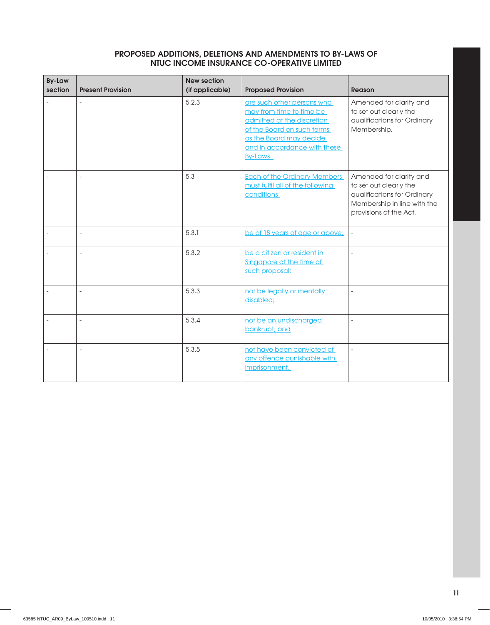| <b>By-Law</b><br>section | <b>Present Provision</b> | <b>New section</b><br>(if applicable) | <b>Proposed Provision</b>                                                                                                                                                                 | Reason                                                                                                                                    |
|--------------------------|--------------------------|---------------------------------------|-------------------------------------------------------------------------------------------------------------------------------------------------------------------------------------------|-------------------------------------------------------------------------------------------------------------------------------------------|
|                          |                          | 5.2.3                                 | are such other persons who<br>may from time to time be<br>admitted at the discretion<br>of the Board on such terms<br>as the Board may decide<br>and in accordance with these<br>By-Laws. | Amended for clarity and<br>to set out clearly the<br>qualifications for Ordinary<br>Membership.                                           |
|                          |                          | 5.3                                   | <b>Each of the Ordinary Members</b><br>must fulfil all of the following<br>conditions:                                                                                                    | Amended for clarity and<br>to set out clearly the<br>qualifications for Ordinary<br>Membership in line with the<br>provisions of the Act. |
|                          |                          | 5.3.1                                 | be of 18 years of age or above;                                                                                                                                                           | $\bar{\phantom{a}}$                                                                                                                       |
|                          | $\overline{a}$           | 5.3.2                                 | be a citizen or resident in<br>Singapore at the time of<br>such proposal;                                                                                                                 | $\Box$                                                                                                                                    |
|                          |                          | 5.3.3                                 | not be legally or mentally<br>disabled;                                                                                                                                                   | $\overline{a}$                                                                                                                            |
|                          |                          | 5.3.4                                 | not be an undischarged<br>bankrupt; and                                                                                                                                                   | $\overline{a}$                                                                                                                            |
|                          |                          | 5.3.5                                 | not have been convicted of<br>any offence punishable with<br>imprisonment.                                                                                                                | $\blacksquare$                                                                                                                            |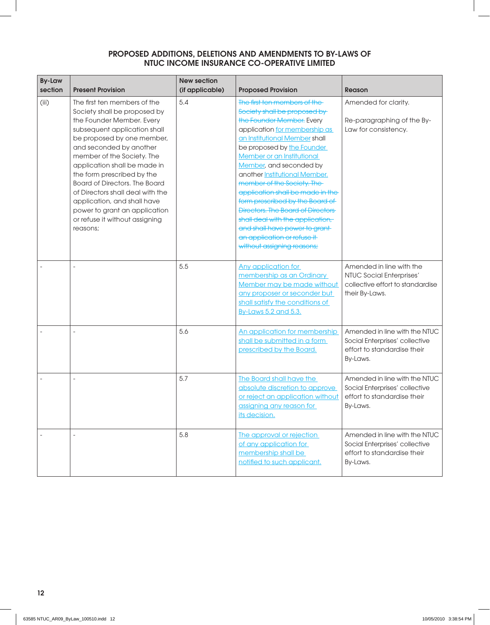| <b>By-Law</b><br>section | <b>Present Provision</b>                                                                                                                                                                                                                                                                                                                                                                                                                                          | <b>New section</b><br>(if applicable) | <b>Proposed Provision</b>                                                                                                                                                                                                                                                                                                                                                                                                                                                                                                                                                 | <b>Reason</b>                                                                                              |
|--------------------------|-------------------------------------------------------------------------------------------------------------------------------------------------------------------------------------------------------------------------------------------------------------------------------------------------------------------------------------------------------------------------------------------------------------------------------------------------------------------|---------------------------------------|---------------------------------------------------------------------------------------------------------------------------------------------------------------------------------------------------------------------------------------------------------------------------------------------------------------------------------------------------------------------------------------------------------------------------------------------------------------------------------------------------------------------------------------------------------------------------|------------------------------------------------------------------------------------------------------------|
| (iii)                    | The first ten members of the<br>Society shall be proposed by<br>the Founder Member. Every<br>subsequent application shall<br>be proposed by one member,<br>and seconded by another<br>member of the Society. The<br>application shall be made in<br>the form prescribed by the<br>Board of Directors. The Board<br>of Directors shall deal with the<br>application, and shall have<br>power to grant an application<br>or refuse it without assigning<br>reasons; | 5.4                                   | The first ten members of the-<br>Society shall be proposed by<br>the Founder Member. Every<br>application for membership as<br>an Institutional Member shall<br>be proposed by the Founder<br>Member or an Institutional<br>Member, and seconded by<br>another Institutional Member.<br>member of the Society. The<br>application shall be made in the<br>form prescribed by the Board of<br><b>Directors. The Board of Directors</b><br>shall deal with the application,<br>and shall have power to grant-<br>an application or refuse it-<br>without assigning reasons; | Amended for clarity.<br>Re-paragraphing of the By-<br>Law for consistency.                                 |
|                          |                                                                                                                                                                                                                                                                                                                                                                                                                                                                   | 5.5                                   | Any application for<br>membership as an Ordinary<br>Member may be made without<br>any proposer or seconder but<br>shall satisfy the conditions of<br>By-Laws 5.2 and 5.3.                                                                                                                                                                                                                                                                                                                                                                                                 | Amended in line with the<br>NTUC Social Enterprises'<br>collective effort to standardise<br>their By-Laws. |
|                          |                                                                                                                                                                                                                                                                                                                                                                                                                                                                   | 5.6                                   | An application for membership<br>shall be submitted in a form<br>prescribed by the Board.                                                                                                                                                                                                                                                                                                                                                                                                                                                                                 | Amended in line with the NTUC<br>Social Enterprises' collective<br>effort to standardise their<br>By-Laws. |
|                          |                                                                                                                                                                                                                                                                                                                                                                                                                                                                   | 5.7                                   | The Board shall have the<br>absolute discretion to approve<br>or reject an application without<br>assigning any reason for<br>its decision.                                                                                                                                                                                                                                                                                                                                                                                                                               | Amended in line with the NTUC<br>Social Enterprises' collective<br>effort to standardise their<br>By-Laws. |
|                          | $\equiv$                                                                                                                                                                                                                                                                                                                                                                                                                                                          | 5.8                                   | The approval or rejection<br>of any application for<br>membership shall be<br>notified to such applicant.                                                                                                                                                                                                                                                                                                                                                                                                                                                                 | Amended in line with the NTUC<br>Social Enterprises' collective<br>effort to standardise their<br>By-Laws. |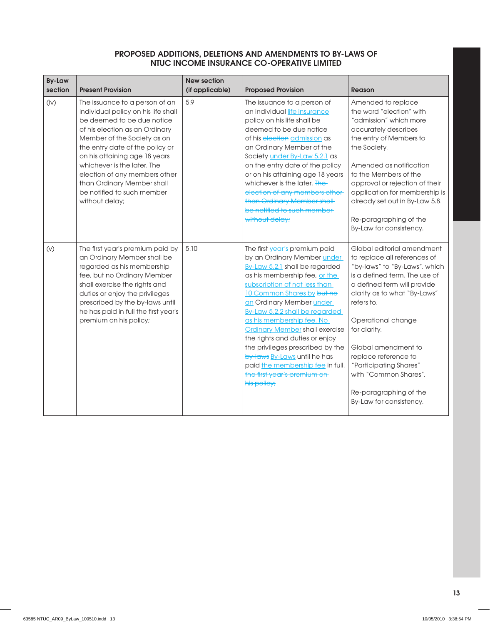| <b>By-Law</b><br>section | <b>Present Provision</b>                                                                                                                                                                                                                                                                                                                                                               | <b>New section</b><br>(if applicable) | <b>Proposed Provision</b>                                                                                                                                                                                                                                                                                                                                                                                                                                                                                                  | <b>Reason</b>                                                                                                                                                                                                                                                                                                                                                                                          |
|--------------------------|----------------------------------------------------------------------------------------------------------------------------------------------------------------------------------------------------------------------------------------------------------------------------------------------------------------------------------------------------------------------------------------|---------------------------------------|----------------------------------------------------------------------------------------------------------------------------------------------------------------------------------------------------------------------------------------------------------------------------------------------------------------------------------------------------------------------------------------------------------------------------------------------------------------------------------------------------------------------------|--------------------------------------------------------------------------------------------------------------------------------------------------------------------------------------------------------------------------------------------------------------------------------------------------------------------------------------------------------------------------------------------------------|
| (iv)                     | The issuance to a person of an<br>individual policy on his life shall<br>be deemed to be due notice<br>of his election as an Ordinary<br>Member of the Society as on<br>the entry date of the policy or<br>on his attaining age 18 years<br>whichever is the later. The<br>election of any members other<br>than Ordinary Member shall<br>be notified to such member<br>without delay; | 5.9                                   | The issuance to a person of<br>an individual life insurance<br>policy on his life shall be<br>deemed to be due notice<br>of his election admission as<br>an Ordinary Member of the<br>Society under By-Law 5.2.1 as<br>on the entry date of the policy<br>or on his attaining age 18 years<br>whichever is the later. The<br>election of any members other-<br>than Ordinary Member shall-<br>be notified to such member-<br>without delay;                                                                                | Amended to replace<br>the word "election" with<br>"admission" which more<br>accurately describes<br>the entry of Members to<br>the Society.<br>Amended as notification<br>to the Members of the<br>approval or rejection of their<br>application for membership is<br>already set out in By-Law 5.8.<br>Re-paragraphing of the<br>By-Law for consistency.                                              |
| (V)                      | The first year's premium paid by<br>an Ordinary Member shall be<br>regarded as his membership<br>fee, but no Ordinary Member<br>shall exercise the rights and<br>duties or enjoy the privileges<br>prescribed by the by-laws until<br>he has paid in full the first year's<br>premium on his policy;                                                                                   | 5.10                                  | The first year's premium paid<br>by an Ordinary Member under<br>By-Law 5.2.1 shall be regarded<br>as his membership fee, or the<br>subscription of not less than<br>10 Common Shares by but no<br>an Ordinary Member under<br>By-Law 5.2.2 shall be regarded<br>as his membership fee. No<br><b>Ordinary Member shall exercise</b><br>the rights and duties or enjoy<br>the privileges prescribed by the<br>by-laws By-Laws until he has<br>paid the membership fee in full.<br>the first year's premium on<br>his policy; | Global editorial amendment<br>to replace all references of<br>"by-laws" to "By-Laws", which<br>is a defined term. The use of<br>a defined term will provide<br>clarity as to what "By-Laws"<br>refers to.<br>Operational change<br>for clarity.<br>Global amendment to<br>replace reference to<br>"Participating Shares"<br>with "Common Shares".<br>Re-paragraphing of the<br>By-Law for consistency. |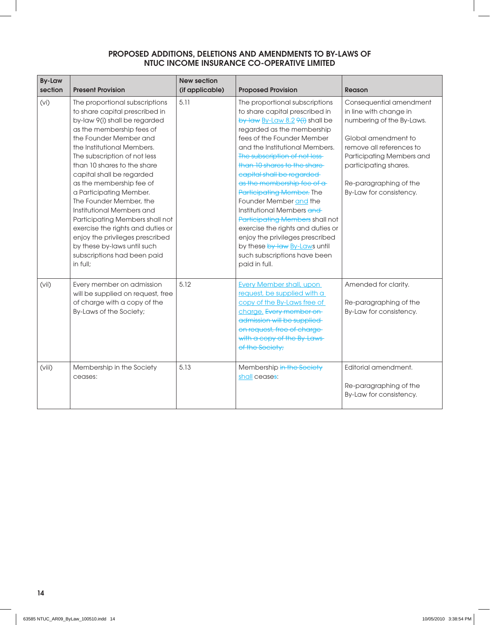| <b>By-Law</b><br>section | <b>Present Provision</b>                                                                                                                                                                                                                                                                                                                                                                                                                                                                                                                                                               | <b>New section</b><br>(if applicable) | <b>Proposed Provision</b>                                                                                                                                                                                                                                                                                                                                                                                                                                                                                                                                                                                                                 | Reason                                                                                                                                                                                                                                       |
|--------------------------|----------------------------------------------------------------------------------------------------------------------------------------------------------------------------------------------------------------------------------------------------------------------------------------------------------------------------------------------------------------------------------------------------------------------------------------------------------------------------------------------------------------------------------------------------------------------------------------|---------------------------------------|-------------------------------------------------------------------------------------------------------------------------------------------------------------------------------------------------------------------------------------------------------------------------------------------------------------------------------------------------------------------------------------------------------------------------------------------------------------------------------------------------------------------------------------------------------------------------------------------------------------------------------------------|----------------------------------------------------------------------------------------------------------------------------------------------------------------------------------------------------------------------------------------------|
| (vi)                     | The proportional subscriptions<br>to share capital prescribed in<br>by-law 9(i) shall be regarded<br>as the membership fees of<br>the Founder Member and<br>the Institutional Members.<br>The subscription of not less<br>than 10 shares to the share<br>capital shall be regarded<br>as the membership fee of<br>a Participating Member.<br>The Founder Member, the<br>Institutional Members and<br>Participating Members shall not<br>exercise the rights and duties or<br>enjoy the privileges prescribed<br>by these by-laws until such<br>subscriptions had been paid<br>in full: | 5.11                                  | The proportional subscriptions<br>to share capital prescribed in<br>by-law $\frac{By-Law 8.2 \, \theta(i)}{B}$ shall be<br>regarded as the membership<br>fees of the Founder Member<br>and the Institutional Members.<br>The subscription of not less-<br>than 10 shares to the share-<br>capital shall be regarded<br>as the membership fee of a<br><b>Participating Member. The</b><br>Founder Member and the<br>Institutional Members and<br>Participating Members shall not<br>exercise the rights and duties or<br>enjoy the privileges prescribed<br>by these by-law By-Laws until<br>such subscriptions have been<br>paid in full. | Consequential amendment<br>in line with change in<br>numbering of the By-Laws.<br>Global amendment to<br>remove all references to<br>Participating Members and<br>participating shares.<br>Re-paragraphing of the<br>By-Law for consistency. |
| (vii)                    | Every member on admission<br>will be supplied on request, free<br>of charge with a copy of the<br>By-Laws of the Society;                                                                                                                                                                                                                                                                                                                                                                                                                                                              | 5.12                                  | <b>Every Member shall, upon</b><br>request, be supplied with a<br>copy of the By-Laws free of<br>charge. Every member on<br>admission will be supplied<br>on request, free of charge-<br>with a copy of the By-Laws-<br>of the Society;                                                                                                                                                                                                                                                                                                                                                                                                   | Amended for clarity.<br>Re-paragraphing of the<br>By-Law for consistency.                                                                                                                                                                    |
| (viii)                   | Membership in the Society<br>ceases:                                                                                                                                                                                                                                                                                                                                                                                                                                                                                                                                                   | 5.13                                  | Membership in the Society<br>shall ceases:                                                                                                                                                                                                                                                                                                                                                                                                                                                                                                                                                                                                | Editorial amendment.<br>Re-paragraphing of the<br>By-Law for consistency.                                                                                                                                                                    |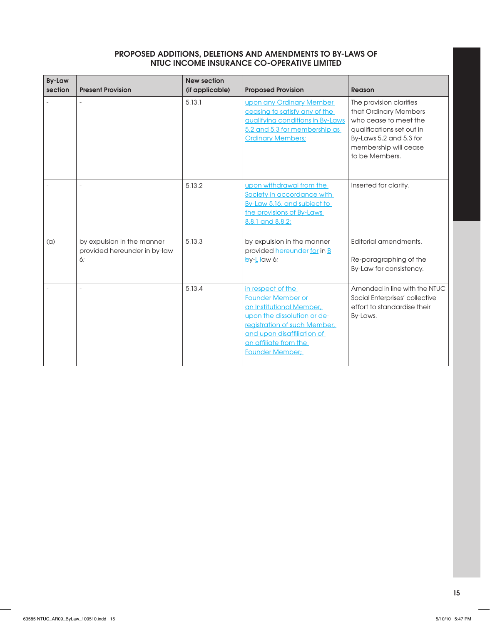| <b>By-Law</b><br>section | <b>Present Provision</b>                                         | <b>New section</b><br>(if applicable) | <b>Proposed Provision</b>                                                                                                                                                                                                 | Reason                                                                                                                                                                       |
|--------------------------|------------------------------------------------------------------|---------------------------------------|---------------------------------------------------------------------------------------------------------------------------------------------------------------------------------------------------------------------------|------------------------------------------------------------------------------------------------------------------------------------------------------------------------------|
|                          |                                                                  | 5.13.1                                | upon any Ordinary Member<br>ceasing to satisfy any of the<br>gualifying conditions in By-Laws<br>5.2 and 5.3 for membership as<br><b>Ordinary Members:</b>                                                                | The provision clarifies<br>that Ordinary Members<br>who cease to meet the<br>qualifications set out in<br>By-Laws 5.2 and 5.3 for<br>membership will cease<br>to be Members. |
|                          |                                                                  | 5.13.2                                | upon withdrawal from the<br>Society in accordance with<br>By-Law 5.16, and subject to<br>the provisions of By-Laws<br>8.8.1 and 8.8.2;                                                                                    | Inserted for clarity.                                                                                                                                                        |
| (a)                      | by expulsion in the manner<br>provided hereunder in by-law<br>6; | 5.13.3                                | by expulsion in the manner<br>provided hereunder for in B<br>$by-L$ ław 6;                                                                                                                                                | Editorial amendments.<br>Re-paragraphing of the<br>By-Law for consistency.                                                                                                   |
|                          |                                                                  | 5.13.4                                | in respect of the<br><b>Founder Member or</b><br>an Institutional Member,<br>upon the dissolution or de-<br>registration of such Member,<br>and upon disaffiliation of<br>an affiliate from the<br><b>Founder Member:</b> | Amended in line with the NTUC<br>Social Enterprises' collective<br>effort to standardise their<br>By-Laws.                                                                   |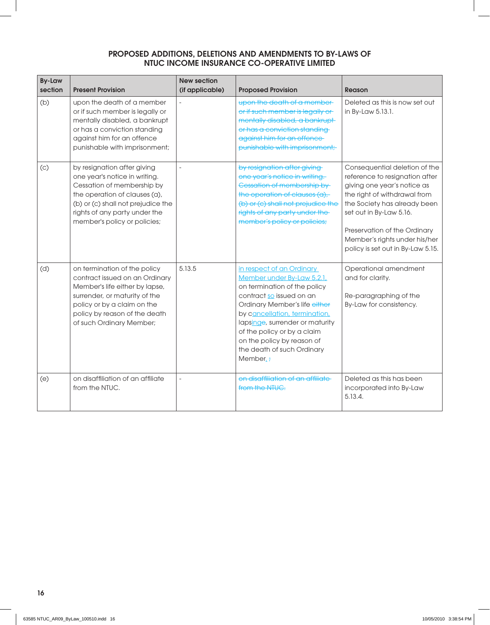| <b>By-Law</b><br>section | <b>Present Provision</b>                                                                                                                                                                                                           | <b>New section</b><br>(if applicable) | <b>Proposed Provision</b>                                                                                                                                                                                                                                                                                                                   | <b>Reason</b>                                                                                                                                                                                                                                                                                   |
|--------------------------|------------------------------------------------------------------------------------------------------------------------------------------------------------------------------------------------------------------------------------|---------------------------------------|---------------------------------------------------------------------------------------------------------------------------------------------------------------------------------------------------------------------------------------------------------------------------------------------------------------------------------------------|-------------------------------------------------------------------------------------------------------------------------------------------------------------------------------------------------------------------------------------------------------------------------------------------------|
| (b)                      | upon the death of a member<br>or if such member is legally or<br>mentally disabled, a bankrupt<br>or has a conviction standing<br>against him for an offence<br>punishable with imprisonment;                                      |                                       | upon the death of a member-<br>or if such member is legally or<br>mentally disabled, a bankrupt-<br>or has a conviction standing<br>against him for an offence<br>punishable with imprisonment;                                                                                                                                             | Deleted as this is now set out<br>in By-Law 5.13.1.                                                                                                                                                                                                                                             |
| (c)                      | by resignation after giving<br>one year's notice in writing.<br>Cessation of membership by<br>the operation of clauses (a),<br>(b) or (c) shall not prejudice the<br>rights of any party under the<br>member's policy or policies; |                                       | by resignation after giving<br>one year's notice in writing.<br>Cessation of membership by<br>the operation of clauses (a),<br>(b) or (c) shall not prejudice the<br>rights of any party under the<br>member's policy or policies;                                                                                                          | Consequential deletion of the<br>reference to resignation after<br>giving one year's notice as<br>the right of withdrawal from<br>the Society has already been<br>set out in By-Law 5.16.<br>Preservation of the Ordinary<br>Member's rights under his/her<br>policy is set out in By-Law 5.15. |
| (d)                      | on termination of the policy<br>contract issued on an Ordinary<br>Member's life either by lapse,<br>surrender, or maturity of the<br>policy or by a claim on the<br>policy by reason of the death<br>of such Ordinary Member;      | 5.13.5                                | in respect of an Ordinary<br>Member under By-Law 5.2.1<br>on termination of the policy<br>contract so issued on an<br>Ordinary Member's life either<br>by cancellation, termination,<br>lapsinge, surrender or maturity<br>of the policy or by a claim<br>on the policy by reason of<br>the death of such Ordinary<br>Member <sub>1</sub> : | Operational amendment<br>and for clarity.<br>Re-paragraphing of the<br>By-Law for consistency.                                                                                                                                                                                                  |
| (e)                      | on disaffiliation of an affiliate<br>from the NTUC.                                                                                                                                                                                |                                       | on disaffiliation of an affiliate<br>from the NTUC.                                                                                                                                                                                                                                                                                         | Deleted as this has been<br>incorporated into By-Law<br>5.13.4.                                                                                                                                                                                                                                 |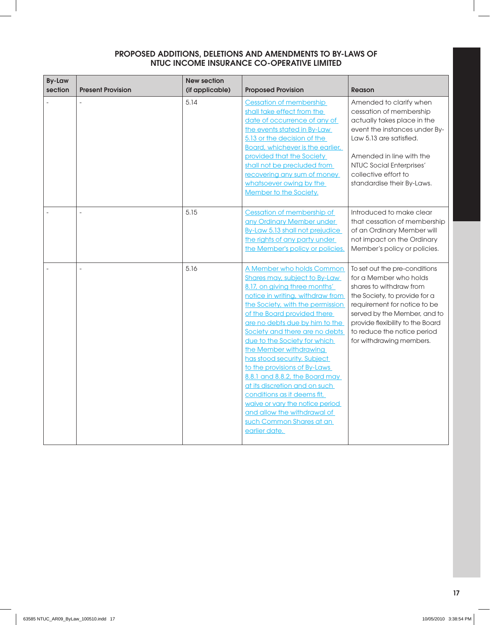| <b>By-Law</b><br>section | <b>Present Provision</b> | <b>New section</b><br>(if applicable) | <b>Proposed Provision</b>                                                                                                                                                                                                                                                                                                                                                                                                                                                                                                                                                                                               | <b>Reason</b>                                                                                                                                                                                                                                                                      |
|--------------------------|--------------------------|---------------------------------------|-------------------------------------------------------------------------------------------------------------------------------------------------------------------------------------------------------------------------------------------------------------------------------------------------------------------------------------------------------------------------------------------------------------------------------------------------------------------------------------------------------------------------------------------------------------------------------------------------------------------------|------------------------------------------------------------------------------------------------------------------------------------------------------------------------------------------------------------------------------------------------------------------------------------|
|                          |                          | 5.14                                  | <b>Cessation of membership</b><br>shall take effect from the<br>date of occurrence of any of<br>the events stated in By-Law<br>5.13 or the decision of the<br>Board, whichever is the earlier,<br>provided that the Society<br>shall not be precluded from<br>recovering any sum of money<br>whatsoever owing by the<br>Member to the Society.                                                                                                                                                                                                                                                                          | Amended to clarify when<br>cessation of membership<br>actually takes place in the<br>event the instances under By-<br>Law 5.13 are satisfied.<br>Amended in line with the<br>NTUC Social Enterprises'<br>collective effort to<br>standardise their By-Laws.                        |
|                          |                          | 5.15                                  | Cessation of membership of<br>any Ordinary Member under<br>By-Law 5.13 shall not prejudice<br>the rights of any party under<br>the Member's policy or policies.                                                                                                                                                                                                                                                                                                                                                                                                                                                         | Introduced to make clear<br>that cessation of membership<br>of an Ordinary Member will<br>not impact on the Ordinary<br>Member's policy or policies.                                                                                                                               |
|                          |                          | 5.16                                  | A Member who holds Common<br><b>Shares may, subject to By-Law</b><br>8.17, on giving three months'<br>notice in writing, withdraw from<br>the Society, with the permission<br>of the Board provided there<br>are no debts due by him to the<br>Society and there are no debts<br>due to the Society for which<br>the Member withdrawing<br>has stood security. Subject<br>to the provisions of By-Laws<br>8.8.1 and 8.8.2, the Board may<br>at its discretion and on such<br>conditions as it deems fit,<br>waive or vary the notice period<br>and allow the withdrawal of<br>such Common Shares at an<br>earlier date. | To set out the pre-conditions<br>for a Member who holds<br>shares to withdraw from<br>the Society, to provide for a<br>requirement for notice to be<br>served by the Member, and to<br>provide flexibility to the Board<br>to reduce the notice period<br>for withdrawing members. |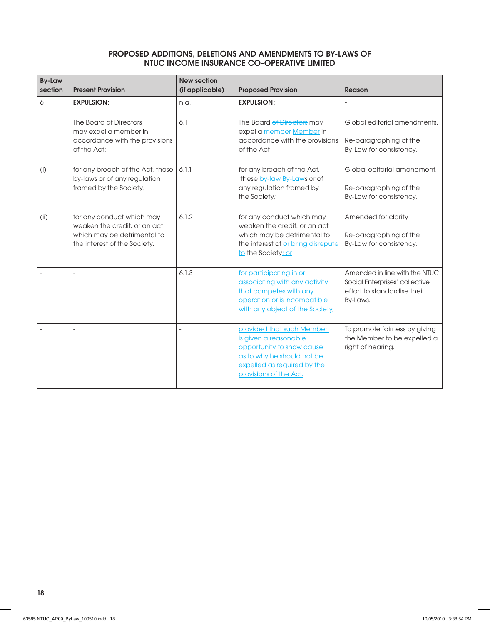| <b>By-Law</b><br>section | <b>Present Provision</b>                                                                                                 | <b>New section</b><br>(if applicable) | <b>Proposed Provision</b>                                                                                                                                              | <b>Reason</b>                                                                                              |
|--------------------------|--------------------------------------------------------------------------------------------------------------------------|---------------------------------------|------------------------------------------------------------------------------------------------------------------------------------------------------------------------|------------------------------------------------------------------------------------------------------------|
| 6                        | <b>EXPULSION:</b>                                                                                                        | n.a.                                  | <b>EXPULSION:</b>                                                                                                                                                      |                                                                                                            |
|                          | The Board of Directors<br>may expel a member in<br>accordance with the provisions<br>of the Act:                         | 6.1                                   | The Board of Directors may<br>expel a member Member in<br>accordance with the provisions<br>of the Act:                                                                | Global editorial amendments.<br>Re-paragraphing of the<br>By-Law for consistency.                          |
| (i)                      | for any breach of the Act, these<br>by-laws or of any regulation<br>framed by the Society;                               | 6.1.1                                 | for any breach of the Act,<br>these by-law By-Laws or of<br>any regulation framed by<br>the Society;                                                                   | Global editorial amendment.<br>Re-paragraphing of the<br>By-Law for consistency.                           |
| (i)                      | for any conduct which may<br>weaken the credit, or an act<br>which may be detrimental to<br>the interest of the Society. | 6.1.2                                 | for any conduct which may<br>weaken the credit, or an act<br>which may be detrimental to<br>the interest of or bring disrepute<br>to the Society; or                   | Amended for clarity<br>Re-paragraphing of the<br>By-Law for consistency.                                   |
|                          |                                                                                                                          | 6.1.3                                 | for participating in or<br>associating with any activity<br>that competes with any<br>operation or is incompatible<br>with any object of the Society,                  | Amended in line with the NTUC<br>Social Enterprises' collective<br>effort to standardise their<br>By-Laws. |
|                          |                                                                                                                          |                                       | provided that such Member<br>is given a reasonable<br>opportunity to show cause<br>as to why he should not be<br>expelled as required by the<br>provisions of the Act. | To promote fairness by giving<br>the Member to be expelled a<br>right of hearing.                          |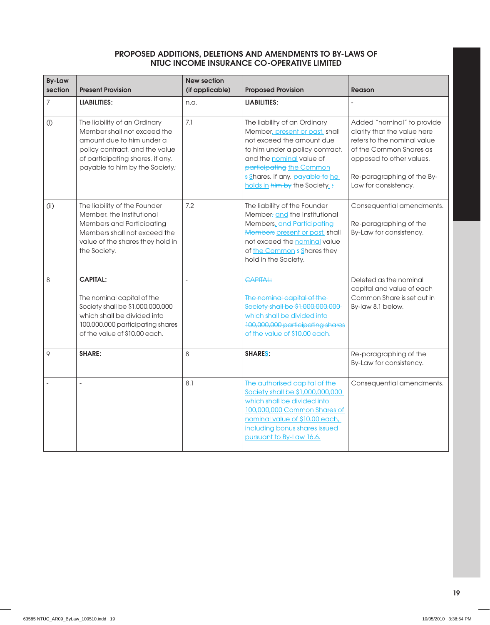| <b>By-Law</b><br>section | <b>Present Provision</b>                                                                                                                                                                         | <b>New section</b><br>(if applicable) | <b>Proposed Provision</b>                                                                                                                                                                                                                                         | Reason                                                                                                                                                                                                |
|--------------------------|--------------------------------------------------------------------------------------------------------------------------------------------------------------------------------------------------|---------------------------------------|-------------------------------------------------------------------------------------------------------------------------------------------------------------------------------------------------------------------------------------------------------------------|-------------------------------------------------------------------------------------------------------------------------------------------------------------------------------------------------------|
| $\overline{7}$           | <b>LIABILITIES:</b>                                                                                                                                                                              | n.a.                                  | <b>LIABILITIES:</b>                                                                                                                                                                                                                                               |                                                                                                                                                                                                       |
| (i)                      | The liability of an Ordinary<br>Member shall not exceed the<br>amount due to him under a<br>policy contract, and the value<br>of participating shares, if any,<br>payable to him by the Society; | 7.1                                   | The liability of an Ordinary<br>Member, present or past, shall<br>not exceed the amount due<br>to him under a policy contract,<br>and the <b>nominal</b> value of<br>participating the Common<br>s Shares, if any, payable to he<br>holds in him by the Society.: | Added "nominal" to provide<br>clarity that the value here<br>refers to the nominal value<br>of the Common Shares as<br>opposed to other values.<br>Re-paragraphing of the By-<br>Law for consistency. |
| (i)                      | The liability of the Founder<br>Member, the Institutional<br><b>Members and Participating</b><br>Members shall not exceed the<br>value of the shares they hold in<br>the Society.                | 7.2                                   | The liability of the Founder<br>Member, and the Institutional<br>Members, and Participating<br>Members present or past, shall<br>not exceed the nominal value<br>of the Common s Shares they<br>hold in the Society.                                              | Consequential amendments.<br>Re-paragraphing of the<br>By-Law for consistency.                                                                                                                        |
| 8                        | <b>CAPITAL:</b><br>The nominal capital of the<br>Society shall be \$1,000,000,000<br>which shall be divided into<br>100,000,000 participating shares<br>of the value of \$10.00 each.            |                                       | <b>CAPITAL:</b><br>The nominal capital of the<br>Society shall be \$1,000,000,000<br>which shall be divided into-<br>100,000,000 participating shares<br>of the value of \$10,00 each.                                                                            | Deleted as the nominal<br>capital and value of each<br>Common Share is set out in<br>By-law 8.1 below.                                                                                                |
| 9                        | <b>SHARE:</b>                                                                                                                                                                                    | 8                                     | <b>SHARES:</b>                                                                                                                                                                                                                                                    | Re-paragraphing of the<br>By-Law for consistency.                                                                                                                                                     |
|                          |                                                                                                                                                                                                  | 8.1                                   | The authorised capital of the<br>Society shall be \$1,000,000,000<br>which shall be divided into<br>100,000,000 Common Shares of<br>nominal value of \$10.00 each,<br>including bonus shares issued<br>pursuant to By-Law 16.6.                                   | Consequential amendments.                                                                                                                                                                             |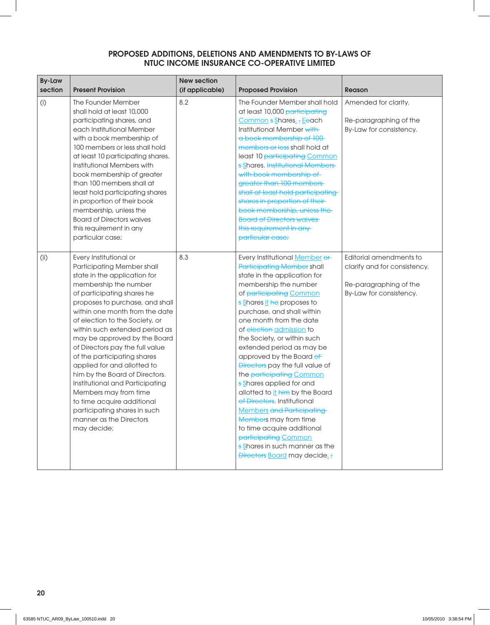| <b>By-Law</b><br>section | <b>Present Provision</b>                                                                                                                                                                                                                                                                                                                                                                                                                                                                                                                                                                                                    | <b>New section</b><br>(if applicable) | <b>Proposed Provision</b>                                                                                                                                                                                                                                                                                                                                                                                                                                                                                                                                                                                                                                                                                                  | <b>Reason</b>                                                                                                |
|--------------------------|-----------------------------------------------------------------------------------------------------------------------------------------------------------------------------------------------------------------------------------------------------------------------------------------------------------------------------------------------------------------------------------------------------------------------------------------------------------------------------------------------------------------------------------------------------------------------------------------------------------------------------|---------------------------------------|----------------------------------------------------------------------------------------------------------------------------------------------------------------------------------------------------------------------------------------------------------------------------------------------------------------------------------------------------------------------------------------------------------------------------------------------------------------------------------------------------------------------------------------------------------------------------------------------------------------------------------------------------------------------------------------------------------------------------|--------------------------------------------------------------------------------------------------------------|
| (i)                      | The Founder Member<br>shall hold at least 10,000<br>participating shares, and<br>each Institutional Member<br>with a book membership of<br>100 members or less shall hold<br>at least 10 participating shares.<br>Institutional Members with<br>book membership of greater<br>than 100 members shall at<br>least hold participating shares<br>in proportion of their book<br>membership, unless the<br><b>Board of Directors waives</b><br>this requirement in any<br>particular case;                                                                                                                                      | 8.2                                   | The Founder Member shall hold<br>at least 10,000 participating<br>Common s Shares. ; Eeach<br>Institutional Member with<br>a book membership of 100-<br>members or less shall hold at<br>least 10 participating Common<br>s Shares. Institutional Members<br>with book membership of<br>greater than 100 members<br>shall at least hold participating<br>shares in proportion of their-<br>book membership, unless the<br><b>Board of Directors waives</b><br>this requirement in any-<br>particular case;                                                                                                                                                                                                                 | Amended for clarity.<br>Re-paragraphing of the<br>By-Law for consistency.                                    |
| (i)                      | Every Institutional or<br>Participating Member shall<br>state in the application for<br>membership the number<br>of participating shares he<br>proposes to purchase, and shall<br>within one month from the date<br>of election to the Society, or<br>within such extended period as<br>may be approved by the Board<br>of Directors pay the full value<br>of the participating shares<br>applied for and allotted to<br>him by the Board of Directors.<br>Institutional and Participating<br>Members may from time<br>to time acquire additional<br>participating shares in such<br>manner as the Directors<br>may decide; | 8.3                                   | Every Institutional Member or<br><b>Participating Member shall</b><br>state in the application for<br>membership the number<br>of participating Common<br>s Shares it he proposes to<br>purchase, and shall within<br>one month from the date<br>of election admission to<br>the Society, or within such<br>extended period as may be<br>approved by the Board of<br>Directors pay the full value of<br>the participating Common<br>s Shares applied for and<br>allotted to it him by the Board<br>of Directors. Institutional<br><b>Members and Participating</b><br><b>Members</b> may from time<br>to time acquire additional<br>participating Common<br>s Shares in such manner as the<br>Directors Board may decide.; | Editorial amendments to<br>clarify and for consistency.<br>Re-paragraphing of the<br>By-Law for consistency. |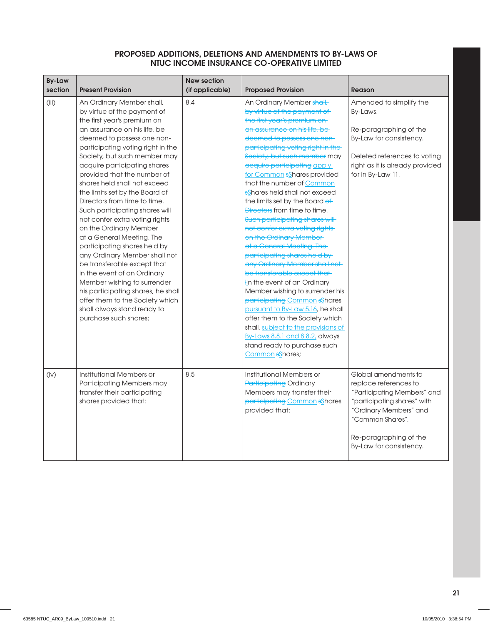| <b>By-Law</b><br>section | <b>Present Provision</b>                                                                                                                                                                                                                                                                                                                                                                                                                                                                                                                                                                                                                                                                                                                                                                                              | <b>New section</b><br>(if applicable) | <b>Proposed Provision</b>                                                                                                                                                                                                                                                                                                                                                                                                                                                                                                                                                                                                                                                                                                                                                                                                                                                                                                                                            | Reason                                                                                                                                                                                                         |
|--------------------------|-----------------------------------------------------------------------------------------------------------------------------------------------------------------------------------------------------------------------------------------------------------------------------------------------------------------------------------------------------------------------------------------------------------------------------------------------------------------------------------------------------------------------------------------------------------------------------------------------------------------------------------------------------------------------------------------------------------------------------------------------------------------------------------------------------------------------|---------------------------------------|----------------------------------------------------------------------------------------------------------------------------------------------------------------------------------------------------------------------------------------------------------------------------------------------------------------------------------------------------------------------------------------------------------------------------------------------------------------------------------------------------------------------------------------------------------------------------------------------------------------------------------------------------------------------------------------------------------------------------------------------------------------------------------------------------------------------------------------------------------------------------------------------------------------------------------------------------------------------|----------------------------------------------------------------------------------------------------------------------------------------------------------------------------------------------------------------|
| (iii)                    | An Ordinary Member shall,<br>by virtue of the payment of<br>the first year's premium on<br>an assurance on his life, be<br>deemed to possess one non-<br>participating voting right in the<br>Society, but such member may<br>acquire participating shares<br>provided that the number of<br>shares held shall not exceed<br>the limits set by the Board of<br>Directors from time to time.<br>Such participating shares will<br>not confer extra voting rights<br>on the Ordinary Member<br>at a General Meeting. The<br>participating shares held by<br>any Ordinary Member shall not<br>be transferable except that<br>in the event of an Ordinary<br>Member wishing to surrender<br>his participating shares, he shall<br>offer them to the Society which<br>shall always stand ready to<br>purchase such shares; | 8.4                                   | An Ordinary Member shall,<br>by virtue of the payment of<br>the first year's premium on<br>an assurance on his life, be-<br>deemed to possess one non-<br>participating voting right in the<br>Society, but such member may<br>acquire participating apply<br>for Common sShares provided<br>that the number of Common<br>sShares held shall not exceed<br>the limits set by the Board of<br>Directors from time to time.<br>Such participating shares will<br>not confer extra voting rights<br>on the Ordinary Member<br>at a General Meeting. The<br>participating shares held by<br>any Ordinary Member shall not<br>be transferable except that<br><i>i</i> In the event of an Ordinary<br>Member wishing to surrender his<br>participating Common sShares<br>pursuant to By-Law 5.16, he shall<br>offer them to the Society which<br>shall, subject to the provisions of<br>By-Laws 8.8.1 and 8.8.2, always<br>stand ready to purchase such<br>Common sShares; | Amended to simplify the<br>By-Laws.<br>Re-paragraphing of the<br>By-Law for consistency.<br>Deleted references to voting<br>right as it is already provided<br>for in By-Law 11.                               |
| (iv)                     | Institutional Members or<br>Participating Members may<br>transfer their participating<br>shares provided that:                                                                                                                                                                                                                                                                                                                                                                                                                                                                                                                                                                                                                                                                                                        | 8.5                                   | Institutional Members or<br><b>Participating Ordinary</b><br>Members may transfer their<br>participating Common sShares<br>provided that:                                                                                                                                                                                                                                                                                                                                                                                                                                                                                                                                                                                                                                                                                                                                                                                                                            | Global amendments to<br>replace references to<br>"Participating Members" and<br>"participating shares" with<br>"Ordinary Members" and<br>"Common Shares".<br>Re-paragraphing of the<br>By-Law for consistency. |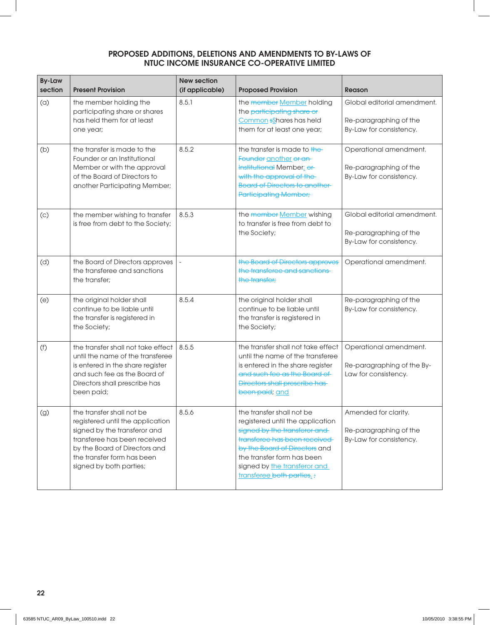| <b>By-Law</b><br>section | <b>Present Provision</b>                                                                                                                                                                                                | <b>New section</b><br>(if applicable) | <b>Proposed Provision</b>                                                                                                                                                                                                                                 | Reason                                                                           |
|--------------------------|-------------------------------------------------------------------------------------------------------------------------------------------------------------------------------------------------------------------------|---------------------------------------|-----------------------------------------------------------------------------------------------------------------------------------------------------------------------------------------------------------------------------------------------------------|----------------------------------------------------------------------------------|
| (a)                      | the member holding the<br>participating share or shares<br>has held them for at least<br>one year;                                                                                                                      | 8.5.1                                 | the member Member holding<br>the participating share or<br>Common sShares has held<br>them for at least one year;                                                                                                                                         | Global editorial amendment.<br>Re-paragraphing of the<br>By-Law for consistency. |
| (b)                      | the transfer is made to the<br>Founder or an Institutional<br>Member or with the approval<br>of the Board of Directors to<br>another Participating Member;                                                              | 8.5.2                                 | the transfer is made to the<br>Founder another or an<br><b>Institutional Member</b> of<br>with the approval of the<br><b>Board of Directors to another-</b><br><b>Participating Member;</b>                                                               | Operational amendment.<br>Re-paragraphing of the<br>By-Law for consistency.      |
| (c)                      | the member wishing to transfer<br>is free from debt to the Society;                                                                                                                                                     | 8.5.3                                 | the member Member wishing<br>to transfer is free from debt to<br>the Society;                                                                                                                                                                             | Global editorial amendment.<br>Re-paragraphing of the<br>By-Law for consistency. |
| (d)                      | the Board of Directors approves<br>the transferee and sanctions<br>the transfer;                                                                                                                                        |                                       | the Board of Directors approves<br>the transferee and sanctions<br>the transfer;                                                                                                                                                                          | Operational amendment.                                                           |
| (e)                      | the original holder shall<br>continue to be liable until<br>the transfer is registered in<br>the Society;                                                                                                               | 8.5.4                                 | the original holder shall<br>continue to be liable until<br>the transfer is registered in<br>the Society;                                                                                                                                                 | Re-paragraphing of the<br>By-Law for consistency.                                |
| (f)                      | the transfer shall not take effect<br>until the name of the transferee<br>is entered in the share register<br>and such fee as the Board of<br>Directors shall prescribe has<br>been paid;                               | 8.5.5                                 | the transfer shall not take effect<br>until the name of the transferee<br>is entered in the share register<br>and such fee as the Board of<br><b>Directors shall prescribe has-</b><br>been paid; and                                                     | Operational amendment.<br>Re-paragraphing of the By-<br>Law for consistency.     |
| (g)                      | the transfer shall not be<br>registered until the application<br>signed by the transferor and<br>transferee has been received<br>by the Board of Directors and<br>the transfer form has been<br>signed by both parties; | 8.5.6                                 | the transfer shall not be<br>registered until the application<br>signed by the transferor and<br>transferee has been received<br>by the Board of Directors and<br>the transfer form has been<br>signed by the transferor and<br>transferee both parties.; | Amended for clarity.<br>Re-paragraphing of the<br>By-Law for consistency.        |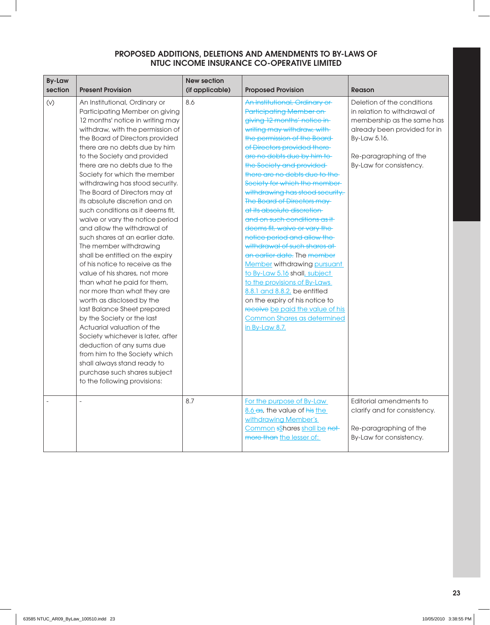| <b>By-Law</b><br>section | <b>Present Provision</b>                                                                                                                                                                                                                                                                                                                                                                                                                                                                                                                                                                                                                                                                                                                                                                                                                                                                                                                                                                                                                                                            | <b>New section</b><br>(if applicable) | <b>Proposed Provision</b>                                                                                                                                                                                                                                                                                                                                                                                                                                                                                                                                                                                                                                                                                                                                                                                                                             | <b>Reason</b>                                                                                                                                                                                 |
|--------------------------|-------------------------------------------------------------------------------------------------------------------------------------------------------------------------------------------------------------------------------------------------------------------------------------------------------------------------------------------------------------------------------------------------------------------------------------------------------------------------------------------------------------------------------------------------------------------------------------------------------------------------------------------------------------------------------------------------------------------------------------------------------------------------------------------------------------------------------------------------------------------------------------------------------------------------------------------------------------------------------------------------------------------------------------------------------------------------------------|---------------------------------------|-------------------------------------------------------------------------------------------------------------------------------------------------------------------------------------------------------------------------------------------------------------------------------------------------------------------------------------------------------------------------------------------------------------------------------------------------------------------------------------------------------------------------------------------------------------------------------------------------------------------------------------------------------------------------------------------------------------------------------------------------------------------------------------------------------------------------------------------------------|-----------------------------------------------------------------------------------------------------------------------------------------------------------------------------------------------|
| (V)                      | An Institutional, Ordinary or<br>Participating Member on giving<br>12 months' notice in writing may<br>withdraw, with the permission of<br>the Board of Directors provided<br>there are no debts due by him<br>to the Society and provided<br>there are no debts due to the<br>Society for which the member<br>withdrawing has stood security.<br>The Board of Directors may at<br>its absolute discretion and on<br>such conditions as it deems fit.<br>waive or vary the notice period<br>and allow the withdrawal of<br>such shares at an earlier date.<br>The member withdrawing<br>shall be entitled on the expiry<br>of his notice to receive as the<br>value of his shares, not more<br>than what he paid for them,<br>nor more than what they are<br>worth as disclosed by the<br>last Balance Sheet prepared<br>by the Society or the last<br>Actuarial valuation of the<br>Society whichever is later, after<br>deduction of any sums due<br>from him to the Society which<br>shall always stand ready to<br>purchase such shares subject<br>to the following provisions: | 8.6                                   | An Institutional, Ordinary or<br><b>Participating Member on</b><br>giving 12 months' notice in-<br>writing may withdraw, with<br>the permission of the Board<br>of Directors provided there-<br>are no debts due by him to<br>the Society and provided<br>there are no debts due to the<br>Society for which the member-<br>withdrawing has stood security.<br>The Board of Directors may<br>at its absolute discretion-<br>and on such conditions as it-<br>deems fit, waive or vary the<br>notice period and allow the<br>withdrawal of such shares at<br>an earlier date. The member<br><b>Member</b> withdrawing pursuant<br>to By-Law 5.16 shall, subject<br>to the provisions of By-Laws<br>8.8.1 and 8.8.2, be entitled<br>on the expiry of his notice to<br>receive be paid the value of his<br>Common Shares as determined<br>in By-Law 8.7. | Deletion of the conditions<br>in relation to withdrawal of<br>membership as the same has<br>already been provided for in<br>By-Law 5.16.<br>Re-paragraphing of the<br>By-Law for consistency. |
|                          |                                                                                                                                                                                                                                                                                                                                                                                                                                                                                                                                                                                                                                                                                                                                                                                                                                                                                                                                                                                                                                                                                     | 8.7                                   | For the purpose of By-Law<br>8.6 es. the value of his the<br>withdrawing Member's<br>Common sShares shall be not<br>more than the lesser of:                                                                                                                                                                                                                                                                                                                                                                                                                                                                                                                                                                                                                                                                                                          | Editorial amendments to<br>clarify and for consistency.<br>Re-paragraphing of the<br>By-Law for consistency.                                                                                  |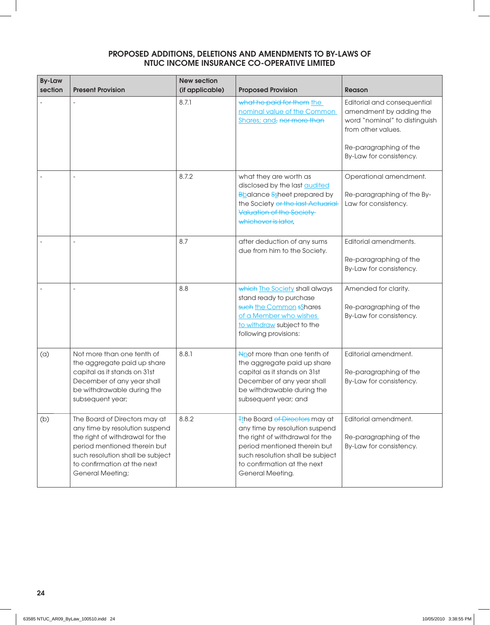| <b>By-Law</b><br>section | <b>Present Provision</b>                                                                                                                                                                                                         | <b>New section</b><br>(if applicable) | <b>Proposed Provision</b>                                                                                                                                                                                                        | <b>Reason</b>                                                                                                                                                      |
|--------------------------|----------------------------------------------------------------------------------------------------------------------------------------------------------------------------------------------------------------------------------|---------------------------------------|----------------------------------------------------------------------------------------------------------------------------------------------------------------------------------------------------------------------------------|--------------------------------------------------------------------------------------------------------------------------------------------------------------------|
|                          |                                                                                                                                                                                                                                  | 8.7.1                                 | what he paid for them the<br>nominal value of the Common<br>Shares; and, nor more than                                                                                                                                           | Editorial and consequential<br>amendment by adding the<br>word "nominal" to distinguish<br>from other values.<br>Re-paragraphing of the<br>By-Law for consistency. |
|                          |                                                                                                                                                                                                                                  | 8.7.2                                 | what they are worth as<br>disclosed by the last <b>audited</b><br><b>B</b> balance Ssheet prepared by<br>the Society or the last Actuarial<br>Valuation of the Society<br>whichever is later,                                    | Operational amendment.<br>Re-paragraphing of the By-<br>Law for consistency.                                                                                       |
|                          |                                                                                                                                                                                                                                  | 8.7                                   | after deduction of any sums<br>due from him to the Society.                                                                                                                                                                      | Editorial amendments.<br>Re-paragraphing of the<br>By-Law for consistency.                                                                                         |
|                          |                                                                                                                                                                                                                                  | 8.8                                   | which The Society shall always<br>stand ready to purchase<br>such the Common sShares<br>of a Member who wishes<br>to withdraw subject to the<br>following provisions:                                                            | Amended for clarity.<br>Re-paragraphing of the<br>By-Law for consistency.                                                                                          |
| (a)                      | Not more than one tenth of<br>the aggregate paid up share<br>capital as it stands on 31st<br>December of any year shall<br>be withdrawable during the<br>subsequent year;                                                        | 8.8.1                                 | Not more than one tenth of<br>the aggregate paid up share<br>capital as it stands on 31st<br>December of any year shall<br>be withdrawable during the<br>subsequent year; and                                                    | Editorial amendment.<br>Re-paragraphing of the<br>By-Law for consistency.                                                                                          |
| (b)                      | The Board of Directors may at<br>any time by resolution suspend<br>the right of withdrawal for the<br>period mentioned therein but<br>such resolution shall be subject<br>to confirmation at the next<br><b>General Meeting;</b> | 8.8.2                                 | <b>The Board of Directors may at</b><br>any time by resolution suspend<br>the right of withdrawal for the<br>period mentioned therein but<br>such resolution shall be subject<br>to confirmation at the next<br>General Meeting. | Editorial amendment.<br>Re-paragraphing of the<br>By-Law for consistency.                                                                                          |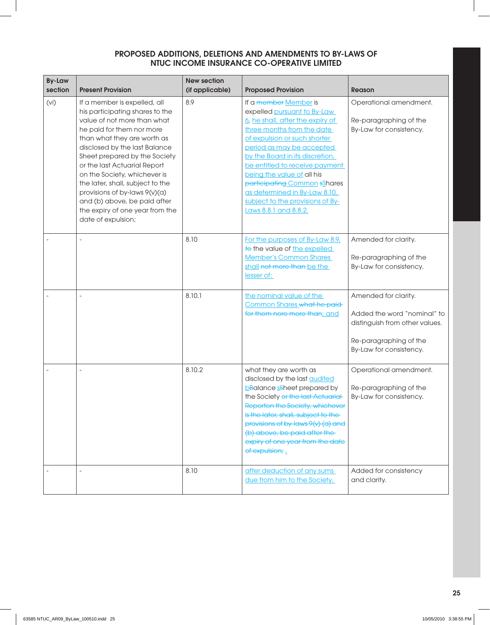| <b>By-Law</b><br>section | <b>Present Provision</b>                                                                                                                                                                                                                                                                                                                                                                                                                                   | <b>New section</b><br>(if applicable) | <b>Proposed Provision</b>                                                                                                                                                                                                                                                                                                                                                                                            | <b>Reason</b>                                                                                                                              |
|--------------------------|------------------------------------------------------------------------------------------------------------------------------------------------------------------------------------------------------------------------------------------------------------------------------------------------------------------------------------------------------------------------------------------------------------------------------------------------------------|---------------------------------------|----------------------------------------------------------------------------------------------------------------------------------------------------------------------------------------------------------------------------------------------------------------------------------------------------------------------------------------------------------------------------------------------------------------------|--------------------------------------------------------------------------------------------------------------------------------------------|
| (Vi)                     | If a member is expelled, all<br>his participating shares to the<br>value of not more than what<br>he paid for them nor more<br>than what they are worth as<br>disclosed by the last Balance<br>Sheet prepared by the Society<br>or the last Actuarial Report<br>on the Society, whichever is<br>the later, shall, subject to the<br>provisions of by-laws 9(v)(a)<br>and (b) above, be paid after<br>the expiry of one year from the<br>date of expulsion; | 8.9                                   | If a member Member is<br>expelled pursuant to By-Law<br>6, he shall, after the expiry of<br>three months from the date<br>of expulsion or such shorter<br>period as may be accepted<br>by the Board in its discretion,<br>be entitled to receive payment<br>being the value of all his<br>participating Common sShares<br>as determined in By-Law 8.10,<br>subject to the provisions of By-<br>Laws 8.8.1 and 8.8.2. | Operational amendment.<br>Re-paragraphing of the<br>By-Law for consistency.                                                                |
|                          |                                                                                                                                                                                                                                                                                                                                                                                                                                                            | 8.10                                  | For the purposes of By-Law 8.9,<br>to the value of the expelled<br><b>Member's Common Shares</b><br>shall not more than be the<br>lesser of:                                                                                                                                                                                                                                                                         | Amended for clarity.<br>Re-paragraphing of the<br>By-Law for consistency.                                                                  |
|                          |                                                                                                                                                                                                                                                                                                                                                                                                                                                            | 8.10.1                                | the nominal value of the<br>Common Shares what he paid-<br>for them nore more than; and                                                                                                                                                                                                                                                                                                                              | Amended for clarity.<br>Added the word "nominal" to<br>distinguish from other values.<br>Re-paragraphing of the<br>By-Law for consistency. |
|                          |                                                                                                                                                                                                                                                                                                                                                                                                                                                            | 8.10.2                                | what they are worth as<br>disclosed by the last <b>audited</b><br>bBalance sheet prepared by<br>the Society or the last Actuarial<br>Reporton the Society, whichever<br>is the later, shall, subject to the<br>provisions of by-laws 9(v) (a) and<br>(b) above, be paid after the<br>expiry of one year from the date<br>of expulsion;                                                                               | Operational amendment.<br>Re-paragraphing of the<br>By-Law for consistency.                                                                |
|                          |                                                                                                                                                                                                                                                                                                                                                                                                                                                            | 8.10                                  | after deduction of any sums<br>due from him to the Society.                                                                                                                                                                                                                                                                                                                                                          | Added for consistency<br>and clarity.                                                                                                      |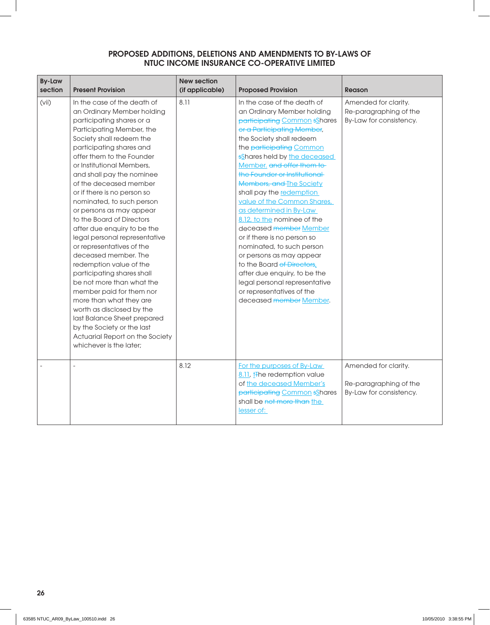| <b>By-Law</b><br>section | <b>Present Provision</b>                                                                                                                                                                                                                                                                                                                                                                                                                                                                                                                                                                                                                                                                                                                                                                                                                    | <b>New section</b><br>(if applicable) | <b>Proposed Provision</b>                                                                                                                                                                                                                                                                                                                                                                                                                                                                                                                                                                                                                                                                               | <b>Reason</b>                                                             |
|--------------------------|---------------------------------------------------------------------------------------------------------------------------------------------------------------------------------------------------------------------------------------------------------------------------------------------------------------------------------------------------------------------------------------------------------------------------------------------------------------------------------------------------------------------------------------------------------------------------------------------------------------------------------------------------------------------------------------------------------------------------------------------------------------------------------------------------------------------------------------------|---------------------------------------|---------------------------------------------------------------------------------------------------------------------------------------------------------------------------------------------------------------------------------------------------------------------------------------------------------------------------------------------------------------------------------------------------------------------------------------------------------------------------------------------------------------------------------------------------------------------------------------------------------------------------------------------------------------------------------------------------------|---------------------------------------------------------------------------|
| (vii)                    | In the case of the death of<br>an Ordinary Member holding<br>participating shares or a<br>Participating Member, the<br>Society shall redeem the<br>participating shares and<br>offer them to the Founder<br>or Institutional Members,<br>and shall pay the nominee<br>of the deceased member<br>or if there is no person so<br>nominated, to such person<br>or persons as may appear<br>to the Board of Directors<br>after due enquiry to be the<br>legal personal representative<br>or representatives of the<br>deceased member. The<br>redemption value of the<br>participating shares shall<br>be not more than what the<br>member paid for them nor<br>more than what they are<br>worth as disclosed by the<br>last Balance Sheet prepared<br>by the Society or the last<br>Actuarial Report on the Society<br>whichever is the later; | 8.11                                  | In the case of the death of<br>an Ordinary Member holding<br>participating Common sShares<br>or a Participating Member,<br>the Society shall redeem<br>the participating Common<br>sShares held by the deceased<br>Member, and offer them to-<br>the Founder or Institutional<br>Members, and The Society<br>shall pay the redemption<br>value of the Common Shares,<br>as determined in By-Law<br>8.12, to the nominee of the<br>deceased member Member<br>or if there is no person so<br>nominated, to such person<br>or persons as may appear<br>to the Board of Directors,<br>after due enquiry, to be the<br>legal personal representative<br>or representatives of the<br>deceased member Member. | Amended for clarity.<br>Re-paragraphing of the<br>By-Law for consistency. |
|                          |                                                                                                                                                                                                                                                                                                                                                                                                                                                                                                                                                                                                                                                                                                                                                                                                                                             | 8.12                                  | For the purposes of By-Law<br>8.11, <i>H</i> he redemption value<br>of the deceased Member's<br>participating Common sShares<br>shall be not more than the<br>lesser of:                                                                                                                                                                                                                                                                                                                                                                                                                                                                                                                                | Amended for clarity.<br>Re-paragraphing of the<br>By-Law for consistency. |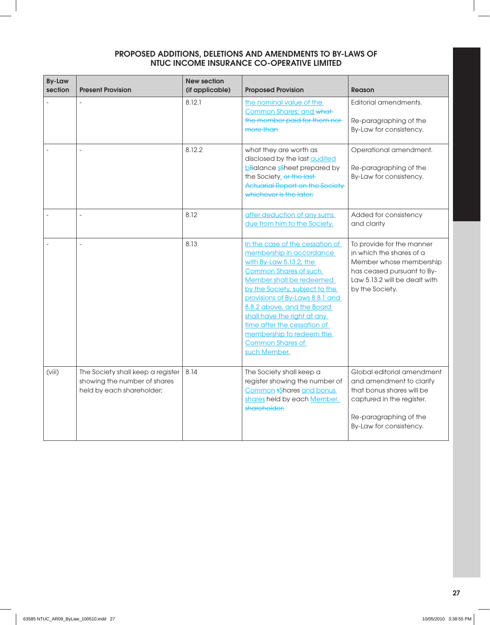| <b>By-Law</b><br>section | <b>Present Provision</b>                                                                       | <b>New section</b><br>(if applicable) | <b>Proposed Provision</b>                                                                                                                                                                                                                                                                                                                                                                     | <b>Reason</b>                                                                                                                                                         |
|--------------------------|------------------------------------------------------------------------------------------------|---------------------------------------|-----------------------------------------------------------------------------------------------------------------------------------------------------------------------------------------------------------------------------------------------------------------------------------------------------------------------------------------------------------------------------------------------|-----------------------------------------------------------------------------------------------------------------------------------------------------------------------|
|                          |                                                                                                | 8.12.1                                | the nominal value of the<br>Common Shares; and what-<br>the member paid for them nor-<br>more than                                                                                                                                                                                                                                                                                            | Editorial amendments.<br>Re-paragraphing of the<br>By-Law for consistency.                                                                                            |
|                          |                                                                                                | 8.12.2                                | what they are worth as<br>disclosed by the last <u>audited</u><br><b>bBalance sSheet prepared by</b><br>the Society. or the last-<br><b>Actuarial Report on the Society</b><br>whichever is the later:                                                                                                                                                                                        | Operational amendment.<br>Re-paragraphing of the<br>By-Law for consistency.                                                                                           |
|                          |                                                                                                | 8.12                                  | after deduction of any sums<br>due from him to the Society.                                                                                                                                                                                                                                                                                                                                   | Added for consistency<br>and clarity                                                                                                                                  |
|                          |                                                                                                | 8.13                                  | In the case of the cessation of<br>membership in accordance<br>with By-Law $5.13.2$ , the<br><b>Common Shares of such</b><br>Member shall be redeemed<br>by the Society, subject to the<br>provisions of By-Laws 8.8.1 and<br>8.8.2 above, and the Board<br>shall have the right at any<br>time after the cessation of<br>membership to redeem the<br><b>Common Shares of</b><br>such Member. | To provide for the manner<br>in which the shares of a<br>Member whose membership<br>has ceased pursuant to By-<br>Law 5.13.2 will be dealt with<br>by the Society.    |
| (viii)                   | The Society shall keep a register<br>showing the number of shares<br>held by each shareholder; | 8.14                                  | The Society shall keep a<br>register showing the number of<br><b>Common sShares and bonus</b><br>shares held by each Member.<br>shareholder:                                                                                                                                                                                                                                                  | Global editorial amendment<br>and amendment to clarify<br>that bonus shares will be<br>captured in the register.<br>Re-paragraphing of the<br>By-Law for consistency. |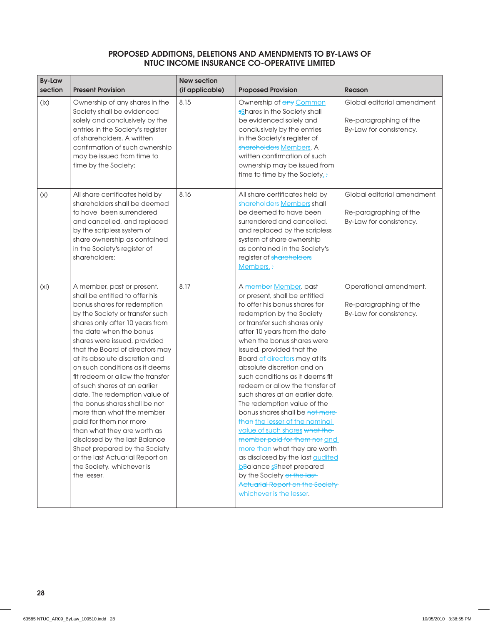| <b>By-Law</b><br>section | <b>Present Provision</b>                                                                                                                                                                                                                                                                                                                                                                                                                                                                                                                                                                                                                                                                                         | <b>New section</b><br>(if applicable) | <b>Proposed Provision</b>                                                                                                                                                                                                                                                                                                                                                                                                                                                                                                                                                                                                                                                                                                                                                                                        | <b>Reason</b>                                                                    |
|--------------------------|------------------------------------------------------------------------------------------------------------------------------------------------------------------------------------------------------------------------------------------------------------------------------------------------------------------------------------------------------------------------------------------------------------------------------------------------------------------------------------------------------------------------------------------------------------------------------------------------------------------------------------------------------------------------------------------------------------------|---------------------------------------|------------------------------------------------------------------------------------------------------------------------------------------------------------------------------------------------------------------------------------------------------------------------------------------------------------------------------------------------------------------------------------------------------------------------------------------------------------------------------------------------------------------------------------------------------------------------------------------------------------------------------------------------------------------------------------------------------------------------------------------------------------------------------------------------------------------|----------------------------------------------------------------------------------|
| (ix)                     | Ownership of any shares in the<br>Society shall be evidenced<br>solely and conclusively by the<br>entries in the Society's register<br>of shareholders. A written<br>confirmation of such ownership<br>may be issued from time to<br>time by the Society;                                                                                                                                                                                                                                                                                                                                                                                                                                                        | 8.15                                  | Ownership of any Common<br>sShares in the Society shall<br>be evidenced solely and<br>conclusively by the entries<br>in the Society's register of<br>shareholders Members. A<br>written confirmation of such<br>ownership may be issued from<br>time to time by the Society.:                                                                                                                                                                                                                                                                                                                                                                                                                                                                                                                                    | Global editorial amendment.<br>Re-paragraphing of the<br>By-Law for consistency. |
| (x)                      | All share certificates held by<br>shareholders shall be deemed<br>to have been surrendered<br>and cancelled, and replaced<br>by the scripless system of<br>share ownership as contained<br>in the Society's register of<br>shareholders;                                                                                                                                                                                                                                                                                                                                                                                                                                                                         | 8.16                                  | All share certificates held by<br>shareholders Members shall<br>be deemed to have been<br>surrendered and cancelled,<br>and replaced by the scripless<br>system of share ownership<br>as contained in the Society's<br>register of shareholders<br>Members.;                                                                                                                                                                                                                                                                                                                                                                                                                                                                                                                                                     | Global editorial amendment.<br>Re-paragraphing of the<br>By-Law for consistency. |
| (x <sub>i</sub> )        | A member, past or present,<br>shall be entitled to offer his<br>bonus shares for redemption<br>by the Society or transfer such<br>shares only after 10 years from<br>the date when the bonus<br>shares were issued, provided<br>that the Board of directors may<br>at its absolute discretion and<br>on such conditions as it deems<br>fit redeem or allow the transfer<br>of such shares at an earlier<br>date. The redemption value of<br>the bonus shares shall be not<br>more than what the member<br>paid for them nor more<br>than what they are worth as<br>disclosed by the last Balance<br>Sheet prepared by the Society<br>or the last Actuarial Report on<br>the Society, whichever is<br>the lesser. | 8.17                                  | A member Member, past<br>or present, shall be entitled<br>to offer his bonus shares for<br>redemption by the Society<br>or transfer such shares only<br>after 10 years from the date<br>when the bonus shares were<br>issued, provided that the<br>Board of directors may at its<br>absolute discretion and on<br>such conditions as it deems fit<br>redeem or allow the transfer of<br>such shares at an earlier date.<br>The redemption value of the<br>bonus shares shall be not more-<br>than the lesser of the nominal<br>value of such shares what the<br>member paid for them nor and<br>more than what they are worth<br>as disclosed by the last <b>audited</b><br><b>bBalance sSheet prepared</b><br>by the Society or the last-<br><b>Actuarial Report on the Society</b><br>whichever is the lesser. | Operational amendment.<br>Re-paragraphing of the<br>By-Law for consistency.      |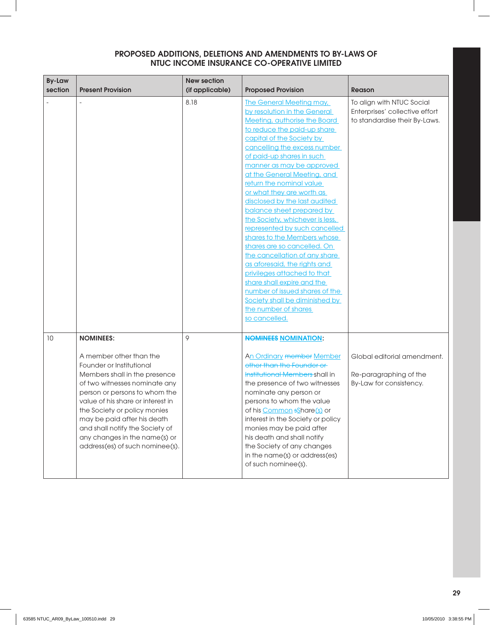| <b>By-Law</b><br>section | <b>Present Provision</b>                                                                                                                                                                                                                                                                                                                                                              | <b>New section</b><br>(if applicable) | <b>Proposed Provision</b>                                                                                                                                                                                                                                                                                                                                                                                                                                                                                                                                                                                                                                                                                                                                                                | <b>Reason</b>                                                                                |
|--------------------------|---------------------------------------------------------------------------------------------------------------------------------------------------------------------------------------------------------------------------------------------------------------------------------------------------------------------------------------------------------------------------------------|---------------------------------------|------------------------------------------------------------------------------------------------------------------------------------------------------------------------------------------------------------------------------------------------------------------------------------------------------------------------------------------------------------------------------------------------------------------------------------------------------------------------------------------------------------------------------------------------------------------------------------------------------------------------------------------------------------------------------------------------------------------------------------------------------------------------------------------|----------------------------------------------------------------------------------------------|
|                          |                                                                                                                                                                                                                                                                                                                                                                                       | 8.18                                  | <b>The General Meeting may,</b><br>by resolution in the General<br>Meeting, authorise the Board<br>to reduce the paid-up share<br>capital of the Society by<br>cancelling the excess number<br>of paid-up shares in such<br>manner as may be approved<br>at the General Meeting, and<br>return the nominal value<br>or what they are worth as<br>disclosed by the last audited<br>balance sheet prepared by<br>the Society, whichever is less,<br>represented by such cancelled<br>shares to the Members whose<br>shares are so cancelled. On<br>the cancellation of any share<br>as aforesaid, the rights and<br>privileges attached to that<br>share shall expire and the<br>number of issued shares of the<br>Society shall be diminished by<br>the number of shares<br>so cancelled. | To align with NTUC Social<br>Enterprises' collective effort<br>to standardise their By-Laws. |
| 10                       | <b>NOMINEES:</b><br>A member other than the<br>Founder or Institutional<br>Members shall in the presence<br>of two witnesses nominate any<br>person or persons to whom the<br>value of his share or interest in<br>the Society or policy monies<br>may be paid after his death<br>and shall notify the Society of<br>any changes in the name(s) or<br>address(es) of such nominee(s). | 9                                     | <b>NOMINEES NOMINATION:</b><br>An Ordinary member Member<br>other than the Founder or<br>Institutional Members shall in<br>the presence of two witnesses<br>nominate any person or<br>persons to whom the value<br>of his Common sShare(s) or<br>interest in the Society or policy<br>monies may be paid after<br>his death and shall notify<br>the Society of any changes<br>in the name(s) or address(es)<br>of such nominee(s).                                                                                                                                                                                                                                                                                                                                                       | Global editorial amendment.<br>Re-paragraphing of the<br>By-Law for consistency.             |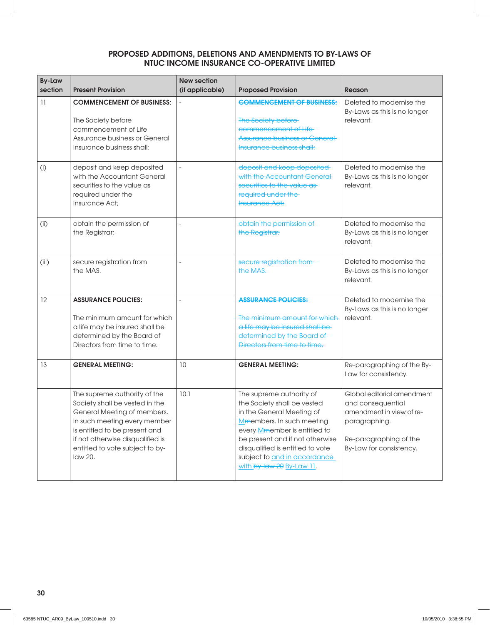| <b>By-Law</b><br>section | <b>Present Provision</b>                                                                                                                                                                                                                         | <b>New section</b><br>(if applicable) | <b>Proposed Provision</b>                                                                                                                                                                                                                                                             | Reason                                                                                                                                            |
|--------------------------|--------------------------------------------------------------------------------------------------------------------------------------------------------------------------------------------------------------------------------------------------|---------------------------------------|---------------------------------------------------------------------------------------------------------------------------------------------------------------------------------------------------------------------------------------------------------------------------------------|---------------------------------------------------------------------------------------------------------------------------------------------------|
| 11                       | <b>COMMENCEMENT OF BUSINESS:</b><br>The Society before<br>commencement of Life<br>Assurance business or General<br>Insurance business shall:                                                                                                     |                                       | <b>COMMENCEMENT OF BUSINESS:</b><br>The Society before-<br>commencement of Life-<br><b>Assurance business or General-</b><br><b>Insurance business shall:</b>                                                                                                                         | Deleted to modernise the<br>By-Laws as this is no longer<br>relevant.                                                                             |
| (i)                      | deposit and keep deposited<br>with the Accountant General<br>securities to the value as<br>required under the<br>Insurance Act;                                                                                                                  |                                       | deposit and keep deposited<br>with the Accountant General<br>securities to the value as-<br>required under the<br><b>Insurance Act;</b>                                                                                                                                               | Deleted to modernise the<br>By-Laws as this is no longer<br>relevant.                                                                             |
| (i)                      | obtain the permission of<br>the Registrar;                                                                                                                                                                                                       | $\equiv$                              | obtain the permission of<br>the Registrar;                                                                                                                                                                                                                                            | Deleted to modernise the<br>By-Laws as this is no longer<br>relevant.                                                                             |
| (iii)                    | secure registration from<br>the MAS.                                                                                                                                                                                                             |                                       | secure registration from-<br>the MAS.                                                                                                                                                                                                                                                 | Deleted to modernise the<br>By-Laws as this is no longer<br>relevant.                                                                             |
| 12                       | <b>ASSURANCE POLICIES:</b><br>The minimum amount for which<br>a life may be insured shall be<br>determined by the Board of<br>Directors from time to time.                                                                                       | $\overline{a}$                        | <b>ASSURANCE POLICIES:</b><br>The minimum amount for which<br>a life may be insured shall be-<br>determined by the Board of<br>Directors from time to time.                                                                                                                           | Deleted to modernise the<br>By-Laws as this is no longer<br>relevant.                                                                             |
| 13                       | <b>GENERAL MEETING:</b>                                                                                                                                                                                                                          | 10                                    | <b>GENERAL MEETING:</b>                                                                                                                                                                                                                                                               | Re-paragraphing of the By-<br>Law for consistency.                                                                                                |
|                          | The supreme authority of the<br>Society shall be vested in the<br>General Meeting of members.<br>In such meeting every member<br>is entitled to be present and<br>if not otherwise disqualified is<br>entitled to vote subject to by-<br>law 20. | 10.1                                  | The supreme authority of<br>the Society shall be vested<br>in the General Meeting of<br>Mmembers. In such meeting<br>every Mmember is entitled to<br>be present and if not otherwise<br>disqualified is entitled to vote<br>subject to and in accordance<br>with by-law 20 By-Law 11. | Global editorial amendment<br>and consequential<br>amendment in view of re-<br>paragraphing.<br>Re-paragraphing of the<br>By-Law for consistency. |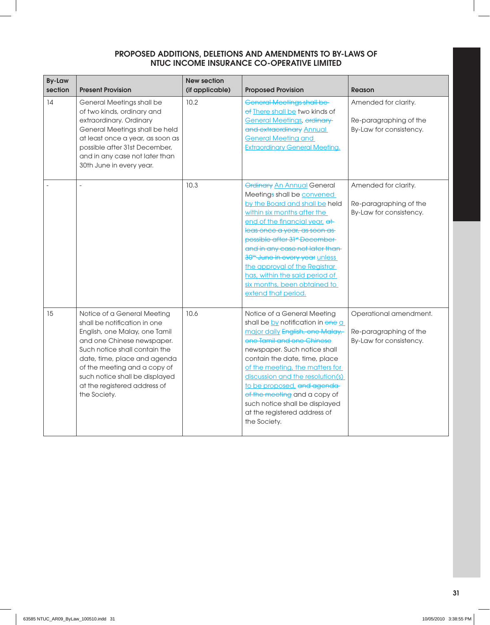| <b>By-Law</b><br>section | <b>Present Provision</b>                                                                                                                                                                                                                                                                                      | <b>New section</b><br>(if applicable) | <b>Proposed Provision</b>                                                                                                                                                                                                                                                                                                                                                                                                                                 | <b>Reason</b>                                                               |
|--------------------------|---------------------------------------------------------------------------------------------------------------------------------------------------------------------------------------------------------------------------------------------------------------------------------------------------------------|---------------------------------------|-----------------------------------------------------------------------------------------------------------------------------------------------------------------------------------------------------------------------------------------------------------------------------------------------------------------------------------------------------------------------------------------------------------------------------------------------------------|-----------------------------------------------------------------------------|
| 14                       | General Meetings shall be<br>of two kinds, ordinary and<br>extraordinary. Ordinary<br>General Meetings shall be held<br>at least once a year, as soon as<br>possible after 31st December,<br>and in any case not later than<br>30th June in every year.                                                       | 10.2                                  | <b>General Meetings shall be-</b><br>of There shall be two kinds of<br><b>General Meetings, ordinary</b><br>and extraordinary Annual<br><b>General Meeting and</b><br><b>Extraordinary General Meeting.</b>                                                                                                                                                                                                                                               | Amended for clarity.<br>Re-paragraphing of the<br>By-Law for consistency.   |
|                          |                                                                                                                                                                                                                                                                                                               | 10.3                                  | <b>Ordinary An Annual General</b><br>Meetings shall be convened<br>by the Board and shall be held<br>within six months after the<br>end of the financial year, at<br>leas once a year, as soon as-<br>possible after 31 <sup>st</sup> December<br>and in any case not later than-<br>30 <sup>th</sup> June in every year unless<br>the approval of the Registrar<br>has, within the said period of<br>six months, been obtained to<br>extend that period. | Amended for clarity.<br>Re-paragraphing of the<br>By-Law for consistency.   |
| 15                       | Notice of a General Meeting<br>shall be notification in one<br>English, one Malay, one Tamil<br>and one Chinese newspaper.<br>Such notice shall contain the<br>date, time, place and agenda<br>of the meeting and a copy of<br>such notice shall be displayed<br>at the registered address of<br>the Society. | 10.6                                  | Notice of a General Meeting<br>shall be by notification in one a<br>major daily English, one Malay,<br>one Tamil and one Chinese<br>newspaper. Such notice shall<br>contain the date, time, place<br>of the meeting, the matters for<br>discussion and the resolution(s)<br>to be proposed, and agenda-<br>of the meeting and a copy of<br>such notice shall be displayed<br>at the registered address of<br>the Society.                                 | Operational amendment.<br>Re-paragraphing of the<br>By-Law for consistency. |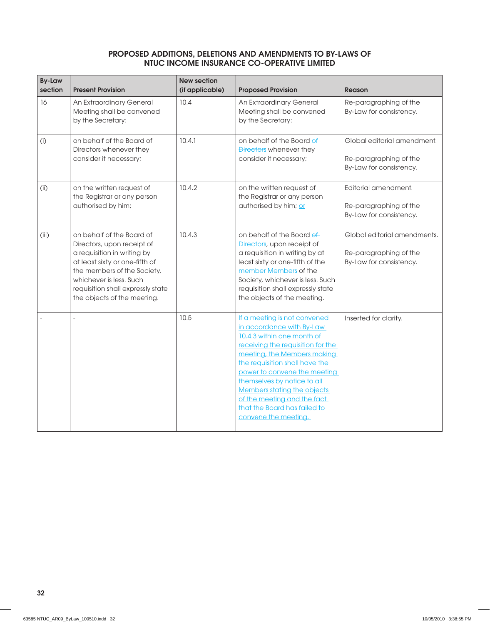| <b>By-Law</b><br>section | <b>Present Provision</b>                                                                                                                                                                                                                               | <b>New section</b><br>(if applicable) | <b>Proposed Provision</b>                                                                                                                                                                                                                                                                                                                                                          | <b>Reason</b>                                                                     |
|--------------------------|--------------------------------------------------------------------------------------------------------------------------------------------------------------------------------------------------------------------------------------------------------|---------------------------------------|------------------------------------------------------------------------------------------------------------------------------------------------------------------------------------------------------------------------------------------------------------------------------------------------------------------------------------------------------------------------------------|-----------------------------------------------------------------------------------|
| 16                       | An Extraordinary General<br>Meeting shall be convened<br>by the Secretary:                                                                                                                                                                             | 10.4                                  | An Extraordinary General<br>Meeting shall be convened<br>by the Secretary:                                                                                                                                                                                                                                                                                                         | Re-paragraphing of the<br>By-Law for consistency.                                 |
| (i)                      | on behalf of the Board of<br>Directors whenever they<br>consider it necessary;                                                                                                                                                                         | 10.4.1                                | on behalf of the Board of<br>Directors whenever they<br>consider it necessary;                                                                                                                                                                                                                                                                                                     | Global editorial amendment.<br>Re-paragraphing of the<br>By-Law for consistency.  |
| (i)                      | on the written request of<br>the Registrar or any person<br>authorised by him;                                                                                                                                                                         | 10.4.2                                | on the written request of<br>the Registrar or any person<br>authorised by him; or                                                                                                                                                                                                                                                                                                  | Editorial amendment.<br>Re-paragraphing of the<br>By-Law for consistency.         |
| (iii)                    | on behalf of the Board of<br>Directors, upon receipt of<br>a requisition in writing by<br>at least sixty or one-fifth of<br>the members of the Society,<br>whichever is less. Such<br>requisition shall expressly state<br>the objects of the meeting. | 10.4.3                                | on behalf of the Board of<br>Directors, upon receipt of<br>a requisition in writing by at<br>least sixty or one-fifth of the<br>member Members of the<br>Society, whichever is less. Such<br>requisition shall expressly state<br>the objects of the meeting.                                                                                                                      | Global editorial amendments.<br>Re-paragraphing of the<br>By-Law for consistency. |
|                          |                                                                                                                                                                                                                                                        | 10.5                                  | If a meeting is not convened<br>in accordance with By-Law<br>10.4.3 within one month of<br>receiving the requisition for the<br>meeting, the Members making<br>the requisition shall have the<br>power to convene the meeting<br>themselves by notice to all<br>Members stating the objects<br>of the meeting and the fact<br>that the Board has failed to<br>convene the meeting. | Inserted for clarity.                                                             |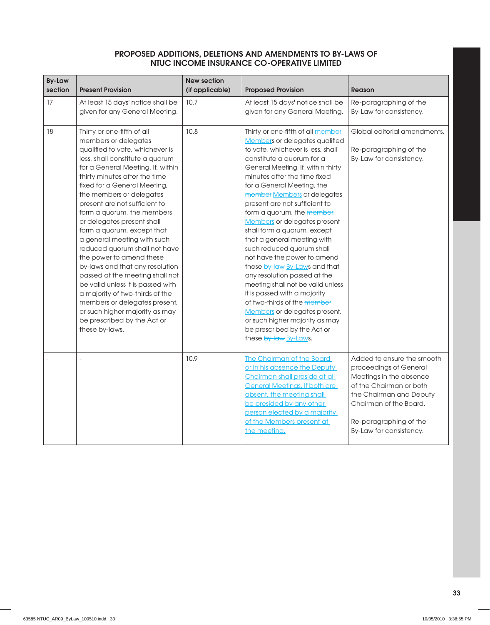| <b>By-Law</b><br>section | <b>Present Provision</b>                                                                                                                                                                                                                                                                                                                                                                                                                                                                                                                                                                                                                                                                                                                            | <b>New section</b><br>(if applicable) | <b>Proposed Provision</b>                                                                                                                                                                                                                                                                                                                                                                                                                                                                                                                                                                                                                                                                                                                                                                        | <b>Reason</b>                                                                                                                                                                                                        |
|--------------------------|-----------------------------------------------------------------------------------------------------------------------------------------------------------------------------------------------------------------------------------------------------------------------------------------------------------------------------------------------------------------------------------------------------------------------------------------------------------------------------------------------------------------------------------------------------------------------------------------------------------------------------------------------------------------------------------------------------------------------------------------------------|---------------------------------------|--------------------------------------------------------------------------------------------------------------------------------------------------------------------------------------------------------------------------------------------------------------------------------------------------------------------------------------------------------------------------------------------------------------------------------------------------------------------------------------------------------------------------------------------------------------------------------------------------------------------------------------------------------------------------------------------------------------------------------------------------------------------------------------------------|----------------------------------------------------------------------------------------------------------------------------------------------------------------------------------------------------------------------|
| 17                       | At least 15 days' notice shall be<br>given for any General Meeting.                                                                                                                                                                                                                                                                                                                                                                                                                                                                                                                                                                                                                                                                                 | 10.7                                  | At least 15 days' notice shall be<br>given for any General Meeting.                                                                                                                                                                                                                                                                                                                                                                                                                                                                                                                                                                                                                                                                                                                              | Re-paragraphing of the<br>By-Law for consistency.                                                                                                                                                                    |
| 18                       | Thirty or one-fifth of all<br>members or delegates<br>qualified to vote, whichever is<br>less, shall constitute a quorum<br>for a General Meeting. If, within<br>thirty minutes after the time<br>fixed for a General Meeting,<br>the members or delegates<br>present are not sufficient to<br>form a quorum, the members<br>or delegates present shall<br>form a quorum, except that<br>a general meeting with such<br>reduced quorum shall not have<br>the power to amend these<br>by-laws and that any resolution<br>passed at the meeting shall not<br>be valid unless it is passed with<br>a majority of two-thirds of the<br>members or delegates present,<br>or such higher majority as may<br>be prescribed by the Act or<br>these by-laws. | 10.8                                  | Thirty or one-fifth of all member<br>Members or delegates qualified<br>to vote, whichever is less, shall<br>constitute a quorum for a<br>General Meeting. If, within thirty<br>minutes after the time fixed<br>for a General Meeting, the<br>member Members or delegates<br>present are not sufficient to<br>form a quorum, the member<br>Members or delegates present<br>shall form a quorum, except<br>that a general meeting with<br>such reduced quorum shall<br>not have the power to amend<br>these by-law By-Laws and that<br>any resolution passed at the<br>meeting shall not be valid unless<br>it is passed with a majority<br>of two-thirds of the member<br>Members or delegates present,<br>or such higher majority as may<br>be prescribed by the Act or<br>these by-law By-Laws. | Global editorial amendments.<br>Re-paragraphing of the<br>By-Law for consistency.                                                                                                                                    |
|                          | $\overline{a}$                                                                                                                                                                                                                                                                                                                                                                                                                                                                                                                                                                                                                                                                                                                                      | 10.9                                  | <b>The Chairman of the Board</b><br>or in his absence the Deputy<br>Chairman shall preside at all<br><b>General Meetings. If both are</b><br>absent, the meeting shall<br>be presided by any other<br>person elected by a majority<br>of the Members present at<br>the meeting.                                                                                                                                                                                                                                                                                                                                                                                                                                                                                                                  | Added to ensure the smooth<br>proceedings of General<br>Meetings in the absence<br>of the Chairman or both<br>the Chairman and Deputy<br>Chairman of the Board.<br>Re-paragraphing of the<br>By-Law for consistency. |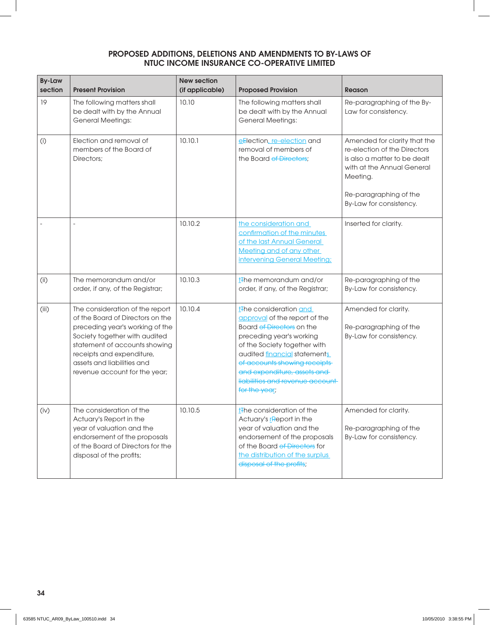| <b>By-Law</b><br>section | <b>Present Provision</b>                                                                                                                                                                                                                                             | <b>New section</b><br>(if applicable) | <b>Proposed Provision</b>                                                                                                                                                                                                                                                                                        | Reason                                                                                                                                                                                      |
|--------------------------|----------------------------------------------------------------------------------------------------------------------------------------------------------------------------------------------------------------------------------------------------------------------|---------------------------------------|------------------------------------------------------------------------------------------------------------------------------------------------------------------------------------------------------------------------------------------------------------------------------------------------------------------|---------------------------------------------------------------------------------------------------------------------------------------------------------------------------------------------|
| 19                       | The following matters shall<br>be dealt with by the Annual<br><b>General Meetings:</b>                                                                                                                                                                               | 10.10                                 | The following matters shall<br>be dealt with by the Annual<br><b>General Meetings:</b>                                                                                                                                                                                                                           | Re-paragraphing of the By-<br>Law for consistency.                                                                                                                                          |
| (i)                      | Election and removal of<br>members of the Board of<br>Directors;                                                                                                                                                                                                     | 10.10.1                               | eElection, re-election and<br>removal of members of<br>the Board of Directors:                                                                                                                                                                                                                                   | Amended for clarity that the<br>re-election of the Directors<br>is also a matter to be dealt<br>with at the Annual General<br>Meeting.<br>Re-paragraphing of the<br>By-Law for consistency. |
|                          |                                                                                                                                                                                                                                                                      | 10.10.2                               | the consideration and<br>confirmation of the minutes<br>of the last Annual General<br>Meeting and of any other<br>intervening General Meeting;                                                                                                                                                                   | Inserted for clarity.                                                                                                                                                                       |
| (i)                      | The memorandum and/or<br>order, if any, of the Registrar;                                                                                                                                                                                                            | 10.10.3                               | t <sub>The memorandum and/or</sub><br>order, if any, of the Registrar;                                                                                                                                                                                                                                           | Re-paragraphing of the<br>By-Law for consistency.                                                                                                                                           |
| (iii)                    | The consideration of the report<br>of the Board of Directors on the<br>preceding year's working of the<br>Society together with audited<br>statement of accounts showing<br>receipts and expenditure,<br>assets and liabilities and<br>revenue account for the year; | 10.10.4                               | t <sub>The consideration and</sub><br>approval of the report of the<br>Board of Directors on the<br>preceding year's working<br>of the Society together with<br>audited financial statements<br>of accounts showing receipts<br>and expenditure, assets and<br>liabilities and revenue account-<br>for the year; | Amended for clarity.<br>Re-paragraphing of the<br>By-Law for consistency.                                                                                                                   |
| (iv)                     | The consideration of the<br>Actuary's Report in the<br>year of valuation and the<br>endorsement of the proposals<br>of the Board of Directors for the<br>disposal of the profits;                                                                                    | 10.10.5                               | t <sub>The consideration of the</sub><br>Actuary's report in the<br>year of valuation and the<br>endorsement of the proposals<br>of the Board of Directors for<br>the distribution of the surplus<br>disposal of the profits;                                                                                    | Amended for clarity.<br>Re-paragraphing of the<br>By-Law for consistency.                                                                                                                   |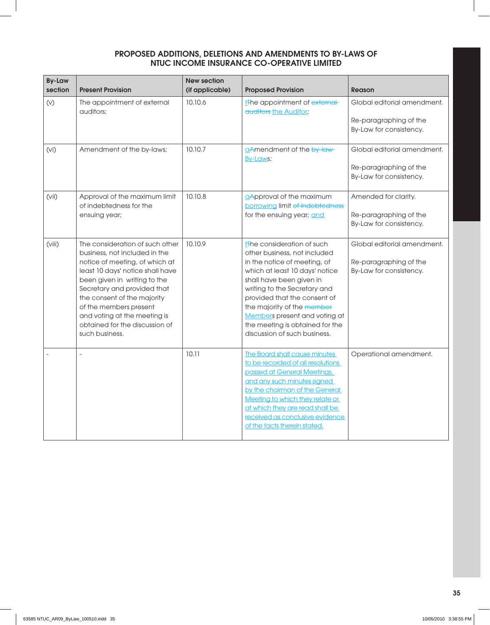| <b>By-Law</b><br>section | <b>Present Provision</b>                                                                                                                                                                                                                                                                                                                           | <b>New section</b><br>(if applicable) | <b>Proposed Provision</b>                                                                                                                                                                                                                                                                                                                                              | <b>Reason</b>                                                                    |
|--------------------------|----------------------------------------------------------------------------------------------------------------------------------------------------------------------------------------------------------------------------------------------------------------------------------------------------------------------------------------------------|---------------------------------------|------------------------------------------------------------------------------------------------------------------------------------------------------------------------------------------------------------------------------------------------------------------------------------------------------------------------------------------------------------------------|----------------------------------------------------------------------------------|
| (v)                      | The appointment of external<br>quditors:                                                                                                                                                                                                                                                                                                           | 10.10.6                               | t <sub>The appointment of external</sub><br>auditors the Auditor;                                                                                                                                                                                                                                                                                                      | Global editorial amendment.<br>Re-paragraphing of the<br>By-Law for consistency. |
| (Vi)                     | Amendment of the by-laws;                                                                                                                                                                                                                                                                                                                          | 10.10.7                               | aAmendment of the by-law-<br>By-Laws;                                                                                                                                                                                                                                                                                                                                  | Global editorial amendment.<br>Re-paragraphing of the<br>By-Law for consistency. |
| (vii)                    | Approval of the maximum limit<br>of indebtedness for the<br>ensuing year;                                                                                                                                                                                                                                                                          | 10.10.8                               | aApproval of the maximum<br>borrowing limit of indebtedness<br>for the ensuing year; and                                                                                                                                                                                                                                                                               | Amended for clarity.<br>Re-paragraphing of the<br>By-Law for consistency.        |
| (viii)                   | The consideration of such other<br>business, not included in the<br>notice of meeting, of which at<br>least 10 days' notice shall have<br>been given in writing to the<br>Secretary and provided that<br>the consent of the majority<br>of the members present<br>and voting at the meeting is<br>obtained for the discussion of<br>such business. | 10.10.9                               | t <sub>The consideration of such</sub><br>other business, not included<br>in the notice of meeting, of<br>which at least 10 days' notice<br>shall have been given in<br>writing to the Secretary and<br>provided that the consent of<br>the majority of the member<br>Members present and voting at<br>the meeting is obtained for the<br>discussion of such business. | Global editorial amendment.<br>Re-paragraphing of the<br>By-Law for consistency. |
|                          |                                                                                                                                                                                                                                                                                                                                                    | 10.11                                 | The Board shall cause minutes<br>to be recorded of all resolutions<br>passed at General Meetings,<br>and any such minutes signed<br>by the chairman of the General<br>Meeting to which they relate or<br>at which they are read shall be<br>received as conclusive evidence<br>of the facts therein stated.                                                            | Operational amendment.                                                           |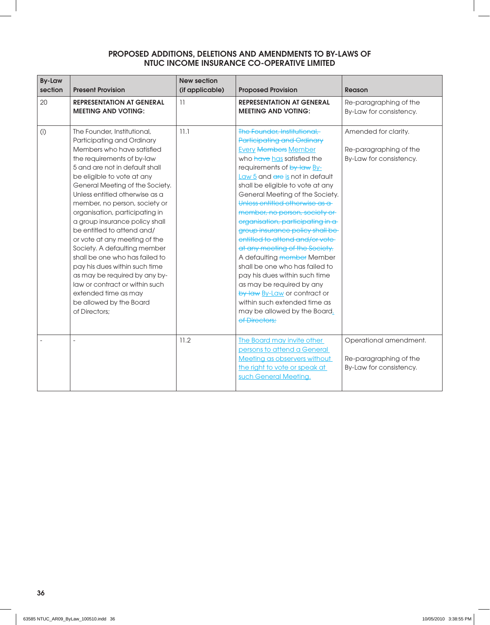| <b>By-Law</b><br>section | <b>Present Provision</b>                                                                                                                                                                                                                                                                                                                                                                                                                                                                                                                                                                                                                                                 | <b>New section</b><br>(if applicable) | <b>Proposed Provision</b>                                                                                                                                                                                                                                                                                                                                                                                                                                                                                                                                                                                                                                                                                                           | Reason                                                                      |
|--------------------------|--------------------------------------------------------------------------------------------------------------------------------------------------------------------------------------------------------------------------------------------------------------------------------------------------------------------------------------------------------------------------------------------------------------------------------------------------------------------------------------------------------------------------------------------------------------------------------------------------------------------------------------------------------------------------|---------------------------------------|-------------------------------------------------------------------------------------------------------------------------------------------------------------------------------------------------------------------------------------------------------------------------------------------------------------------------------------------------------------------------------------------------------------------------------------------------------------------------------------------------------------------------------------------------------------------------------------------------------------------------------------------------------------------------------------------------------------------------------------|-----------------------------------------------------------------------------|
| 20                       | <b>REPRESENTATION AT GENERAL</b><br><b>MEETING AND VOTING:</b>                                                                                                                                                                                                                                                                                                                                                                                                                                                                                                                                                                                                           | 11                                    | <b>REPRESENTATION AT GENERAL</b><br><b>MEETING AND VOTING:</b>                                                                                                                                                                                                                                                                                                                                                                                                                                                                                                                                                                                                                                                                      | Re-paragraphing of the<br>By-Law for consistency.                           |
| (i)                      | The Founder, Institutional,<br>Participating and Ordinary<br>Members who have satisfied<br>the requirements of by-law<br>5 and are not in default shall<br>be eligible to vote at any<br>General Meeting of the Society.<br>Unless entitled otherwise as a<br>member, no person, society or<br>organisation, participating in<br>a group insurance policy shall<br>be entitled to attend and/<br>or vote at any meeting of the<br>Society. A defaulting member<br>shall be one who has failed to<br>pay his dues within such time<br>as may be required by any by-<br>law or contract or within such<br>extended time as may<br>be allowed by the Board<br>of Directors: | 11.1                                  | The Founder, Institutional,<br><b>Participating and Ordinary</b><br><b>Every Members Member</b><br>who have has satisfied the<br>requirements of by-law By-<br>Law 5 and are is not in default<br>shall be eligible to vote at any<br>General Meeting of the Society.<br>Unless entitled otherwise as a<br>member, no person, society or<br>organisation, participating in a<br>group insurance policy shall be<br>entitled to attend and/or vote-<br>at any meeting of the Society.<br>A defaulting member Member<br>shall be one who has failed to<br>pay his dues within such time<br>as may be required by any<br>by-law By-Law or contract or<br>within such extended time as<br>may be allowed by the Board.<br>of Directors: | Amended for clarity.<br>Re-paragraphing of the<br>By-Law for consistency.   |
|                          |                                                                                                                                                                                                                                                                                                                                                                                                                                                                                                                                                                                                                                                                          | 11.2                                  | The Board may invite other<br>persons to attend a General<br>Meeting as observers without<br>the right to vote or speak at<br>such General Meeting.                                                                                                                                                                                                                                                                                                                                                                                                                                                                                                                                                                                 | Operational amendment.<br>Re-paragraphing of the<br>By-Law for consistency. |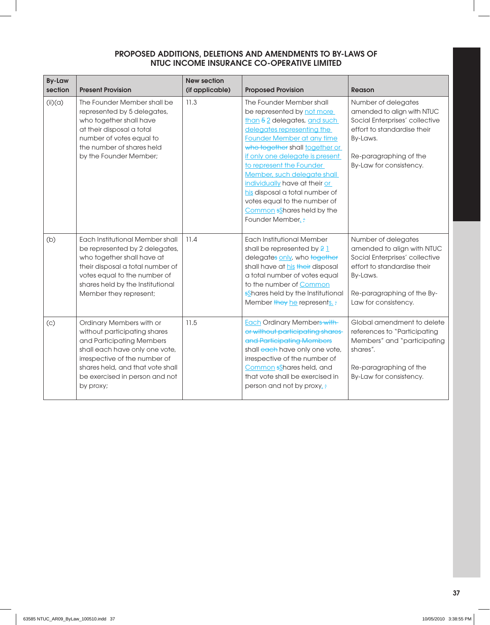| <b>By-Law</b><br>section | <b>Present Provision</b>                                                                                                                                                                                                                    | <b>New section</b><br>(if applicable) | <b>Proposed Provision</b>                                                                                                                                                                                                                                                                                                                                                                                                                | Reason                                                                                                                                                                               |
|--------------------------|---------------------------------------------------------------------------------------------------------------------------------------------------------------------------------------------------------------------------------------------|---------------------------------------|------------------------------------------------------------------------------------------------------------------------------------------------------------------------------------------------------------------------------------------------------------------------------------------------------------------------------------------------------------------------------------------------------------------------------------------|--------------------------------------------------------------------------------------------------------------------------------------------------------------------------------------|
| (ii)(a)                  | The Founder Member shall be<br>represented by 5 delegates,<br>who together shall have<br>at their disposal a total<br>number of votes equal to<br>the number of shares held<br>by the Founder Member;                                       | 11.3                                  | The Founder Member shall<br>be represented by not more<br>than 5 2 delegates, and such<br>delegates representing the<br>Founder Member at any time<br>who together shall together or<br>if only one delegate is present<br>to represent the Founder<br>Member, such delegate shall<br>individually have at their or<br>his disposal a total number of<br>votes equal to the number of<br>Common sShares held by the<br>Founder Member. : | Number of delegates<br>amended to align with NTUC<br>Social Enterprises' collective<br>effort to standardise their<br>By-Laws.<br>Re-paragraphing of the<br>By-Law for consistency.  |
| (b)                      | Each Institutional Member shall<br>be represented by 2 delegates,<br>who together shall have at<br>their disposal a total number of<br>votes equal to the number of<br>shares held by the Institutional<br>Member they represent;           | 11.4                                  | <b>Each Institutional Member</b><br>shall be represented by $21$<br>delegates only, who together<br>shall have at his their disposal<br>a total number of votes equal<br>to the number of Common<br>sShares held by the Institutional<br>Member they he represents. :                                                                                                                                                                    | Number of delegates<br>amended to align with NTUC<br>Social Enterprises' collective<br>effort to standardise their<br>By-Laws.<br>Re-paragraphing of the By-<br>Law for consistency. |
| (c)                      | Ordinary Members with or<br>without participating shares<br>and Participating Members<br>shall each have only one vote,<br>irrespective of the number of<br>shares held, and that vote shall<br>be exercised in person and not<br>by proxy; | 11.5                                  | <b>Each Ordinary Members with</b><br>or without participating shares-<br>and Participating Members<br>shall each have only one vote,<br>irrespective of the number of<br>Common sShares held, and<br>that vote shall be exercised in<br>person and not by proxy.:                                                                                                                                                                        | Global amendment to delete<br>references to "Participating<br>Members" and "participating<br>shares".<br>Re-paragraphing of the<br>By-Law for consistency.                           |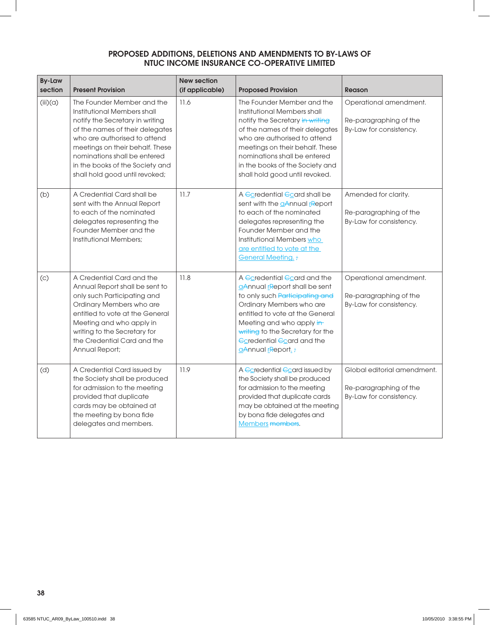| <b>By-Law</b><br>section | <b>Present Provision</b>                                                                                                                                                                                                                                                                                | <b>New section</b><br>(if applicable) | <b>Proposed Provision</b>                                                                                                                                                                                                                                                                               | Reason                                                                           |
|--------------------------|---------------------------------------------------------------------------------------------------------------------------------------------------------------------------------------------------------------------------------------------------------------------------------------------------------|---------------------------------------|---------------------------------------------------------------------------------------------------------------------------------------------------------------------------------------------------------------------------------------------------------------------------------------------------------|----------------------------------------------------------------------------------|
| (iii)(a)                 | The Founder Member and the<br>Institutional Members shall<br>notify the Secretary in writing<br>of the names of their delegates<br>who are authorised to attend<br>meetings on their behalf. These<br>nominations shall be entered<br>in the books of the Society and<br>shall hold good until revoked; | 11.6                                  | The Founder Member and the<br>Institutional Members shall<br>notify the Secretary in writing<br>of the names of their delegates<br>who are authorised to attend<br>meetings on their behalf. These<br>nominations shall be entered<br>in the books of the Society and<br>shall hold good until revoked. | Operational amendment.<br>Re-paragraphing of the<br>By-Law for consistency.      |
| (b)                      | A Credential Card shall be<br>sent with the Annual Report<br>to each of the nominated<br>delegates representing the<br>Founder Member and the<br>Institutional Members:                                                                                                                                 | 11.7                                  | A Coredential Coard shall be<br>sent with the aAnnual report<br>to each of the nominated<br>delegates representing the<br>Founder Member and the<br>Institutional Members who<br>are entitled to vote at the<br><b>General Meeting.:</b>                                                                | Amended for clarity.<br>Re-paragraphing of the<br>By-Law for consistency.        |
| (c)                      | A Credential Card and the<br>Annual Report shall be sent to<br>only such Participating and<br>Ordinary Members who are<br>entitled to vote at the General<br>Meeting and who apply in<br>writing to the Secretary for<br>the Credential Card and the<br>Annual Report;                                  | 11.8                                  | A Ccredential Ccard and the<br>aAnnual report shall be sent<br>to only such Participating and<br>Ordinary Members who are<br>entitled to vote at the General<br>Meeting and who apply in-<br>writing to the Secretary for the<br><b>Coredential Coard and the</b><br>aAnnual report.;                   | Operational amendment.<br>Re-paragraphing of the<br>By-Law for consistency.      |
| (d)                      | A Credential Card issued by<br>the Society shall be produced<br>for admission to the meeting<br>provided that duplicate<br>cards may be obtained at<br>the meeting by bona fide<br>delegates and members.                                                                                               | 11.9                                  | A Ccredential Ccard issued by<br>the Society shall be produced<br>for admission to the meeting<br>provided that duplicate cards<br>may be obtained at the meeting<br>by bona fide delegates and<br><b>Members</b> members.                                                                              | Global editorial amendment.<br>Re-paragraphing of the<br>By-Law for consistency. |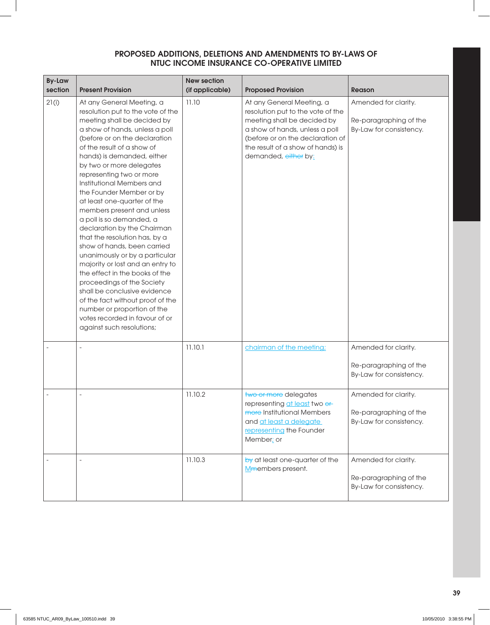| <b>By-Law</b><br>section | <b>Present Provision</b>                                                                                                                                                                                                                                                                                                                                                                                                                                                                                                                                                                                                                                                                                                                                                                                                                      | <b>New section</b><br>(if applicable) | <b>Proposed Provision</b>                                                                                                                                                                                                        | <b>Reason</b>                                                             |
|--------------------------|-----------------------------------------------------------------------------------------------------------------------------------------------------------------------------------------------------------------------------------------------------------------------------------------------------------------------------------------------------------------------------------------------------------------------------------------------------------------------------------------------------------------------------------------------------------------------------------------------------------------------------------------------------------------------------------------------------------------------------------------------------------------------------------------------------------------------------------------------|---------------------------------------|----------------------------------------------------------------------------------------------------------------------------------------------------------------------------------------------------------------------------------|---------------------------------------------------------------------------|
| 21(i)                    | At any General Meeting, a<br>resolution put to the vote of the<br>meeting shall be decided by<br>a show of hands, unless a poll<br>(before or on the declaration<br>of the result of a show of<br>hands) is demanded, either<br>by two or more delegates<br>representing two or more<br>Institutional Members and<br>the Founder Member or by<br>at least one-quarter of the<br>members present and unless<br>a poll is so demanded, a<br>declaration by the Chairman<br>that the resolution has, by a<br>show of hands, been carried<br>unanimously or by a particular<br>majority or lost and an entry to<br>the effect in the books of the<br>proceedings of the Society<br>shall be conclusive evidence<br>of the fact without proof of the<br>number or proportion of the<br>votes recorded in favour of or<br>against such resolutions; | 11.10                                 | At any General Meeting, a<br>resolution put to the vote of the<br>meeting shall be decided by<br>a show of hands, unless a poll<br>(before or on the declaration of<br>the result of a show of hands) is<br>demanded, either by: | Amended for clarity.<br>Re-paragraphing of the<br>By-Law for consistency. |
|                          |                                                                                                                                                                                                                                                                                                                                                                                                                                                                                                                                                                                                                                                                                                                                                                                                                                               | 11.10.1                               | chairman of the meeting;                                                                                                                                                                                                         | Amended for clarity.<br>Re-paragraphing of the<br>By-Law for consistency. |
|                          |                                                                                                                                                                                                                                                                                                                                                                                                                                                                                                                                                                                                                                                                                                                                                                                                                                               | 11.10.2                               | two or more delegates<br>representing at least two or<br>more Institutional Members<br>and at least a delegate<br>representing the Founder<br>Member; or                                                                         | Amended for clarity.<br>Re-paragraphing of the<br>By-Law for consistency. |
|                          |                                                                                                                                                                                                                                                                                                                                                                                                                                                                                                                                                                                                                                                                                                                                                                                                                                               | 11.10.3                               | by at least one-quarter of the<br>Mmembers present.                                                                                                                                                                              | Amended for clarity.<br>Re-paragraphing of the<br>By-Law for consistency. |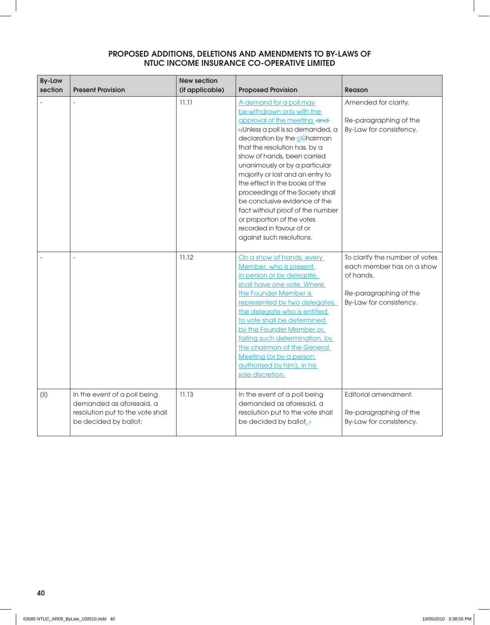| <b>By-Law</b><br>section | <b>Present Provision</b>                                                                                              | <b>New section</b><br>(if applicable) | <b>Proposed Provision</b>                                                                                                                                                                                                                                                                                                                                                                                                                                                                                                         | <b>Reason</b>                                                                                                                 |
|--------------------------|-----------------------------------------------------------------------------------------------------------------------|---------------------------------------|-----------------------------------------------------------------------------------------------------------------------------------------------------------------------------------------------------------------------------------------------------------------------------------------------------------------------------------------------------------------------------------------------------------------------------------------------------------------------------------------------------------------------------------|-------------------------------------------------------------------------------------------------------------------------------|
|                          |                                                                                                                       | 11.11                                 | A demand for a poll may<br>be withdrawn only with the<br>approval of the meeting, and<br>uUnless a poll is so demanded, a<br>declaration by the cehairman<br>that the resolution has, by a<br>show of hands, been carried<br>unanimously or by a particular<br>majority or lost and an entry to<br>the effect in the books of the<br>proceedings of the Society shall<br>be conclusive evidence of the<br>fact without proof of the number<br>or proportion of the votes<br>recorded in favour of or<br>against such resolutions. | Amended for clarity.<br>Re-paragraphing of the<br>By-Law for consistency.                                                     |
|                          |                                                                                                                       | 11.12                                 | On a show of hands, every<br>Member, who is present<br>in person or by delegate,<br>shall have one vote. Where<br>the Founder Member is<br>represented by two delegates,<br>the delegate who is entitled<br>to vote shall be determined<br>by the Founder Member or,<br>failing such determination, by<br>the chairman of the General<br>Meeting (or by a person<br>authorised by him), in his<br>sole discretion.                                                                                                                | To clarify the number of votes<br>each member has on a show<br>of hands.<br>Re-paragraphing of the<br>By-Law for consistency. |
| (i)                      | In the event of a poll being<br>demanded as aforesaid, a<br>resolution put to the vote shall<br>be decided by ballot; | 11.13                                 | In the event of a poll being<br>demanded as aforesaid, a<br>resolution put to the vote shall<br>be decided by ballot.;                                                                                                                                                                                                                                                                                                                                                                                                            | Editorial amendment.<br>Re-paragraphing of the<br>By-Law for consistency.                                                     |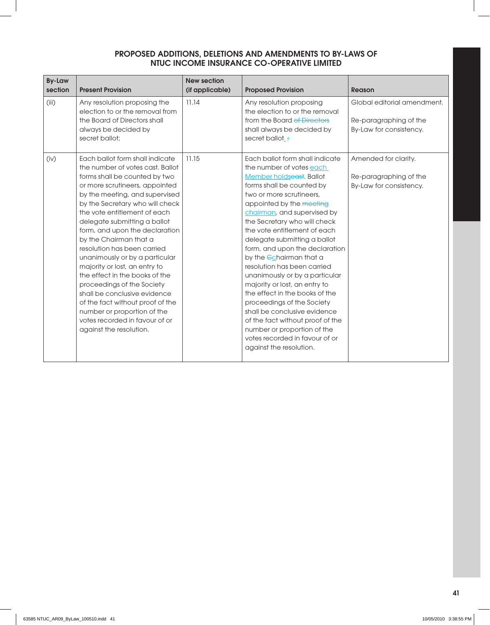| <b>By-Law</b><br>section | <b>Present Provision</b>                                                                                                                                                                                                                                                                                                                                                                                                                                                                                                                                                                                                                                                  | <b>New section</b><br>(if applicable) | <b>Proposed Provision</b>                                                                                                                                                                                                                                                                                                                                                                                                                                                                                                                                                                                                                                                                                          | Reason                                                                           |
|--------------------------|---------------------------------------------------------------------------------------------------------------------------------------------------------------------------------------------------------------------------------------------------------------------------------------------------------------------------------------------------------------------------------------------------------------------------------------------------------------------------------------------------------------------------------------------------------------------------------------------------------------------------------------------------------------------------|---------------------------------------|--------------------------------------------------------------------------------------------------------------------------------------------------------------------------------------------------------------------------------------------------------------------------------------------------------------------------------------------------------------------------------------------------------------------------------------------------------------------------------------------------------------------------------------------------------------------------------------------------------------------------------------------------------------------------------------------------------------------|----------------------------------------------------------------------------------|
| (iii)                    | Any resolution proposing the<br>election to or the removal from<br>the Board of Directors shall<br>always be decided by<br>secret ballot;                                                                                                                                                                                                                                                                                                                                                                                                                                                                                                                                 | 11.14                                 | Any resolution proposing<br>the election to or the removal<br>from the Board of Directors<br>shall always be decided by<br>secret ballot, +                                                                                                                                                                                                                                                                                                                                                                                                                                                                                                                                                                        | Global editorial amendment.<br>Re-paragraphing of the<br>By-Law for consistency. |
| (iv)                     | Each ballot form shall indicate<br>the number of votes cast. Ballot<br>forms shall be counted by two<br>or more scrutineers, appointed<br>by the meeting, and supervised<br>by the Secretary who will check<br>the vote entitlement of each<br>delegate submitting a ballot<br>form, and upon the declaration<br>by the Chairman that a<br>resolution has been carried<br>unanimously or by a particular<br>majority or lost, an entry to<br>the effect in the books of the<br>proceedings of the Society<br>shall be conclusive evidence<br>of the fact without proof of the<br>number or proportion of the<br>votes recorded in favour of or<br>against the resolution. | 11.15                                 | Each ballot form shall indicate<br>the number of votes each<br>Member holdseast. Ballot<br>forms shall be counted by<br>two or more scrutineers.<br>appointed by the meeting<br>chairman, and supervised by<br>the Secretary who will check<br>the vote entitlement of each<br>delegate submitting a ballot<br>form, and upon the declaration<br>by the <i>C</i> chairman that a<br>resolution has been carried<br>unanimously or by a particular<br>majority or lost, an entry to<br>the effect in the books of the<br>proceedings of the Society<br>shall be conclusive evidence<br>of the fact without proof of the<br>number or proportion of the<br>votes recorded in favour of or<br>against the resolution. | Amended for clarity.<br>Re-paragraphing of the<br>By-Law for consistency.        |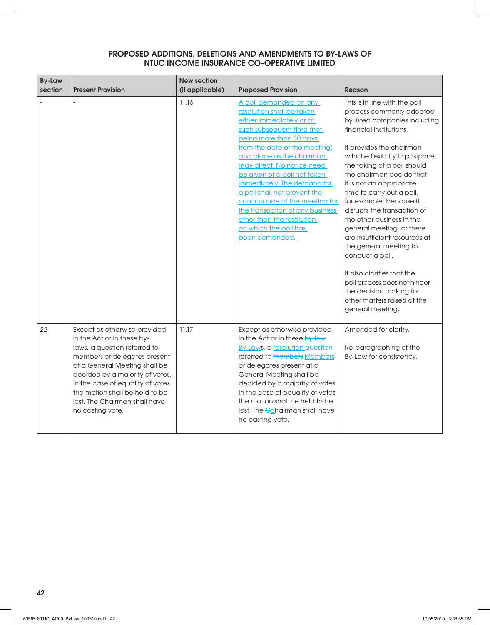| <b>By-Law</b><br>section | <b>Present Provision</b>                                                                                                                                                                                                                                                                                                  | <b>New section</b><br>(if applicable) | <b>Proposed Provision</b>                                                                                                                                                                                                                                                                                                                                                                                                                                                       | <b>Reason</b>                                                                                                                                                                                                                                                                                                                                                                                                                                                                                                                                                                                                                                           |
|--------------------------|---------------------------------------------------------------------------------------------------------------------------------------------------------------------------------------------------------------------------------------------------------------------------------------------------------------------------|---------------------------------------|---------------------------------------------------------------------------------------------------------------------------------------------------------------------------------------------------------------------------------------------------------------------------------------------------------------------------------------------------------------------------------------------------------------------------------------------------------------------------------|---------------------------------------------------------------------------------------------------------------------------------------------------------------------------------------------------------------------------------------------------------------------------------------------------------------------------------------------------------------------------------------------------------------------------------------------------------------------------------------------------------------------------------------------------------------------------------------------------------------------------------------------------------|
|                          |                                                                                                                                                                                                                                                                                                                           | 11.16                                 | A poll demanded on any<br>resolution shall be taken<br>either immediately or at<br>such subsequent time (not<br>being more than 30 days<br>from the date of the meeting)<br>and place as the chairman<br>may direct. No notice need<br>be given of a poll not taken<br>immediately. The demand for<br>a poll shall not prevent the<br>continuance of the meeting for<br>the transaction of any business<br>other than the resolution<br>on which the poll has<br>been demanded. | This is in line with the poll<br>process commonly adopted<br>by listed companies including<br>financial institutions.<br>It provides the chairman<br>with the flexibility to postpone<br>the taking of a poll should<br>the chairman decide that<br>it is not an appropriate<br>time to carry out a poll,<br>for example, because it<br>disrupts the transaction of<br>the other business in the<br>general meeting, or there<br>are insufficient resources at<br>the general meeting to<br>conduct a poll.<br>It also clarifies that the<br>poll process does not hinder<br>the decision making for<br>other matters raised at the<br>general meeting. |
| 22                       | Except as otherwise provided<br>in the Act or in these by-<br>laws, a question referred to<br>members or delegates present<br>at a General Meeting shall be<br>decided by a majority of votes.<br>In the case of equality of votes<br>the motion shall be held to be<br>lost. The Chairman shall have<br>no casting vote. | 11.17                                 | Except as otherwise provided<br>in the Act or in these by-law<br>By-Laws, a resolution question<br>referred to members Members<br>or delegates present at a<br>General Meeting shall be<br>decided by a majority of votes.<br>In the case of equality of votes<br>the motion shall be held to be<br>lost. The <i>Echairman</i> shall have<br>no casting vote.                                                                                                                   | Amended for clarity.<br>Re-paragraphing of the<br>By-Law for consistency.                                                                                                                                                                                                                                                                                                                                                                                                                                                                                                                                                                               |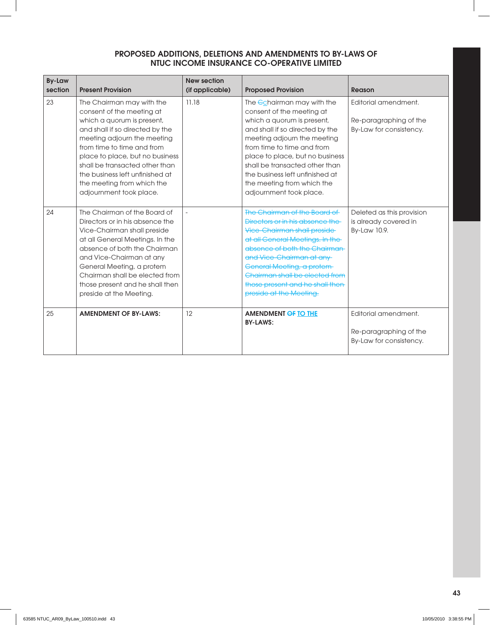| <b>By-Law</b> |                                                                                                                                                                                                                                                                                                                                                       | <b>New section</b> |                                                                                                                                                                                                                                                                                                                                                                |                                                                           |
|---------------|-------------------------------------------------------------------------------------------------------------------------------------------------------------------------------------------------------------------------------------------------------------------------------------------------------------------------------------------------------|--------------------|----------------------------------------------------------------------------------------------------------------------------------------------------------------------------------------------------------------------------------------------------------------------------------------------------------------------------------------------------------------|---------------------------------------------------------------------------|
| section       | <b>Present Provision</b>                                                                                                                                                                                                                                                                                                                              | (if applicable)    | <b>Proposed Provision</b>                                                                                                                                                                                                                                                                                                                                      | Reason                                                                    |
| 23            | The Chairman may with the<br>consent of the meeting at<br>which a quorum is present,<br>and shall if so directed by the<br>meeting adjourn the meeting<br>from time to time and from<br>place to place, but no business<br>shall be transacted other than<br>the business left unfinished at<br>the meeting from which the<br>adjournment took place. | 11.18              | The <i>C</i> chairman may with the<br>consent of the meeting at<br>which a quorum is present,<br>and shall if so directed by the<br>meeting adjourn the meeting<br>from time to time and from<br>place to place, but no business<br>shall be transacted other than<br>the business left unfinished at<br>the meeting from which the<br>adjournment took place. | Editorial amendment.<br>Re-paragraphing of the<br>By-Law for consistency. |
| 24            | The Chairman of the Board of<br>Directors or in his absence the<br>Vice-Chairman shall preside<br>at all General Meetings. In the<br>absence of both the Chairman<br>and Vice-Chairman at any<br>General Meeting, a protem<br>Chairman shall be elected from<br>those present and he shall then<br>preside at the Meeting.                            |                    | The Chairman of the Board of<br>Directors or in his absence the<br><b>Vice-Chairman shall preside</b><br>at all General Meetings. In the-<br>absence of both the Chairman-<br>and Vice-Chairman at any<br>General Meeting, a protem-<br>Chairman shall be elected from<br>those present and he shall then<br>preside at the Meeting.                           | Deleted as this provision<br>is already covered in<br>By-Law 10.9.        |
| 25            | <b>AMENDMENT OF BY-LAWS:</b>                                                                                                                                                                                                                                                                                                                          | 12                 | <b>AMENDMENT OF TO THE</b><br><b>BY-LAWS:</b>                                                                                                                                                                                                                                                                                                                  | Editorial amendment.<br>Re-paragraphing of the<br>By-Law for consistency. |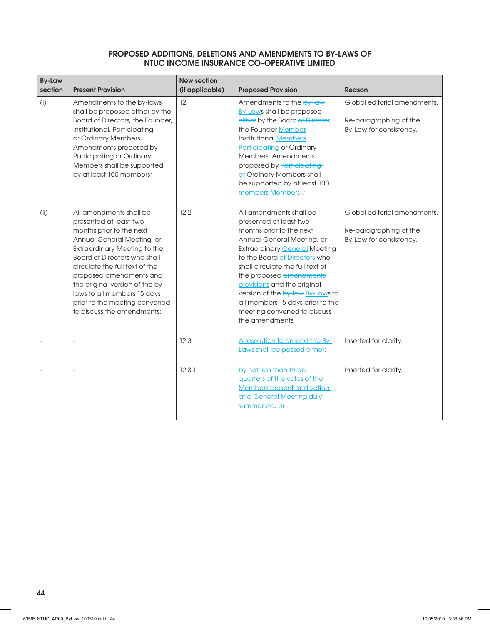| <b>By-Law</b><br>section | <b>Present Provision</b>                                                                                                                                                                                                                                                                                                                                                                | <b>New section</b><br>(if applicable) | <b>Proposed Provision</b>                                                                                                                                                                                                                                                                                                                                                                                    | <b>Reason</b>                                                                     |
|--------------------------|-----------------------------------------------------------------------------------------------------------------------------------------------------------------------------------------------------------------------------------------------------------------------------------------------------------------------------------------------------------------------------------------|---------------------------------------|--------------------------------------------------------------------------------------------------------------------------------------------------------------------------------------------------------------------------------------------------------------------------------------------------------------------------------------------------------------------------------------------------------------|-----------------------------------------------------------------------------------|
| (i)                      | Amendments to the by-laws<br>shall be proposed either by the<br>Board of Directors, the Founder,<br>Institutional, Participating<br>or Ordinary Members.<br>Amendments proposed by<br>Participating or Ordinary<br>Members shall be supported<br>by at least 100 members;                                                                                                               | 12.1                                  | Amendments to the by-law<br><b>By-Laws shall be proposed</b><br>either by the Board of Director,<br>the Founder Member,<br><b>Institutional Members</b><br>Participating or Ordinary<br>Members, Amendments<br>proposed by Participating<br>or Ordinary Members shall<br>be supported by at least 100<br>members Members. ;                                                                                  | Global editorial amendments.<br>Re-paragraphing of the<br>By-Law for consistency. |
| (i)                      | All amendments shall be<br>presented at least two<br>months prior to the next<br>Annual General Meeting, or<br><b>Extraordinary Meeting to the</b><br><b>Board of Directors who shall</b><br>circulate the full text of the<br>proposed amendments and<br>the original version of the by-<br>laws to all members 15 days<br>prior to the meeting convened<br>to discuss the amendments; | 12.2                                  | All amendments shall be<br>presented at least two<br>months prior to the next<br>Annual General Meeting, or<br><b>Extraordinary General Meeting</b><br>to the Board of Directors who<br>shall circulate the full text of<br>the proposed amendments<br>provisions and the original<br>version of the by-law By-Laws to<br>all members 15 days prior to the<br>meeting convened to discuss<br>the amendments. | Global editorial amendments.<br>Re-paragraphing of the<br>By-Law for consistency. |
|                          |                                                                                                                                                                                                                                                                                                                                                                                         | 12.3                                  | A resolution to amend the By-<br>Laws shall be passed either:                                                                                                                                                                                                                                                                                                                                                | Inserted for clarity.                                                             |
|                          | $\overline{a}$                                                                                                                                                                                                                                                                                                                                                                          | 12.3.1                                | by not less than three-<br>guarters of the votes of the<br><b>Members present and voting</b><br>at a General Meeting duly<br>summoned; or                                                                                                                                                                                                                                                                    | Inserted for clarity.                                                             |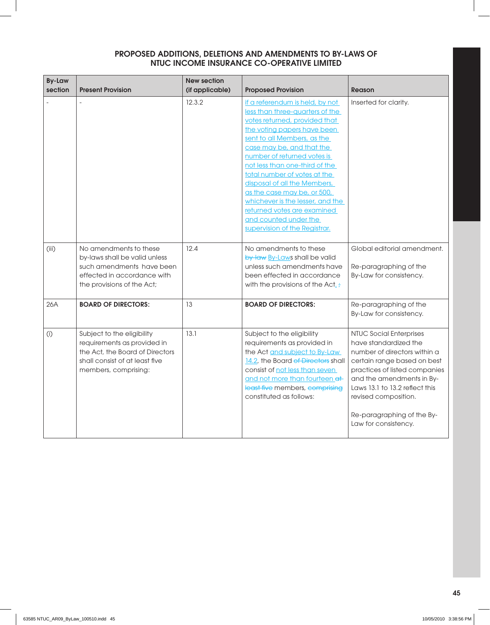| <b>By-Law</b><br>section | <b>Present Provision</b>                                                                                                                               | <b>New section</b><br>(if applicable) | <b>Proposed Provision</b>                                                                                                                                                                                                                                                                                                                                                                                                                                                                   | <b>Reason</b>                                                                                                                                                                                                                                                                                        |
|--------------------------|--------------------------------------------------------------------------------------------------------------------------------------------------------|---------------------------------------|---------------------------------------------------------------------------------------------------------------------------------------------------------------------------------------------------------------------------------------------------------------------------------------------------------------------------------------------------------------------------------------------------------------------------------------------------------------------------------------------|------------------------------------------------------------------------------------------------------------------------------------------------------------------------------------------------------------------------------------------------------------------------------------------------------|
|                          |                                                                                                                                                        | 12.3.2                                | if a referendum is held, by not<br>less than three-quarters of the<br>votes returned, provided that<br>the voting papers have been<br>sent to all Members, as the<br>case may be, and that the<br>number of returned votes is<br>not less than one-third of the<br>total number of votes at the<br>disposal of all the Members,<br>as the case may be, or 500,<br>whichever is the lesser, and the<br>returned votes are examined<br>and counted under the<br>supervision of the Registrar. | Inserted for clarity.                                                                                                                                                                                                                                                                                |
| (iii)                    | No amendments to these<br>by-laws shall be valid unless<br>such amendments have been<br>effected in accordance with<br>the provisions of the Act;      | 12.4                                  | No amendments to these<br>by-law By-Laws shall be valid<br>unless such amendments have<br>been effected in accordance<br>with the provisions of the Act.:                                                                                                                                                                                                                                                                                                                                   | Global editorial amendment.<br>Re-paragraphing of the<br>By-Law for consistency.                                                                                                                                                                                                                     |
| 26A                      | <b>BOARD OF DIRECTORS:</b>                                                                                                                             | 13                                    | <b>BOARD OF DIRECTORS:</b>                                                                                                                                                                                                                                                                                                                                                                                                                                                                  | Re-paragraphing of the<br>By-Law for consistency.                                                                                                                                                                                                                                                    |
| (i)                      | Subject to the eligibility<br>requirements as provided in<br>the Act, the Board of Directors<br>shall consist of at least five<br>members, comprising: | 13.1                                  | Subject to the eligibility<br>requirements as provided in<br>the Act and subject to By-Law<br>14.2, the Board of Directors shall<br>consist of not less than seven<br>and not more than fourteen at-<br>least five members, comprising<br>constituted as follows:                                                                                                                                                                                                                           | <b>NTUC Social Enterprises</b><br>have standardized the<br>number of directors within a<br>certain range based on best<br>practices of listed companies<br>and the amendments in By-<br>Laws 13.1 to 13.2 reflect this<br>revised composition.<br>Re-paragraphing of the By-<br>Law for consistency. |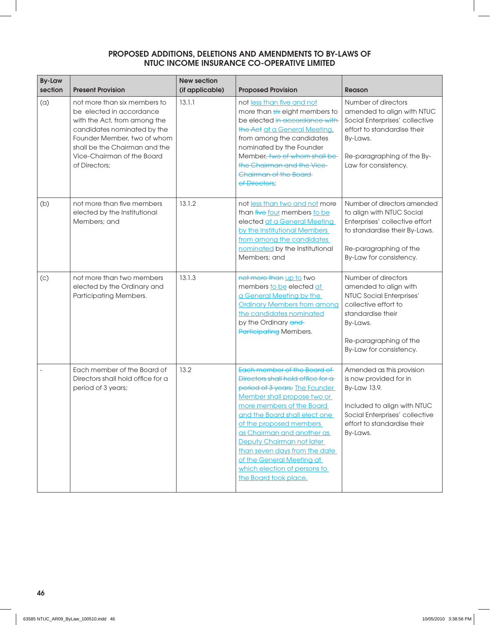| <b>By-Law</b><br>section | <b>Present Provision</b>                                                                                                                                                                                                               | <b>New section</b><br>(if applicable) | <b>Proposed Provision</b>                                                                                                                                                                                                                                                                                                                                                                                    | <b>Reason</b>                                                                                                                                                                          |
|--------------------------|----------------------------------------------------------------------------------------------------------------------------------------------------------------------------------------------------------------------------------------|---------------------------------------|--------------------------------------------------------------------------------------------------------------------------------------------------------------------------------------------------------------------------------------------------------------------------------------------------------------------------------------------------------------------------------------------------------------|----------------------------------------------------------------------------------------------------------------------------------------------------------------------------------------|
| (a)                      | not more than six members to<br>be elected in accordance<br>with the Act, from among the<br>candidates nominated by the<br>Founder Member, two of whom<br>shall be the Chairman and the<br>Vice-Chairman of the Board<br>of Directors: | 13.1.1                                | not less than five and not<br>more than six eight members to<br>be elected in accordance with<br>the Act at a General Meeting,<br>from among the candidates<br>nominated by the Founder<br>Member, two of whom shall be<br>the Chairman and the Vice-<br>Chairman of the Board<br>of Directors;                                                                                                              | Number of directors<br>amended to align with NTUC<br>Social Enterprises' collective<br>effort to standardise their<br>By-Laws.<br>Re-paragraphing of the By-<br>Law for consistency.   |
| (b)                      | not more than five members<br>elected by the Institutional<br>Members; and                                                                                                                                                             | 13.1.2                                | not less than two and not more<br>than five four members to be<br>elected at a General Meeting<br>by the Institutional Members<br>from among the candidates<br>nominated by the Institutional<br>Members; and                                                                                                                                                                                                | Number of directors amended<br>to align with NTUC Social<br>Enterprises' collective effort<br>to standardise their By-Laws.<br>Re-paragraphing of the<br>By-Law for consistency.       |
| (c)                      | not more than two members<br>elected by the Ordinary and<br>Participating Members.                                                                                                                                                     | 13.1.3                                | not more than up to two<br>members to be elected at<br>a General Meeting by the<br><b>Ordinary Members from among</b><br>the candidates nominated<br>by the Ordinary and<br>Participating Members.                                                                                                                                                                                                           | Number of directors<br>amended to align with<br>NTUC Social Enterprises'<br>collective effort to<br>standardise their<br>By-Laws.<br>Re-paragraphing of the<br>By-Law for consistency. |
|                          | Each member of the Board of<br>Directors shall hold office for a<br>period of 3 years;                                                                                                                                                 | 13.2                                  | Each member of the Board of<br>Directors shall hold office for a<br>period of 3 years; The Founder<br>Member shall propose two or<br>more members of the Board<br>and the Board shall elect one<br>of the proposed members<br>as Chairman and another as<br>Deputy Chairman not later<br>than seven days from the date<br>of the General Meeting at<br>which election of persons to<br>the Board took place. | Amended as this provision<br>is now provided for in<br>By-Law 13.9.<br>Included to align with NTUC<br>Social Enterprises' collective<br>effort to standardise their<br>By-Laws.        |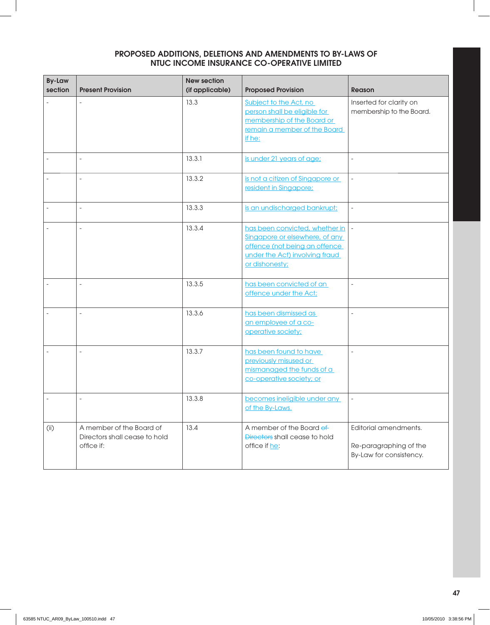| <b>By-Law</b><br>section | <b>Present Provision</b>                                                | <b>New section</b><br>(if applicable) | <b>Proposed Provision</b>                                                                                                                             | Reason                                                                     |
|--------------------------|-------------------------------------------------------------------------|---------------------------------------|-------------------------------------------------------------------------------------------------------------------------------------------------------|----------------------------------------------------------------------------|
|                          |                                                                         | 13.3                                  | Subject to the Act, no<br>person shall be eligible for<br>membership of the Board or<br>remain a member of the Board<br>if he:                        | Inserted for clarity on<br>membership to the Board.                        |
|                          |                                                                         | 13.3.1                                | is under 21 years of age;                                                                                                                             | $\overline{\phantom{a}}$                                                   |
|                          | $\overline{a}$                                                          | 13.3.2                                | is not a citizen of Singapore or<br>resident in Singapore;                                                                                            | $\overline{\phantom{a}}$                                                   |
|                          |                                                                         | 13.3.3                                | is an undischarged bankrupt;                                                                                                                          | $\overline{\phantom{a}}$                                                   |
|                          |                                                                         | 13.3.4                                | has been convicted, whether in<br>Singapore or elsewhere, of any<br>offence (not being an offence<br>under the Act) involving fraud<br>or dishonesty; | $\overline{\phantom{a}}$                                                   |
|                          |                                                                         | 13.3.5                                | has been convicted of an<br>offence under the Act;                                                                                                    | $\overline{a}$                                                             |
|                          |                                                                         | 13.3.6                                | has been dismissed as<br>an employee of a co-<br>operative society;                                                                                   | $\overline{\phantom{a}}$                                                   |
|                          |                                                                         | 13.3.7                                | has been found to have<br>previously misused or<br>mismanaged the funds of a<br>co-operative society; or                                              | $\overline{a}$                                                             |
|                          |                                                                         | 13.3.8                                | becomes ineligible under any<br>of the By-Laws.                                                                                                       | $\blacksquare$                                                             |
| (i)                      | A member of the Board of<br>Directors shall cease to hold<br>office if: | 13.4                                  | A member of the Board of<br>Directors shall cease to hold<br>office if he:                                                                            | Editorial amendments.<br>Re-paragraphing of the<br>By-Law for consistency. |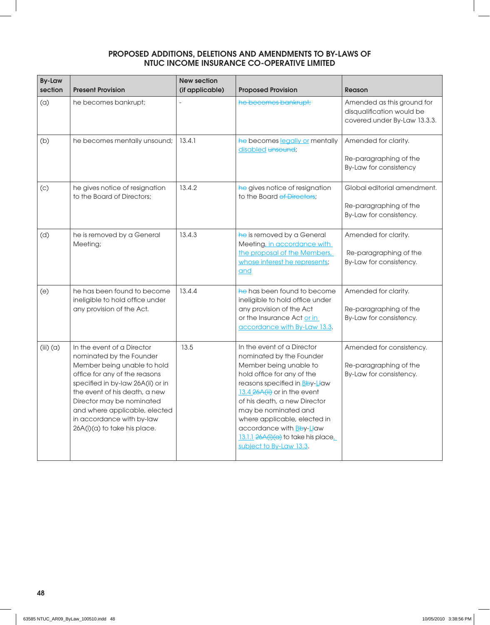| <b>By-Law</b><br>section | <b>Present Provision</b>                                                                                                                                                                                                                                                                                                | <b>New section</b><br>(if applicable) | <b>Proposed Provision</b>                                                                                                                                                                                                                                                                                                                                            | Reason                                                                                  |
|--------------------------|-------------------------------------------------------------------------------------------------------------------------------------------------------------------------------------------------------------------------------------------------------------------------------------------------------------------------|---------------------------------------|----------------------------------------------------------------------------------------------------------------------------------------------------------------------------------------------------------------------------------------------------------------------------------------------------------------------------------------------------------------------|-----------------------------------------------------------------------------------------|
| (a)                      | he becomes bankrupt;                                                                                                                                                                                                                                                                                                    |                                       | he becomes bankrupt;                                                                                                                                                                                                                                                                                                                                                 | Amended as this ground for<br>disqualification would be<br>covered under By-Law 13.3.3. |
| (b)                      | he becomes mentally unsound;                                                                                                                                                                                                                                                                                            | 13.4.1                                | he becomes legally or mentally<br>disabled unsound;                                                                                                                                                                                                                                                                                                                  | Amended for clarity.<br>Re-paragraphing of the<br>By-Law for consistency                |
| (c)                      | he gives notice of resignation<br>to the Board of Directors:                                                                                                                                                                                                                                                            | 13.4.2                                | he gives notice of resignation<br>to the Board of Directors;                                                                                                                                                                                                                                                                                                         | Global editorial amendment.<br>Re-paragraphing of the<br>By-Law for consistency.        |
| (d)                      | he is removed by a General<br>Meeting;                                                                                                                                                                                                                                                                                  | 13.4.3                                | he is removed by a General<br>Meeting, in accordance with<br>the proposal of the Members,<br>whose interest he represents;<br>and                                                                                                                                                                                                                                    | Amended for clarity.<br>Re-paragraphing of the<br>By-Law for consistency.               |
| (e)                      | he has been found to become<br>ineligible to hold office under<br>any provision of the Act.                                                                                                                                                                                                                             | 13.4.4                                | he has been found to become<br>ineligible to hold office under<br>any provision of the Act<br>or the Insurance Act or in<br>accordance with By-Law 13.3.                                                                                                                                                                                                             | Amended for clarity.<br>Re-paragraphing of the<br>By-Law for consistency.               |
| $(iii)$ $(a)$            | In the event of a Director<br>nominated by the Founder<br>Member being unable to hold<br>office for any of the reasons<br>specified in by-law 26A(ii) or in<br>the event of his death, a new<br>Director may be nominated<br>and where applicable, elected<br>in accordance with by-law<br>26A(i)(a) to take his place. | 13.5                                  | In the event of a Director<br>nominated by the Founder<br>Member being unable to<br>hold office for any of the<br>reasons specified in Bby-Llaw<br>13.4 26A(ii) or in the event<br>of his death, a new Director<br>may be nominated and<br>where applicable, elected in<br>accordance with Bby-Llaw<br>13.1.1 26A(i)(a) to take his place<br>subject to By-Law 13.3. | Amended for consistency.<br>Re-paragraphing of the<br>By-Law for consistency.           |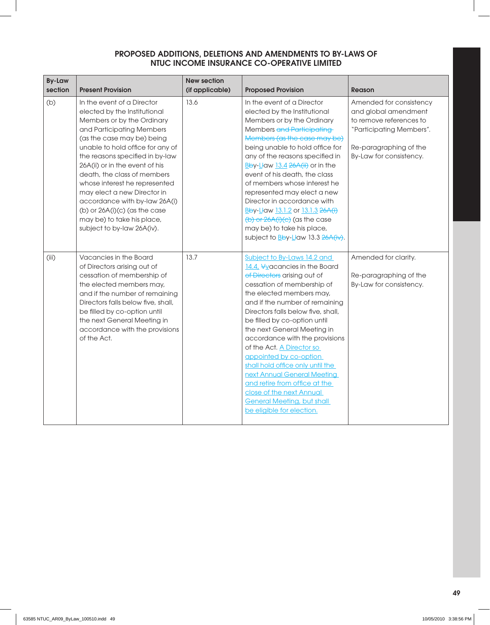| <b>By-Law</b><br>section | <b>Present Provision</b>                                                                                                                                                                                                                                                                                                                                                                                                                                                                    | <b>New section</b><br>(if applicable) | <b>Proposed Provision</b>                                                                                                                                                                                                                                                                                                                                                                                                                                                                                                                                                               | <b>Reason</b>                                                                                                                                               |
|--------------------------|---------------------------------------------------------------------------------------------------------------------------------------------------------------------------------------------------------------------------------------------------------------------------------------------------------------------------------------------------------------------------------------------------------------------------------------------------------------------------------------------|---------------------------------------|-----------------------------------------------------------------------------------------------------------------------------------------------------------------------------------------------------------------------------------------------------------------------------------------------------------------------------------------------------------------------------------------------------------------------------------------------------------------------------------------------------------------------------------------------------------------------------------------|-------------------------------------------------------------------------------------------------------------------------------------------------------------|
| (b)                      | In the event of a Director<br>elected by the Institutional<br>Members or by the Ordinary<br>and Participating Members<br>(as the case may be) being<br>unable to hold office for any of<br>the reasons specified in by-law<br>26A(ii) or in the event of his<br>death, the class of members<br>whose interest he represented<br>may elect a new Director in<br>accordance with by-law 26A(i)<br>(b) or $26A(i)(c)$ (as the case<br>may be) to take his place,<br>subject to by-law 26A(iv). | 13.6                                  | In the event of a Director<br>elected by the Institutional<br>Members or by the Ordinary<br>Members and Participating<br>Members (as the case may be)<br>being unable to hold office for<br>any of the reasons specified in<br>Bby-Llaw 13.4 26A(ii) or in the<br>event of his death, the class<br>of members whose interest he<br>represented may elect a new<br>Director in accordance with<br>Bby-Llaw 13.1.2 or 13.1.3 26A(i)<br>$(b)$ or $26A(i)(c)$ (as the case<br>may be) to take his place,<br>subject to Bby-Llaw 13.3 26A(iv).                                               | Amended for consistency<br>and global amendment<br>to remove references to<br>"Participating Members".<br>Re-paragraphing of the<br>By-Law for consistency. |
| (iii)                    | Vacancies in the Board<br>of Directors arising out of<br>cessation of membership of<br>the elected members may,<br>and if the number of remaining<br>Directors falls below five, shall,<br>be filled by co-option until<br>the next General Meeting in<br>accordance with the provisions<br>of the Act.                                                                                                                                                                                     | 13.7                                  | Subject to By-Laws 14.2 and<br>14.4, Vyacancies in the Board<br>of Directors arising out of<br>cessation of membership of<br>the elected members may,<br>and if the number of remaining<br>Directors falls below five, shall,<br>be filled by co-option until<br>the next General Meeting in<br>accordance with the provisions<br>of the Act. A Director so<br>appointed by co-option<br>shall hold office only until the<br>next Annual General Meeting<br>and retire from office at the<br>close of the next Annual<br><b>General Meeting, but shall</b><br>be eligible for election. | Amended for clarity.<br>Re-paragraphing of the<br>By-Law for consistency.                                                                                   |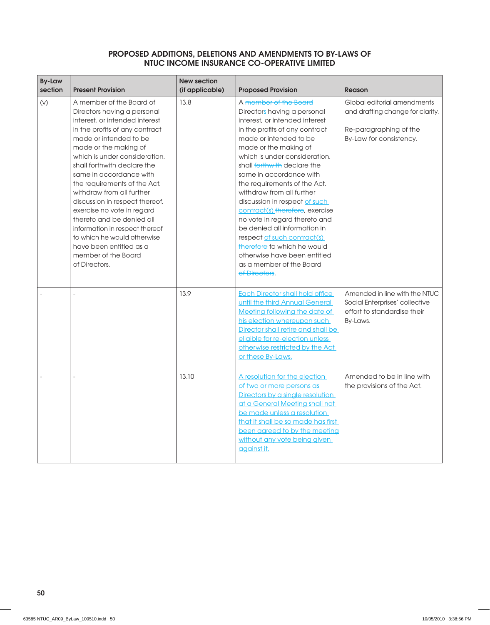| <b>By-Law</b><br>section | <b>Present Provision</b>                                                                                                                                                                                                                                                                                                                                                                                                                                                                                                                                                | <b>New section</b><br>(if applicable) | <b>Proposed Provision</b>                                                                                                                                                                                                                                                                                                                                                                                                                                                                                                                                                                                           | <b>Reason</b>                                                                                                        |
|--------------------------|-------------------------------------------------------------------------------------------------------------------------------------------------------------------------------------------------------------------------------------------------------------------------------------------------------------------------------------------------------------------------------------------------------------------------------------------------------------------------------------------------------------------------------------------------------------------------|---------------------------------------|---------------------------------------------------------------------------------------------------------------------------------------------------------------------------------------------------------------------------------------------------------------------------------------------------------------------------------------------------------------------------------------------------------------------------------------------------------------------------------------------------------------------------------------------------------------------------------------------------------------------|----------------------------------------------------------------------------------------------------------------------|
| (V)                      | A member of the Board of<br>Directors having a personal<br>interest, or intended interest<br>in the profits of any contract<br>made or intended to be<br>made or the making of<br>which is under consideration,<br>shall forthwith declare the<br>same in accordance with<br>the requirements of the Act,<br>withdraw from all further<br>discussion in respect thereof,<br>exercise no vote in regard<br>thereto and be denied all<br>information in respect thereof<br>to which he would otherwise<br>have been entitled as a<br>member of the Board<br>of Directors. | 13.8                                  | A member of the Board<br>Directors having a personal<br>interest, or intended interest<br>in the profits of any contract<br>made or intended to be<br>made or the making of<br>which is under consideration,<br>shall forthwith declare the<br>same in accordance with<br>the requirements of the Act,<br>withdraw from all further<br>discussion in respect of such<br>contract(s) therefore, exercise<br>no vote in regard thereto and<br>be denied all information in<br>respect of such contract(s)<br>therefore to which he would<br>otherwise have been entitled<br>as a member of the Board<br>of Directors. | Global editorial amendments<br>and drafting change for clarity.<br>Re-paragraphing of the<br>By-Law for consistency. |
|                          | $\overline{a}$                                                                                                                                                                                                                                                                                                                                                                                                                                                                                                                                                          | 13.9                                  | <b>Each Director shall hold office</b><br>until the third Annual General<br>Meeting following the date of<br>his election whereupon such<br>Director shall retire and shall be<br>eligible for re-election unless<br>otherwise restricted by the Act<br>or these By-Laws.                                                                                                                                                                                                                                                                                                                                           | Amended in line with the NTUC<br>Social Enterprises' collective<br>effort to standardise their<br>By-Laws.           |
|                          | $\overline{a}$                                                                                                                                                                                                                                                                                                                                                                                                                                                                                                                                                          | 13.10                                 | A resolution for the election<br>of two or more persons as<br>Directors by a single resolution<br>at a General Meeting shall not<br>be made unless a resolution<br>that it shall be so made has first<br>been agreed to by the meeting<br>without any vote being given<br>against it.                                                                                                                                                                                                                                                                                                                               | Amended to be in line with<br>the provisions of the Act.                                                             |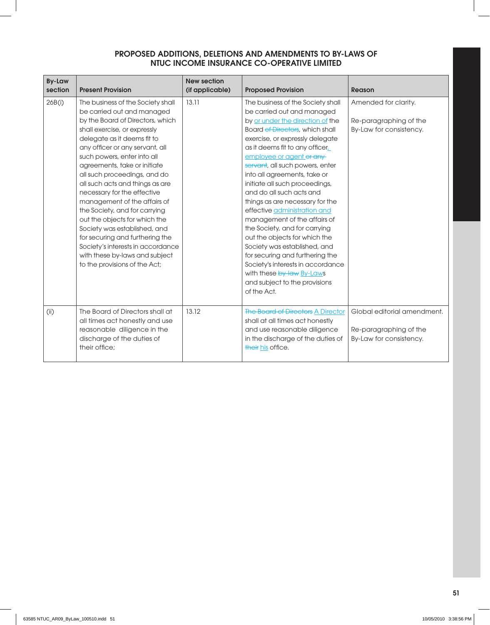| <b>By-Law</b><br>section | <b>Present Provision</b>                                                                                                                                                                                                                                                                                                                                                                                                                                                                                                                                                                                                                            | <b>New section</b><br>(if applicable) | <b>Proposed Provision</b>                                                                                                                                                                                                                                                                                                                                                                                                                                                                                                                                                                                                                                                                                                          | Reason                                                                           |
|--------------------------|-----------------------------------------------------------------------------------------------------------------------------------------------------------------------------------------------------------------------------------------------------------------------------------------------------------------------------------------------------------------------------------------------------------------------------------------------------------------------------------------------------------------------------------------------------------------------------------------------------------------------------------------------------|---------------------------------------|------------------------------------------------------------------------------------------------------------------------------------------------------------------------------------------------------------------------------------------------------------------------------------------------------------------------------------------------------------------------------------------------------------------------------------------------------------------------------------------------------------------------------------------------------------------------------------------------------------------------------------------------------------------------------------------------------------------------------------|----------------------------------------------------------------------------------|
| 26B(i)                   | The business of the Society shall<br>be carried out and managed<br>by the Board of Directors, which<br>shall exercise, or expressly<br>delegate as it deems fit to<br>any officer or any servant, all<br>such powers, enter into all<br>agreements, take or initiate<br>all such proceedings, and do<br>all such acts and things as are<br>necessary for the effective<br>management of the affairs of<br>the Society, and for carrying<br>out the objects for which the<br>Society was established, and<br>for securing and furthering the<br>Society's interests in accordance<br>with these by-laws and subject<br>to the provisions of the Act; | 13.11                                 | The business of the Society shall<br>be carried out and managed<br>by or under the direction of the<br>Board of Directors, which shall<br>exercise, or expressly delegate<br>as it deems fit to any officer<br>employee or agent or any<br>servant, all such powers, enter<br>into all agreements, take or<br>initiate all such proceedings,<br>and do all such acts and<br>things as are necessary for the<br>effective administration and<br>management of the affairs of<br>the Society, and for carrying<br>out the objects for which the<br>Society was established, and<br>for securing and furthering the<br>Society's interests in accordance<br>with these by-law By-Laws<br>and subject to the provisions<br>of the Act. | Amended for clarity.<br>Re-paragraphing of the<br>By-Law for consistency.        |
| (i)                      | The Board of Directors shall at<br>all times act honestly and use<br>reasonable diligence in the<br>discharge of the duties of<br>their office:                                                                                                                                                                                                                                                                                                                                                                                                                                                                                                     | 13.12                                 | <b>The Board of Directors A Director</b><br>shall at all times act honestly<br>and use reasonable diligence<br>in the discharge of the duties of<br>their his office.                                                                                                                                                                                                                                                                                                                                                                                                                                                                                                                                                              | Global editorial amendment.<br>Re-paragraphing of the<br>By-Law for consistency. |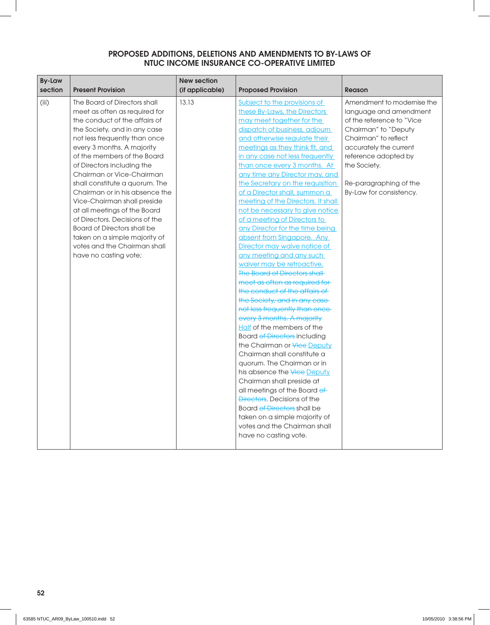| <b>By-Law</b><br>section | <b>Present Provision</b>                                                                                                                                                                                                                                                                                                                                                                                                                                                                                                                                                                     | <b>New section</b><br>(if applicable) | <b>Proposed Provision</b>                                                                                                                                                                                                                                                                                                                                                                                                                                                                                                                                                                                                                                                                                                                                                                                                                                                                                                                                                                                                                                                                                                                                                                                                                                                                     | <b>Reason</b>                                                                                                                                                                                                                                            |
|--------------------------|----------------------------------------------------------------------------------------------------------------------------------------------------------------------------------------------------------------------------------------------------------------------------------------------------------------------------------------------------------------------------------------------------------------------------------------------------------------------------------------------------------------------------------------------------------------------------------------------|---------------------------------------|-----------------------------------------------------------------------------------------------------------------------------------------------------------------------------------------------------------------------------------------------------------------------------------------------------------------------------------------------------------------------------------------------------------------------------------------------------------------------------------------------------------------------------------------------------------------------------------------------------------------------------------------------------------------------------------------------------------------------------------------------------------------------------------------------------------------------------------------------------------------------------------------------------------------------------------------------------------------------------------------------------------------------------------------------------------------------------------------------------------------------------------------------------------------------------------------------------------------------------------------------------------------------------------------------|----------------------------------------------------------------------------------------------------------------------------------------------------------------------------------------------------------------------------------------------------------|
| (iii)                    | The Board of Directors shall<br>meet as often as required for<br>the conduct of the affairs of<br>the Society, and in any case<br>not less frequently than once<br>every 3 months. A majority<br>of the members of the Board<br>of Directors including the<br>Chairman or Vice-Chairman<br>shall constitute a quorum. The<br>Chairman or in his absence the<br>Vice-Chairman shall preside<br>at all meetings of the Board<br>of Directors. Decisions of the<br><b>Board of Directors shall be</b><br>taken on a simple majority of<br>votes and the Chairman shall<br>have no casting vote; | 13.13                                 | Subject to the provisions of<br>these By-Laws, the Directors<br>may meet together for the<br>dispatch of business, adjourn<br>and otherwise regulate their<br>meetings as they think fit, and<br>in any case not less frequently<br>than once every 3 months. At<br>any time any Director may, and<br>the Secretary on the requisition<br>of a Director shall, summon a<br>meeting of the Directors. It shall<br>not be necessary to give notice<br>of a meeting of Directors to<br>any Director for the time being<br>absent from Singapore. Any<br>Director may waive notice of<br>any meeting and any such<br>waiver may be retroactive.<br><b>The Board of Directors shall</b><br>meet as often as required for-<br>the conduct of the affairs of<br>the Society, and in any case<br>not less frequently than once-<br>every 3 months. A majority<br>Half of the members of the<br><b>Board of Directors including</b><br>the Chairman or Vice Deputy<br>Chairman shall constitute a<br>quorum. The Chairman or in<br>his absence the <del>Vice</del> Deputy<br>Chairman shall preside at<br>all meetings of the Board of<br><b>Directors</b> , Decisions of the<br>Board of Directors shall be<br>taken on a simple majority of<br>votes and the Chairman shall<br>have no casting vote. | Amendment to modernise the<br>language and amendment<br>of the reference to "Vice<br>Chairman" to "Deputy<br>Chairman" to reflect<br>accurately the current<br>reference adopted by<br>the Society.<br>Re-paragraphing of the<br>By-Law for consistency. |
|                          |                                                                                                                                                                                                                                                                                                                                                                                                                                                                                                                                                                                              |                                       |                                                                                                                                                                                                                                                                                                                                                                                                                                                                                                                                                                                                                                                                                                                                                                                                                                                                                                                                                                                                                                                                                                                                                                                                                                                                                               |                                                                                                                                                                                                                                                          |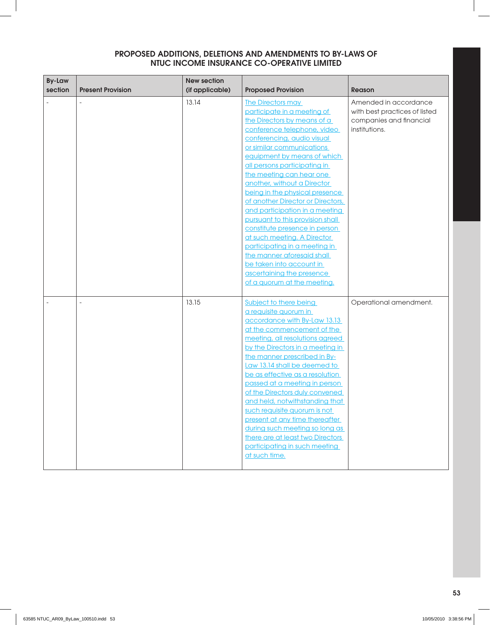| <b>By-Law</b><br>section | <b>Present Provision</b> | <b>New section</b><br>(if applicable) | <b>Proposed Provision</b>                                                                                                                                                                                                                                                                                                                                                                                                                                                                                                                                                                                                                                                      | <b>Reason</b>                                                                                      |
|--------------------------|--------------------------|---------------------------------------|--------------------------------------------------------------------------------------------------------------------------------------------------------------------------------------------------------------------------------------------------------------------------------------------------------------------------------------------------------------------------------------------------------------------------------------------------------------------------------------------------------------------------------------------------------------------------------------------------------------------------------------------------------------------------------|----------------------------------------------------------------------------------------------------|
|                          |                          | 13.14                                 | <b>The Directors may</b><br>participate in a meeting of<br>the Directors by means of a<br>conference telephone, video<br>conferencing, audio visual<br>or similar communications<br>equipment by means of which<br>all persons participating in<br>the meeting can hear one<br>another, without a Director<br>being in the physical presence<br>of another Director or Directors,<br>and participation in a meeting<br>pursuant to this provision shall<br>constitute presence in person<br>at such meeting. A Director<br>participating in a meeting in<br>the manner aforesaid shall<br>be taken into account in<br>ascertaining the presence<br>of a quorum at the meeting. | Amended in accordance<br>with best practices of listed<br>companies and financial<br>institutions. |
|                          |                          | 13.15                                 | <b>Subject to there being</b><br>a requisite quorum in<br>accordance with By-Law 13.13<br>at the commencement of the<br>meeting, all resolutions agreed<br>by the Directors in a meeting in<br>the manner prescribed in By-<br>Law 13.14 shall be deemed to<br>be as effective as a resolution<br>passed at a meeting in person<br>of the Directors duly convened<br>and held, notwithstanding that<br>such requisite quorum is not<br>present at any time thereafter<br>during such meeting so long as<br>there are at least two Directors<br>participating in such meeting<br>at such time.                                                                                  | Operational amendment.                                                                             |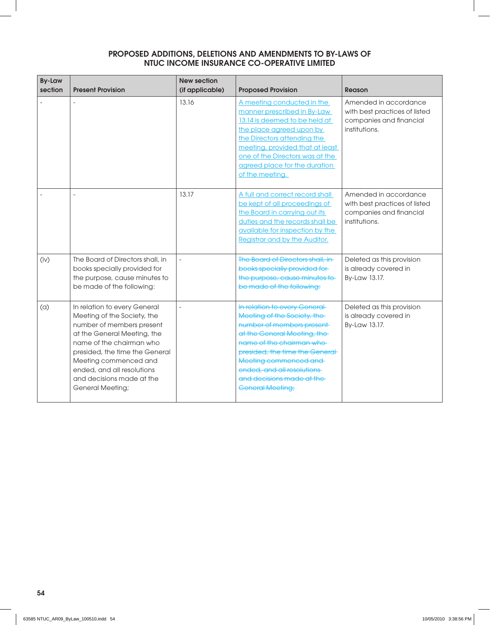| <b>By-Law</b><br>section | <b>Present Provision</b>                                                                                                                                                                                                                                                                             | <b>New section</b><br>(if applicable) | <b>Proposed Provision</b>                                                                                                                                                                                                                                                                               | Reason                                                                                             |
|--------------------------|------------------------------------------------------------------------------------------------------------------------------------------------------------------------------------------------------------------------------------------------------------------------------------------------------|---------------------------------------|---------------------------------------------------------------------------------------------------------------------------------------------------------------------------------------------------------------------------------------------------------------------------------------------------------|----------------------------------------------------------------------------------------------------|
|                          |                                                                                                                                                                                                                                                                                                      | 13.16                                 | A meeting conducted in the<br>manner prescribed in By-Law<br>13.14 is deemed to be held at<br>the place agreed upon by<br>the Directors attending the<br>meeting, provided that at least<br>one of the Directors was at the<br>agreed place for the duration<br>of the meeting.                         | Amended in accordance<br>with best practices of listed<br>companies and financial<br>institutions. |
|                          |                                                                                                                                                                                                                                                                                                      | 13.17                                 | A full and correct record shall<br>be kept of all proceedings of<br>the Board in carrying out its<br>duties and the records shall be<br>available for inspection by the<br>Registrar and by the Auditor.                                                                                                | Amended in accordance<br>with best practices of listed<br>companies and financial<br>institutions. |
| (iv)                     | The Board of Directors shall, in<br>books specially provided for<br>the purpose, cause minutes to<br>be made of the following:                                                                                                                                                                       | $\overline{\phantom{a}}$              | The Board of Directors shall, in-<br>books specially provided for<br>the purpose, cause minutes to<br>be made of the following:                                                                                                                                                                         | Deleted as this provision<br>is already covered in<br>By-Law 13.17.                                |
| (a)                      | In relation to every General<br>Meeting of the Society, the<br>number of members present<br>at the General Meeting, the<br>name of the chairman who<br>presided, the time the General<br>Meeting commenced and<br>ended, and all resolutions<br>and decisions made at the<br><b>General Meeting;</b> |                                       | In relation to every General<br>Meeting of the Society, the<br>number of members present-<br>at the General Meeting, the<br>name of the chairman who-<br>presided, the time the General-<br>Meeting commenced and<br>ended, and all resolutions<br>and decisions made at the<br><b>General Meeting;</b> | Deleted as this provision<br>is already covered in<br>By-Law 13.17.                                |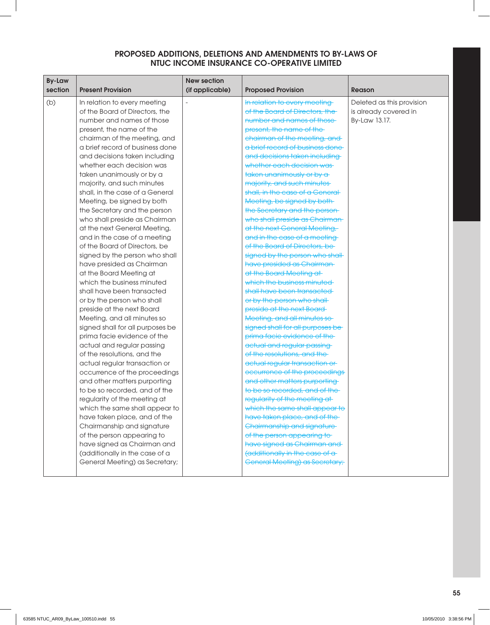| <b>By-Law</b><br>section | <b>Present Provision</b>                                 | <b>New section</b><br>(if applicable) | <b>Proposed Provision</b>                                      | <b>Reason</b>             |
|--------------------------|----------------------------------------------------------|---------------------------------------|----------------------------------------------------------------|---------------------------|
| (b)                      | In relation to every meeting                             |                                       | In relation to every meeting                                   | Deleted as this provision |
|                          | of the Board of Directors, the                           |                                       | of the Board of Directors, the                                 | is already covered in     |
|                          | number and names of those                                |                                       | number and names of those-                                     | By-Law 13.17.             |
|                          | present, the name of the                                 |                                       | present, the name of the-                                      |                           |
|                          | chairman of the meeting, and                             |                                       | chairman of the meeting, and                                   |                           |
|                          | a brief record of business done                          |                                       | a brief record of business done                                |                           |
|                          | and decisions taken including                            |                                       | and decisions taken including                                  |                           |
|                          | whether each decision was                                |                                       | whether each decision was                                      |                           |
|                          | taken unanimously or by a                                |                                       | taken unanimously or by a                                      |                           |
|                          | majority, and such minutes                               |                                       | majority, and such minutes-                                    |                           |
|                          | shall, in the case of a General                          |                                       | shall, in the case of a General-                               |                           |
|                          | Meeting, be signed by both                               |                                       | Meeting, be signed by both                                     |                           |
|                          | the Secretary and the person                             |                                       | the Secretary and the person-                                  |                           |
|                          | who shall preside as Chairman                            |                                       | who shall preside as Chairman                                  |                           |
|                          | at the next General Meeting,                             |                                       | at the next General Meeting,                                   |                           |
|                          | and in the case of a meeting                             |                                       | and in the case of a meeting-                                  |                           |
|                          | of the Board of Directors, be                            |                                       | of the Board of Directors, be-                                 |                           |
|                          | signed by the person who shall                           |                                       | signed by the person who shall-                                |                           |
|                          | have presided as Chairman                                |                                       | have presided as Chairman-                                     |                           |
|                          | at the Board Meeting at                                  |                                       | at the Board Meeting at                                        |                           |
|                          | which the business minuted                               |                                       | which the business minuted                                     |                           |
|                          | shall have been transacted                               |                                       | shall have been transacted                                     |                           |
|                          | or by the person who shall                               |                                       | or by the person who shall-                                    |                           |
|                          | preside at the next Board                                |                                       | preside at the next Board                                      |                           |
|                          | Meeting, and all minutes so                              |                                       | Meeting, and all minutes so                                    |                           |
|                          | signed shall for all purposes be                         |                                       | signed shall for all purposes be-                              |                           |
|                          | prima facie evidence of the                              |                                       | prima facie evidence of the-                                   |                           |
|                          | actual and regular passing                               |                                       | actual and regular passing                                     |                           |
|                          | of the resolutions, and the                              |                                       | of the resolutions, and the                                    |                           |
|                          | actual regular transaction or                            |                                       | actual regular transaction or                                  |                           |
|                          | occurrence of the proceedings                            |                                       | occurrence of the proceedings                                  |                           |
|                          | and other matters purporting                             |                                       | and other matters purporting<br>to be so recorded, and of the- |                           |
|                          | to be so recorded, and of the                            |                                       |                                                                |                           |
|                          | regularity of the meeting at                             |                                       | regularity of the meeting at-                                  |                           |
|                          | which the same shall appear to                           |                                       | which the same shall appear to                                 |                           |
|                          | have taken place, and of the                             |                                       | have taken place, and of the-                                  |                           |
|                          | Chairmanship and signature<br>of the person appearing to |                                       | Chairmanship and signature<br>of the person appearing to       |                           |
|                          | have signed as Chairman and                              |                                       | have signed as Chairman and                                    |                           |
|                          | (additionally in the case of a                           |                                       | (additionally in the case of a-                                |                           |
|                          | General Meeting) as Secretary;                           |                                       | <b>General Meeting) as Secretary;</b>                          |                           |
|                          |                                                          |                                       |                                                                |                           |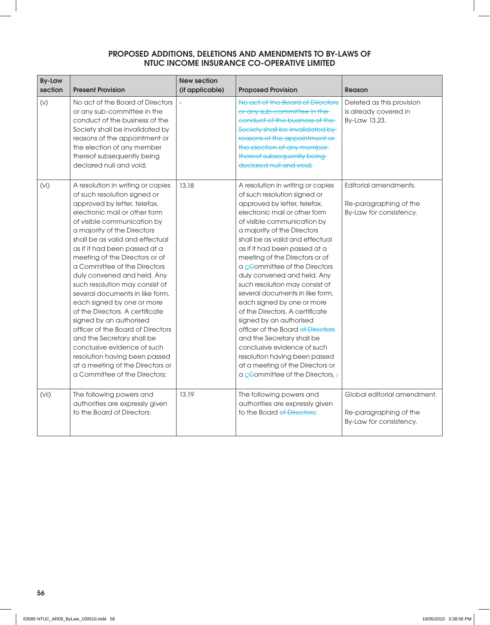| <b>By-Law</b><br>section | <b>Present Provision</b>                                                                                                                                                                                                                                                                                                                                                                                                                                                                                                                                                                                                                                                                                                                       | <b>New section</b><br>(if applicable) | <b>Proposed Provision</b>                                                                                                                                                                                                                                                                                                                                                                                                                                                                                                                                                                                                                                                                                                                        | <b>Reason</b>                                                                    |
|--------------------------|------------------------------------------------------------------------------------------------------------------------------------------------------------------------------------------------------------------------------------------------------------------------------------------------------------------------------------------------------------------------------------------------------------------------------------------------------------------------------------------------------------------------------------------------------------------------------------------------------------------------------------------------------------------------------------------------------------------------------------------------|---------------------------------------|--------------------------------------------------------------------------------------------------------------------------------------------------------------------------------------------------------------------------------------------------------------------------------------------------------------------------------------------------------------------------------------------------------------------------------------------------------------------------------------------------------------------------------------------------------------------------------------------------------------------------------------------------------------------------------------------------------------------------------------------------|----------------------------------------------------------------------------------|
| (V)                      | No act of the Board of Directors<br>or any sub-committee in the<br>conduct of the business of the<br>Society shall be invalidated by<br>reasons of the appointment or<br>the election of any member<br>thereof subsequently being<br>declared null and void;                                                                                                                                                                                                                                                                                                                                                                                                                                                                                   |                                       | No act of the Board of Directors<br>or any sub-committee in the<br>conduct of the business of the-<br>Society shall be invalidated by<br>reasons of the appointment or<br>the election of any member-<br>thereof subsequently being<br>declared null and void;                                                                                                                                                                                                                                                                                                                                                                                                                                                                                   | Deleted as this provision<br>is already covered in<br>By-Law 13.23.              |
| (vi)                     | A resolution in writing or copies<br>of such resolution signed or<br>approved by letter, telefax,<br>electronic mail or other form<br>of visible communication by<br>a majority of the Directors<br>shall be as valid and effectual<br>as if it had been passed at a<br>meeting of the Directors or of<br>a Committee of the Directors<br>duly convened and held. Any<br>such resolution may consist of<br>several documents in like form,<br>each signed by one or more<br>of the Directors. A certificate<br>signed by an authorised<br>officer of the Board of Directors<br>and the Secretary shall be<br>conclusive evidence of such<br>resolution having been passed<br>at a meeting of the Directors or<br>a Committee of the Directors: | 13.18                                 | A resolution in writing or copies<br>of such resolution signed or<br>approved by letter, telefax,<br>electronic mail or other form<br>of visible communication by<br>a majority of the Directors<br>shall be as valid and effectual<br>as if it had been passed at a<br>meeting of the Directors or of<br>a cCommittee of the Directors<br>duly convened and held. Any<br>such resolution may consist of<br>several documents in like form,<br>each signed by one or more<br>of the Directors. A certificate<br>signed by an authorised<br>officer of the Board of Directors<br>and the Secretary shall be<br>conclusive evidence of such<br>resolution having been passed<br>at a meeting of the Directors or<br>a cCommittee of the Directors. | Editorial amendments.<br>Re-paragraphing of the<br>By-Law for consistency.       |
| (vii)                    | The following powers and<br>authorities are expressly given<br>to the Board of Directors:                                                                                                                                                                                                                                                                                                                                                                                                                                                                                                                                                                                                                                                      | 13.19                                 | The following powers and<br>authorities are expressly given<br>to the Board of Directors:                                                                                                                                                                                                                                                                                                                                                                                                                                                                                                                                                                                                                                                        | Global editorial amendment.<br>Re-paragraphing of the<br>By-Law for consistency. |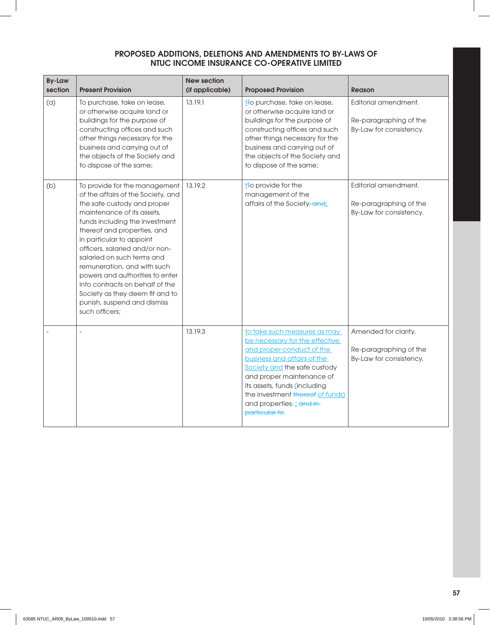| <b>By-Law</b><br>section | <b>Present Provision</b>                                                                                                                                                                                                                                                                                                                                                                                                                                                               | <b>New section</b><br>(if applicable) | <b>Proposed Provision</b>                                                                                                                                                                                                                                                                                        | <b>Reason</b>                                                             |
|--------------------------|----------------------------------------------------------------------------------------------------------------------------------------------------------------------------------------------------------------------------------------------------------------------------------------------------------------------------------------------------------------------------------------------------------------------------------------------------------------------------------------|---------------------------------------|------------------------------------------------------------------------------------------------------------------------------------------------------------------------------------------------------------------------------------------------------------------------------------------------------------------|---------------------------------------------------------------------------|
| (a)                      | To purchase, take on lease,<br>or otherwise acquire land or<br>buildings for the purpose of<br>constructing offices and such<br>other things necessary for the<br>business and carrying out of<br>the objects of the Society and<br>to dispose of the same;                                                                                                                                                                                                                            | 13.19.1                               | t <sub>To</sub> purchase, take on lease,<br>or otherwise acquire land or<br>buildings for the purpose of<br>constructing offices and such<br>other things necessary for the<br>business and carrying out of<br>the objects of the Society and<br>to dispose of the same;                                         | Editorial amendment.<br>Re-paragraphing of the<br>By-Law for consistency. |
| (b)                      | To provide for the management<br>of the affairs of the Society, and<br>the safe custody and proper<br>maintenance of its assets.<br>funds including the investment<br>thereof and properties, and<br>in particular to appoint<br>officers, salaried and/or non-<br>salaried on such terms and<br>remuneration, and with such<br>powers and authorities to enter<br>into contracts on behalf of the<br>Society as they deem fit and to<br>punish, suspend and dismiss<br>such officers; | 13.19.2                               | t <sub>To</sub> provide for the<br>management of the<br>affairs of the Society, and;                                                                                                                                                                                                                             | Editorial amendment.<br>Re-paragraphing of the<br>By-Law for consistency. |
|                          |                                                                                                                                                                                                                                                                                                                                                                                                                                                                                        | 13.19.3                               | to take such measures as may<br>be necessary for the effective<br>and proper conduct of the<br>business and affairs of the<br>Society and the safe custody<br>and proper maintenance of<br>its assets, funds (including<br>the investment thereof of funds)<br>and properties, <i>i</i> and in-<br>particular to | Amended for clarity.<br>Re-paragraphing of the<br>By-Law for consistency. |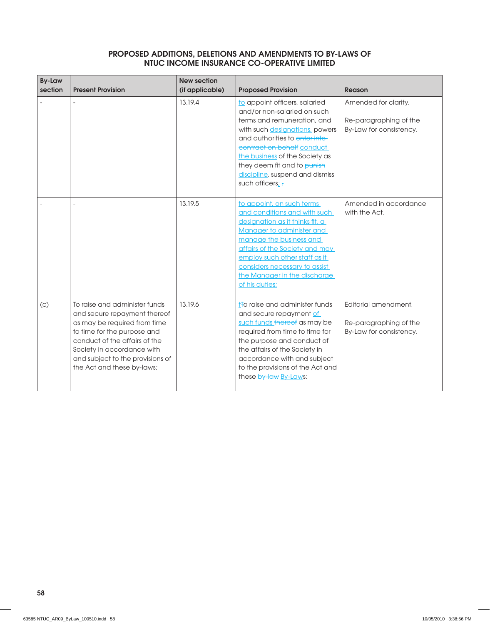| <b>By-Law</b><br>section | <b>Present Provision</b>                                                                                                                                                                                                                                      | <b>New section</b><br>(if applicable) | <b>Proposed Provision</b>                                                                                                                                                                                                                                                                                             | <b>Reason</b>                                                             |
|--------------------------|---------------------------------------------------------------------------------------------------------------------------------------------------------------------------------------------------------------------------------------------------------------|---------------------------------------|-----------------------------------------------------------------------------------------------------------------------------------------------------------------------------------------------------------------------------------------------------------------------------------------------------------------------|---------------------------------------------------------------------------|
|                          |                                                                                                                                                                                                                                                               | 13.19.4                               | to appoint officers, salaried<br>and/or non-salaried on such<br>terms and remuneration, and<br>with such designations, powers<br>and authorities to enter into-<br>contract on behalf conduct<br>the business of the Society as<br>they deem fit and to punish<br>discipline, suspend and dismiss<br>such officers; - | Amended for clarity.<br>Re-paragraphing of the<br>By-Law for consistency. |
|                          |                                                                                                                                                                                                                                                               | 13.19.5                               | to appoint, on such terms<br>and conditions and with such<br>designation as it thinks fit, a<br>Manager to administer and<br>manage the business and<br>affairs of the Society and may<br>employ such other staff as it<br>considers necessary to assist<br>the Manager in the discharge<br>of his duties;            | Amended in accordance<br>with the Act.                                    |
| (c)                      | To raise and administer funds<br>and secure repayment thereof<br>as may be required from time<br>to time for the purpose and<br>conduct of the affairs of the<br>Society in accordance with<br>and subject to the provisions of<br>the Act and these by-laws; | 13.19.6                               | t <del>T</del> o raise and administer funds<br>and secure repayment of<br>such funds thereof as may be<br>required from time to time for<br>the purpose and conduct of<br>the affairs of the Society in<br>accordance with and subject<br>to the provisions of the Act and<br>these by-law By-Laws;                   | Editorial amendment.<br>Re-paragraphing of the<br>By-Law for consistency. |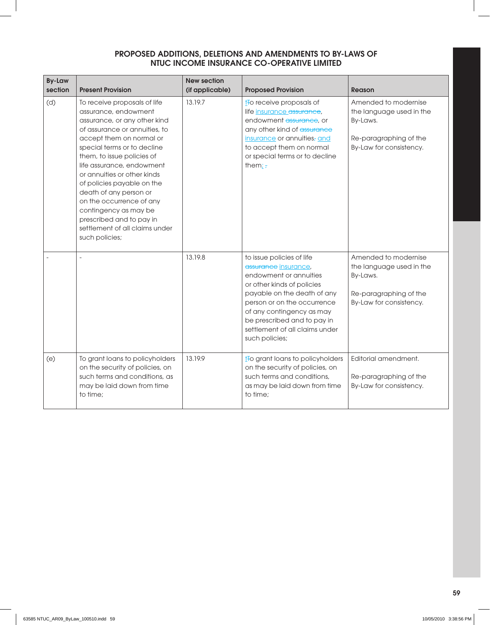| <b>By-Law</b><br>section | <b>Present Provision</b>                                                                                                                                                                                                                                                                                                                                                                                                                                                | <b>New section</b><br>(if applicable) | <b>Proposed Provision</b>                                                                                                                                                                                                                                                               | <b>Reason</b>                                                                                                     |
|--------------------------|-------------------------------------------------------------------------------------------------------------------------------------------------------------------------------------------------------------------------------------------------------------------------------------------------------------------------------------------------------------------------------------------------------------------------------------------------------------------------|---------------------------------------|-----------------------------------------------------------------------------------------------------------------------------------------------------------------------------------------------------------------------------------------------------------------------------------------|-------------------------------------------------------------------------------------------------------------------|
| (d)                      | To receive proposals of life<br>assurance, endowment<br>assurance, or any other kind<br>of assurance or annuities, to<br>accept them on normal or<br>special terms or to decline<br>them, to issue policies of<br>life assurance, endowment<br>or annuities or other kinds<br>of policies payable on the<br>death of any person or<br>on the occurrence of any<br>contingency as may be<br>prescribed and to pay in<br>settlement of all claims under<br>such policies; | 13.19.7                               | t <sub>to</sub> receive proposals of<br>life insurance assurance,<br>endowment assurance, or<br>any other kind of assurance<br>insurance or annuities, and<br>to accept them on normal<br>or special terms or to decline<br>them; $\frac{1}{2}$                                         | Amended to modernise<br>the language used in the<br>By-Laws.<br>Re-paragraphing of the<br>By-Law for consistency. |
|                          |                                                                                                                                                                                                                                                                                                                                                                                                                                                                         | 13.19.8                               | to issue policies of life<br>assurance insurance,<br>endowment or annuities<br>or other kinds of policies<br>payable on the death of any<br>person or on the occurrence<br>of any contingency as may<br>be prescribed and to pay in<br>settlement of all claims under<br>such policies; | Amended to modernise<br>the language used in the<br>By-Laws.<br>Re-paragraphing of the<br>By-Law for consistency. |
| (e)                      | To grant loans to policyholders<br>on the security of policies, on<br>such terms and conditions, as<br>may be laid down from time<br>to time;                                                                                                                                                                                                                                                                                                                           | 13.19.9                               | to grant loans to policyholders<br>on the security of policies, on<br>such terms and conditions,<br>as may be laid down from time<br>to time;                                                                                                                                           | Editorial amendment.<br>Re-paragraphing of the<br>By-Law for consistency.                                         |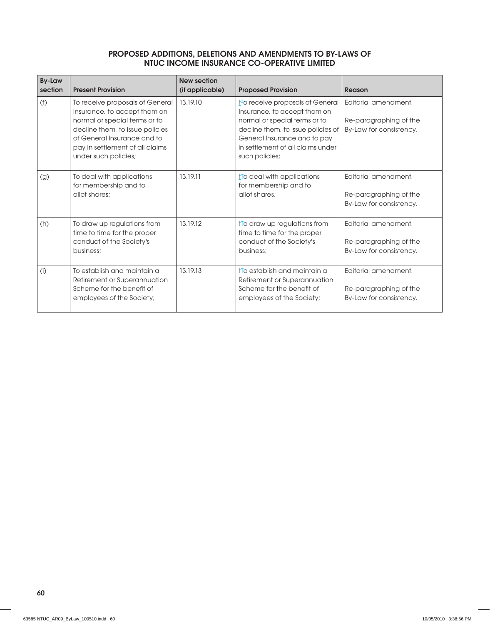| <b>By-Law</b><br>section | <b>Present Provision</b>                                                                                                                                                                                                      | <b>New section</b><br>(if applicable) | <b>Proposed Provision</b>                                                                                                                                                                                                                  | Reason                                                                    |
|--------------------------|-------------------------------------------------------------------------------------------------------------------------------------------------------------------------------------------------------------------------------|---------------------------------------|--------------------------------------------------------------------------------------------------------------------------------------------------------------------------------------------------------------------------------------------|---------------------------------------------------------------------------|
| (f)                      | To receive proposals of General<br>Insurance, to accept them on<br>normal or special terms or to<br>decline them, to issue policies<br>of General Insurance and to<br>pay in settlement of all claims<br>under such policies; | 13.19.10                              | t <sub>to</sub> receive proposals of General<br>Insurance, to accept them on<br>normal or special terms or to<br>decline them, to issue policies of<br>General Insurance and to pay<br>in settlement of all claims under<br>such policies; | Editorial amendment.<br>Re-paragraphing of the<br>By-Law for consistency. |
| (g)                      | To deal with applications<br>for membership and to<br>allot shares:                                                                                                                                                           | 13.19.11                              | $t$ Fo deal with applications<br>for membership and to<br>allot shares:                                                                                                                                                                    | Editorial amendment.<br>Re-paragraphing of the<br>By-Law for consistency. |
| (h)                      | To draw up regulations from<br>time to time for the proper<br>conduct of the Society's<br>business:                                                                                                                           | 13.19.12                              | $t$ Fo draw up regulations from<br>time to time for the proper<br>conduct of the Society's<br>business:                                                                                                                                    | Editorial amendment.<br>Re-paragraphing of the<br>By-Law for consistency. |
| (i)                      | To establish and maintain a<br>Retirement or Superannuation<br>Scheme for the benefit of<br>employees of the Society;                                                                                                         | 13.19.13                              | t <del>t</del> o establish and maintain a<br>Retirement or Superannuation<br>Scheme for the benefit of<br>employees of the Society;                                                                                                        | Editorial amendment.<br>Re-paragraphing of the<br>By-Law for consistency. |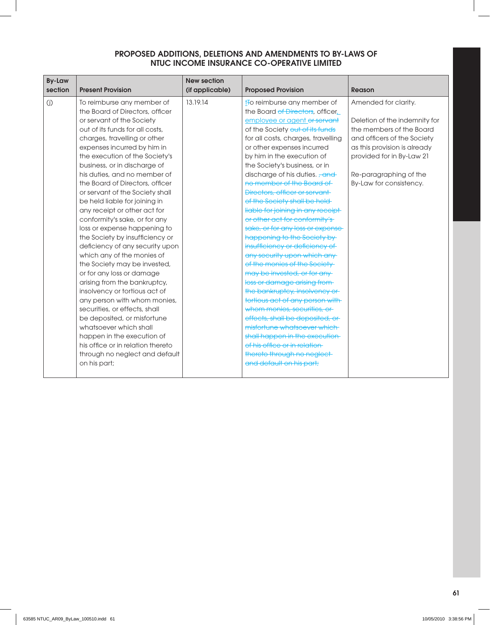| <b>By-Law</b><br>section | <b>Present Provision</b>                                                                                                                                                                                                                                                                                                                                                                                                                                                                                                                                                                                                                                                                                                                                                                                                                                                                                                                                                                | <b>New section</b><br>(if applicable) | <b>Proposed Provision</b>                                                                                                                                                                                                                                                                                                                                                                                                                                                                                                                                                                                                                                                                                                                                                                                                                                                                                                                                                                                                                    | Reason                                                                                                                                                                                                                             |
|--------------------------|-----------------------------------------------------------------------------------------------------------------------------------------------------------------------------------------------------------------------------------------------------------------------------------------------------------------------------------------------------------------------------------------------------------------------------------------------------------------------------------------------------------------------------------------------------------------------------------------------------------------------------------------------------------------------------------------------------------------------------------------------------------------------------------------------------------------------------------------------------------------------------------------------------------------------------------------------------------------------------------------|---------------------------------------|----------------------------------------------------------------------------------------------------------------------------------------------------------------------------------------------------------------------------------------------------------------------------------------------------------------------------------------------------------------------------------------------------------------------------------------------------------------------------------------------------------------------------------------------------------------------------------------------------------------------------------------------------------------------------------------------------------------------------------------------------------------------------------------------------------------------------------------------------------------------------------------------------------------------------------------------------------------------------------------------------------------------------------------------|------------------------------------------------------------------------------------------------------------------------------------------------------------------------------------------------------------------------------------|
| (j)                      | To reimburse any member of<br>the Board of Directors, officer<br>or servant of the Society<br>out of its funds for all costs,<br>charges, travelling or other<br>expenses incurred by him in<br>the execution of the Society's<br>business, or in discharge of<br>his duties, and no member of<br>the Board of Directors, officer<br>or servant of the Society shall<br>be held liable for joining in<br>any receipt or other act for<br>conformity's sake, or for any<br>loss or expense happening to<br>the Society by insufficiency or<br>deficiency of any security upon<br>which any of the monies of<br>the Society may be invested,<br>or for any loss or damage<br>arising from the bankruptcy,<br>insolvency or tortious act of<br>any person with whom monies,<br>securities, or effects, shall<br>be deposited, or misfortune<br>whatsoever which shall<br>happen in the execution of<br>his office or in relation thereto<br>through no neglect and default<br>on his part; | 13.19.14                              | t <sub>t</sub> o reimburse any member of<br>the Board of Directors, officer,<br>employee or agent or servant<br>of the Society out of its funds<br>for all costs, charges, travelling<br>or other expenses incurred<br>by him in the execution of<br>the Society's business, or in<br>discharge of his duties. <del>, and</del><br>no member of the Board of<br>Directors, officer or servant<br>of the Society shall be held-<br>liable for joining in any receipt<br>or other act for conformity's<br>sake, or for any loss or expense-<br>happening to the Society by<br>insufficiency or deficiency of<br>any security upon which any<br>of the monies of the Society-<br>may be invested, or for any<br>loss or damage arising from-<br>the bankruptcy, insolvency or<br>tortious act of any person with<br>whom monies, securities, or<br>effects, shall be deposited, or<br>misfortune whatsoever which<br>shall happen in the execution-<br>of his office or in relation-<br>thereto through no neglect-<br>and default on his part; | Amended for clarity.<br>Deletion of the indemnity for<br>the members of the Board<br>and officers of the Society<br>as this provision is already<br>provided for in By-Law 21<br>Re-paragraphing of the<br>By-Law for consistency. |
|                          |                                                                                                                                                                                                                                                                                                                                                                                                                                                                                                                                                                                                                                                                                                                                                                                                                                                                                                                                                                                         |                                       |                                                                                                                                                                                                                                                                                                                                                                                                                                                                                                                                                                                                                                                                                                                                                                                                                                                                                                                                                                                                                                              |                                                                                                                                                                                                                                    |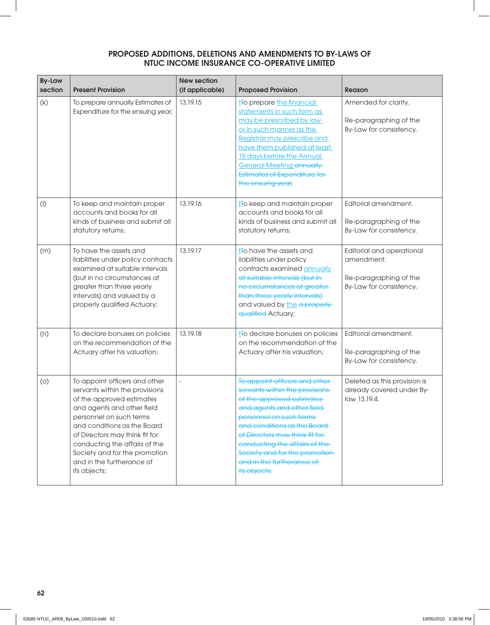| <b>By-Law</b><br>section | <b>Present Provision</b>                                                                                                                                                                                                                                                                                                              | <b>New section</b><br>(if applicable) | <b>Proposed Provision</b>                                                                                                                                                                                                                                                                                                                   | <b>Reason</b>                                                                                |
|--------------------------|---------------------------------------------------------------------------------------------------------------------------------------------------------------------------------------------------------------------------------------------------------------------------------------------------------------------------------------|---------------------------------------|---------------------------------------------------------------------------------------------------------------------------------------------------------------------------------------------------------------------------------------------------------------------------------------------------------------------------------------------|----------------------------------------------------------------------------------------------|
| (k)                      | To prepare annually Estimates of<br>Expenditure for the ensuing year;                                                                                                                                                                                                                                                                 | 13.19.15                              | t <sub>To</sub> prepare the financial<br>statements in such form as<br>may be prescribed by law<br>or in such manner as the<br>Registrar may prescribe and<br>have them published at least<br>15 days before the Annual<br><b>General Meeting annually</b><br>Estimates of Expenditure for<br>the ensuing year;                             | Amended for clarity.<br>Re-paragraphing of the<br>By-Law for consistency.                    |
| $($ l $)$                | To keep and maintain proper<br>accounts and books for all<br>kinds of business and submit all<br>statutory returns;                                                                                                                                                                                                                   | 13.19.16                              | t <sub>to</sub> keep and maintain proper<br>accounts and books for all<br>kinds of business and submit all<br>statutory returns;                                                                                                                                                                                                            | Editorial amendment.<br>Re-paragraphing of the<br>By-Law for consistency.                    |
| (m)                      | To have the assets and<br>liabilities under policy contracts<br>examined at suitable intervals<br>(but in no circumstances at<br>greater than three yearly<br>intervals) and valued by a<br>properly qualified Actuary;                                                                                                               | 13.19.17                              | t <sub>t</sub> o have the assets and<br>liabilities under policy<br>contracts examined annually<br>at suitable intervals (but in<br>no circumstances at greater-<br>than three yearly intervals)<br>and valued by the a properly<br>qualified Actuary;                                                                                      | Editorial and operational<br>amendment.<br>Re-paragraphing of the<br>By-Law for consistency. |
| (n)                      | To declare bonuses on policies<br>on the recommendation of the<br>Actuary after his valuation;                                                                                                                                                                                                                                        | 13.19.18                              | t <sub>To</sub> declare bonuses on policies<br>on the recommendation of the<br>Actuary after his valuation;                                                                                                                                                                                                                                 | Editorial amendment.<br>Re-paragraphing of the<br>By-Law for consistency.                    |
| (0)                      | To appoint officers and other<br>servants within the provisions<br>of the approved estimates<br>and agents and other field<br>personnel on such terms<br>and conditions as the Board<br>of Directors may think fit for<br>conducting the affairs of the<br>Society and for the promotion<br>and in the furtherance of<br>its objects; | $\overline{\phantom{a}}$              | To appoint officers and other-<br>servants within the provisions-<br>of the approved estimates<br>and agents and other field<br>personnel on such terms<br>and conditions as the Board-<br>of Directors may think fit for-<br>conducting the affairs of the-<br>Society and for the promotion-<br>and in the furtherance of<br>its objects; | Deleted as this provision is<br>already covered under By-<br>law 13.19.4.                    |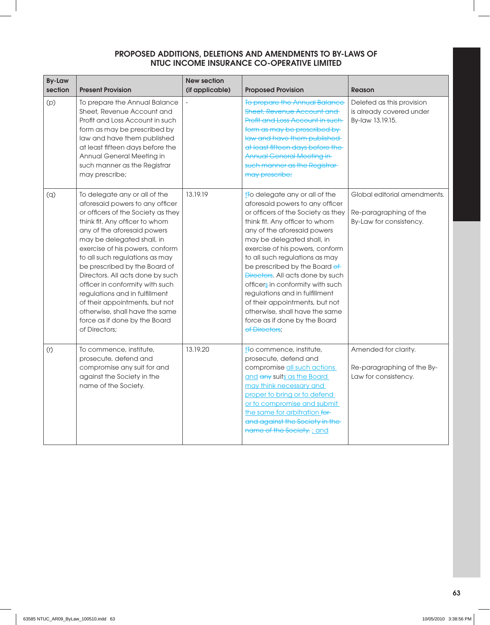| <b>By-Law</b><br>section | <b>Present Provision</b>                                                                                                                                                                                                                                                                                                                                                                                                                                                                                                                   | <b>New section</b><br>(if applicable) | <b>Proposed Provision</b>                                                                                                                                                                                                                                                                                                                                                                                                                                                                                                                          | <b>Reason</b>                                                                     |
|--------------------------|--------------------------------------------------------------------------------------------------------------------------------------------------------------------------------------------------------------------------------------------------------------------------------------------------------------------------------------------------------------------------------------------------------------------------------------------------------------------------------------------------------------------------------------------|---------------------------------------|----------------------------------------------------------------------------------------------------------------------------------------------------------------------------------------------------------------------------------------------------------------------------------------------------------------------------------------------------------------------------------------------------------------------------------------------------------------------------------------------------------------------------------------------------|-----------------------------------------------------------------------------------|
| (p)                      | To prepare the Annual Balance<br>Sheet, Revenue Account and<br>Profit and Loss Account in such<br>form as may be prescribed by<br>law and have them published<br>at least fifteen days before the<br>Annual General Meeting in<br>such manner as the Registrar<br>may prescribe;                                                                                                                                                                                                                                                           |                                       | To prepare the Annual Balance<br><b>Sheet, Revenue Account and-</b><br>Profit and Loss Account in such<br>form as may be prescribed by<br>law and have them published<br>at least fifteen days before the<br><b>Annual General Meeting in-</b><br>such manner as the Registrar-<br>may prescribe;                                                                                                                                                                                                                                                  | Deleted as this provision<br>is already covered under<br>By-law 13.19.15.         |
| (q)                      | To delegate any or all of the<br>aforesaid powers to any officer<br>or officers of the Society as they<br>think fit. Any officer to whom<br>any of the aforesaid powers<br>may be delegated shall, in<br>exercise of his powers, conform<br>to all such regulations as may<br>be prescribed by the Board of<br>Directors. All acts done by such<br>officer in conformity with such<br>regulations and in fulfillment<br>of their appointments, but not<br>otherwise, shall have the same<br>force as if done by the Board<br>of Directors: | 13.19.19                              | to delegate any or all of the<br>aforesaid powers to any officer<br>or officers of the Society as they<br>think fit. Any officer to whom<br>any of the aforesaid powers<br>may be delegated shall, in<br>exercise of his powers, conform<br>to all such regulations as may<br>be prescribed by the Board of<br><b>Directors.</b> All acts done by such<br>officers in conformity with such<br>regulations and in fulfillment<br>of their appointments, but not<br>otherwise, shall have the same<br>force as if done by the Board<br>of Directors: | Global editorial amendments.<br>Re-paragraphing of the<br>By-Law for consistency. |
| (r)                      | To commence, institute,<br>prosecute, defend and<br>compromise any suit for and<br>against the Society in the<br>name of the Society.                                                                                                                                                                                                                                                                                                                                                                                                      | 13.19.20                              | t <sub>To</sub> commence, institute,<br>prosecute, defend and<br>compromise all such actions<br>and any suits as the Board<br>may think necessary and<br>proper to bring or to defend<br>or to compromise and submit<br>the same for arbitration for<br>and against the Society in the-<br>name of the Society: ; and                                                                                                                                                                                                                              | Amended for clarity.<br>Re-paragraphing of the By-<br>Law for consistency.        |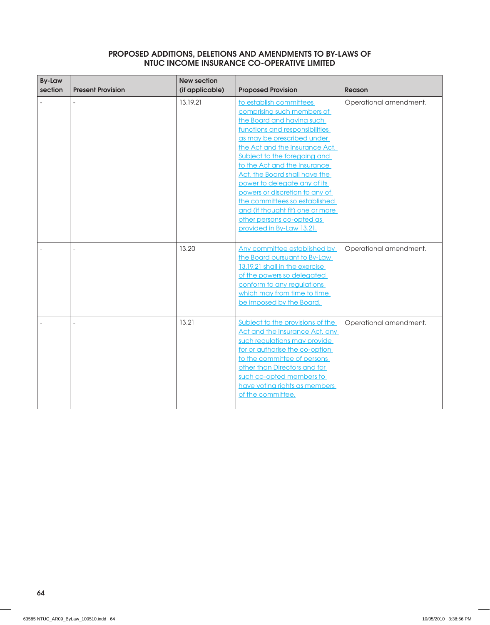| <b>By-Law</b><br>section | <b>Present Provision</b> | <b>New section</b><br>(if applicable) | <b>Proposed Provision</b>                                                                                                                                                                                                                                                                                                                                                                                                                                                              | <b>Reason</b>          |
|--------------------------|--------------------------|---------------------------------------|----------------------------------------------------------------------------------------------------------------------------------------------------------------------------------------------------------------------------------------------------------------------------------------------------------------------------------------------------------------------------------------------------------------------------------------------------------------------------------------|------------------------|
|                          |                          | 13.19.21                              | to establish committees<br>comprising such members of<br>the Board and having such<br>functions and responsibilities<br>as may be prescribed under<br>the Act and the Insurance Act.<br>Subject to the foregoing and<br>to the Act and the Insurance<br>Act, the Board shall have the<br>power to delegate any of its<br>powers or discretion to any of<br>the committees so established<br>and (if thought fit) one or more<br>other persons co-opted as<br>provided in By-Law 13.21. | Operational amendment. |
|                          |                          | 13.20                                 | Any committee established by<br>the Board pursuant to By-Law<br>13.19.21 shall in the exercise<br>of the powers so delegated<br>conform to any regulations<br>which may from time to time<br>be imposed by the Board.                                                                                                                                                                                                                                                                  | Operational amendment. |
|                          | $\overline{a}$           | 13.21                                 | Subject to the provisions of the<br>Act and the Insurance Act, any<br>such regulations may provide<br>for or authorise the co-option<br>to the committee of persons<br>other than Directors and for<br>such co-opted members to<br>have voting rights as members<br>of the committee.                                                                                                                                                                                                  | Operational amendment. |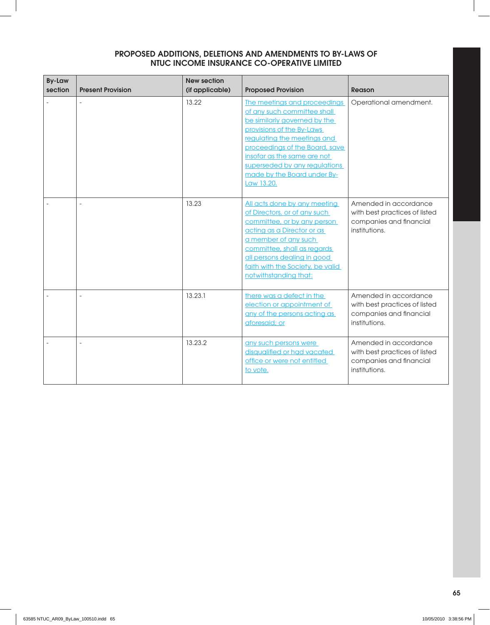| <b>By-Law</b> |                          | <b>New section</b> |                                                                                                                                                                                                                                                                                                        |                                                                                                    |
|---------------|--------------------------|--------------------|--------------------------------------------------------------------------------------------------------------------------------------------------------------------------------------------------------------------------------------------------------------------------------------------------------|----------------------------------------------------------------------------------------------------|
| section       | <b>Present Provision</b> | (if applicable)    | <b>Proposed Provision</b>                                                                                                                                                                                                                                                                              | Reason                                                                                             |
|               |                          | 13.22              | The meetings and proceedings<br>of any such committee shall<br>be similarly governed by the<br>provisions of the By-Laws<br>regulating the meetings and<br>proceedings of the Board, save<br>insofar as the same are not<br>superseded by any regulations<br>made by the Board under By-<br>Law 13.20. | Operational amendment.                                                                             |
|               |                          | 13.23              | All acts done by any meeting<br>of Directors, or of any such<br>committee, or by any person<br>acting as a Director or as<br>a member of any such<br>committee, shall as regards<br>all persons dealing in good<br>faith with the Society, be valid<br>notwithstanding that:                           | Amended in accordance<br>with best practices of listed<br>companies and financial<br>institutions. |
|               |                          | 13.23.1            | there was a defect in the<br>election or appointment of<br>any of the persons acting as<br>aforesaid; or                                                                                                                                                                                               | Amended in accordance<br>with best practices of listed<br>companies and financial<br>institutions. |
|               |                          | 13.23.2            | any such persons were<br>disqualified or had vacated<br>office or were not entitled<br>to vote.                                                                                                                                                                                                        | Amended in accordance<br>with best practices of listed<br>companies and financial<br>institutions. |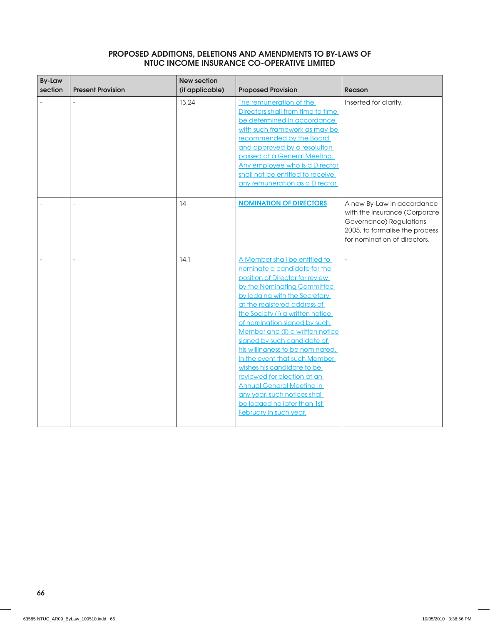| <b>By-Law</b><br>section | <b>Present Provision</b> | <b>New section</b><br>(if applicable) | <b>Proposed Provision</b>                                                                                                                                                                                                                                                                                                                                                                                                                                                                                                                                                                              | <b>Reason</b>                                                                                                                                            |
|--------------------------|--------------------------|---------------------------------------|--------------------------------------------------------------------------------------------------------------------------------------------------------------------------------------------------------------------------------------------------------------------------------------------------------------------------------------------------------------------------------------------------------------------------------------------------------------------------------------------------------------------------------------------------------------------------------------------------------|----------------------------------------------------------------------------------------------------------------------------------------------------------|
|                          |                          | 13.24                                 | The remuneration of the<br>Directors shall from time to time<br>be determined in accordance<br>with such framework as may be<br>recommended by the Board<br>and approved by a resolution<br>passed at a General Meeting.<br>Any employee who is a Director<br>shall not be entitled to receive<br>any remuneration as a Director.                                                                                                                                                                                                                                                                      | Inserted for clarity.                                                                                                                                    |
|                          | $\bar{a}$                | 14                                    | <b>NOMINATION OF DIRECTORS</b>                                                                                                                                                                                                                                                                                                                                                                                                                                                                                                                                                                         | A new By-Law in accordance<br>with the Insurance (Corporate<br>Governance) Regulations<br>2005, to formalise the process<br>for nomination of directors. |
|                          |                          | 14.1                                  | A Member shall be entitled to<br>nominate a candidate for the<br>position of Director for review<br>by the Nominating Committee<br>by lodging with the Secretary<br>at the registered address of<br>the Society (i) a written notice<br>of nomination signed by such<br>Member and (ii) a written notice<br>signed by such candidate of<br>his willingness to be nominated.<br>In the event that such Member<br>wishes his candidate to be<br>reviewed for election at an<br><b>Annual General Meeting in</b><br>any year, such notices shall<br>be lodged no later than 1st<br>February in such year. | $\frac{1}{2}$                                                                                                                                            |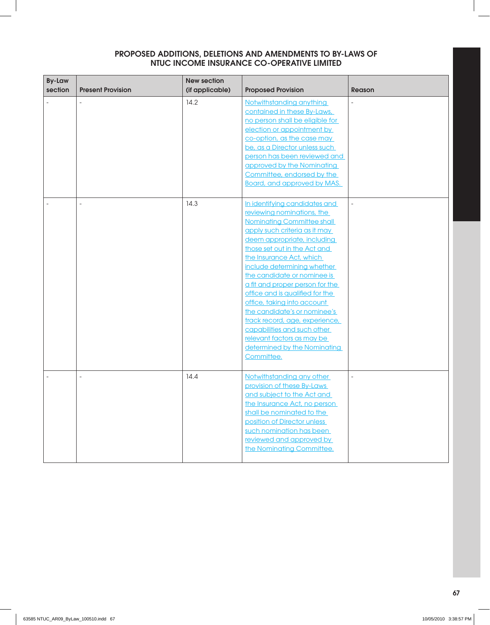| <b>By-Law</b><br>section | <b>Present Provision</b> | <b>New section</b><br>(if applicable) | <b>Proposed Provision</b>                                                                                                                                                                                                                                                                                                                                                                                                                                                                                                                                                    | <b>Reason</b> |
|--------------------------|--------------------------|---------------------------------------|------------------------------------------------------------------------------------------------------------------------------------------------------------------------------------------------------------------------------------------------------------------------------------------------------------------------------------------------------------------------------------------------------------------------------------------------------------------------------------------------------------------------------------------------------------------------------|---------------|
|                          |                          | 14.2                                  | Notwithstanding anything<br>contained in these By-Laws,<br>no person shall be eligible for<br>election or appointment by<br>co-option, as the case may<br>be, as a Director unless such<br>person has been reviewed and<br>approved by the Nominating<br>Committee, endorsed by the<br><b>Board, and approved by MAS.</b>                                                                                                                                                                                                                                                    |               |
|                          |                          | 14.3                                  | In identifying candidates and<br>reviewing nominations, the<br><b>Nominating Committee shall</b><br>apply such criteria as it may<br>deem appropriate, including<br>those set out in the Act and<br>the Insurance Act, which<br>include determining whether<br>the candidate or nominee is<br>a fit and proper person for the<br>office and is qualified for the<br>office, taking into account<br>the candidate's or nominee's<br>track record, age, experience,<br>capabilities and such other<br>relevant factors as may be<br>determined by the Nominating<br>Committee. |               |
|                          | $\overline{a}$           | 14.4                                  | Notwithstanding any other<br>provision of these By-Laws<br>and subject to the Act and<br>the Insurance Act, no person<br>shall be nominated to the<br>position of Director unless<br>such nomination has been<br>reviewed and approved by<br>the Nominating Committee.                                                                                                                                                                                                                                                                                                       | $\frac{1}{2}$ |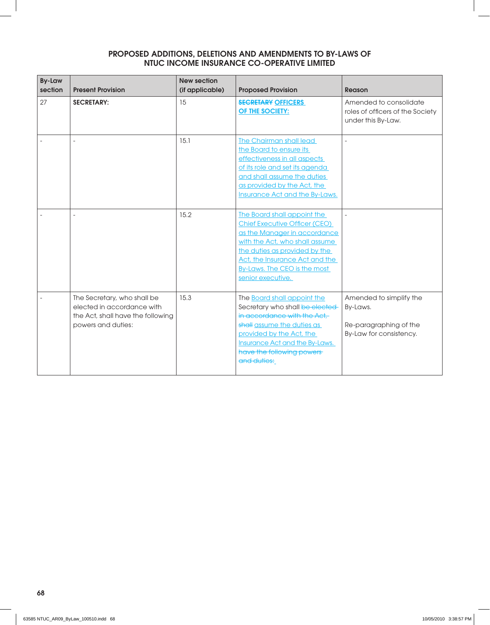| <b>By-Law</b><br>section | <b>Present Provision</b>                                                                                             | <b>New section</b><br>(if applicable) | <b>Proposed Provision</b>                                                                                                                                                                                                                                     | <b>Reason</b>                                                                            |
|--------------------------|----------------------------------------------------------------------------------------------------------------------|---------------------------------------|---------------------------------------------------------------------------------------------------------------------------------------------------------------------------------------------------------------------------------------------------------------|------------------------------------------------------------------------------------------|
| 27                       | <b>SECRETARY:</b>                                                                                                    | 15                                    | <b>SECRETARY OFFICERS</b><br>OF THE SOCIETY:                                                                                                                                                                                                                  | Amended to consolidate<br>roles of officers of the Society<br>under this By-Law.         |
|                          | ÷,                                                                                                                   | 15.1                                  | The Chairman shall lead<br>the Board to ensure its<br>effectiveness in all aspects<br>of its role and set its agenda<br>and shall assume the duties<br>as provided by the Act, the<br><b>Insurance Act and the By-Laws.</b>                                   | $\overline{a}$                                                                           |
|                          |                                                                                                                      | 15.2                                  | The Board shall appoint the<br><b>Chief Executive Officer (CEO)</b><br>as the Manager in accordance<br>with the Act, who shall assume<br>the duties as provided by the<br>Act, the Insurance Act and the<br>By-Laws. The CEO is the most<br>senior executive. | $\overline{a}$                                                                           |
|                          | The Secretary, who shall be<br>elected in accordance with<br>the Act, shall have the following<br>powers and duties: | 15.3                                  | The <b>Board shall appoint the</b><br>Secretary who shall be elected-<br>in accordance with the Act.<br>shall assume the duties as<br>provided by the Act, the<br><b>Insurance Act and the By-Laws.</b><br>have the following powers<br>and duties:           | Amended to simplify the<br>By-Laws.<br>Re-paragraphing of the<br>By-Law for consistency. |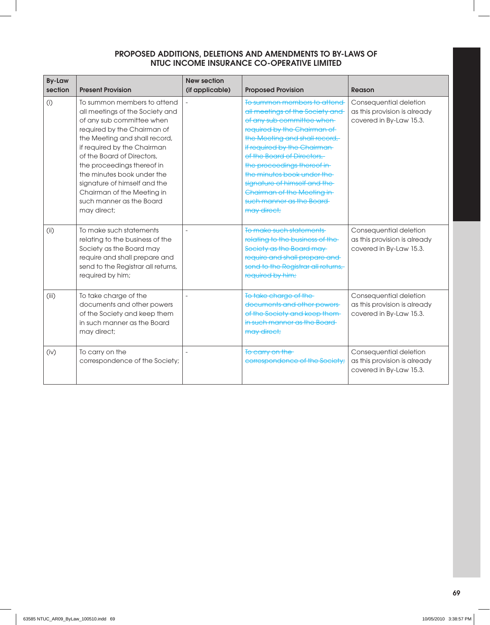| <b>By-Law</b><br>section | <b>Present Provision</b>                                                                                                                                                                                                                                                                                                                                                                      | <b>New section</b><br>(if applicable) | <b>Proposed Provision</b>                                                                                                                                                                                                                                                                                                                                                                          | Reason                                                                            |
|--------------------------|-----------------------------------------------------------------------------------------------------------------------------------------------------------------------------------------------------------------------------------------------------------------------------------------------------------------------------------------------------------------------------------------------|---------------------------------------|----------------------------------------------------------------------------------------------------------------------------------------------------------------------------------------------------------------------------------------------------------------------------------------------------------------------------------------------------------------------------------------------------|-----------------------------------------------------------------------------------|
| (i)                      | To summon members to attend<br>all meetings of the Society and<br>of any sub committee when<br>required by the Chairman of<br>the Meeting and shall record,<br>if required by the Chairman<br>of the Board of Directors,<br>the proceedings thereof in<br>the minutes book under the<br>signature of himself and the<br>Chairman of the Meeting in<br>such manner as the Board<br>may direct; |                                       | To summon members to attend<br>all meetings of the Society and<br>of any sub committee when<br>required by the Chairman of<br>the Meeting and shall record,<br>if required by the Chairman-<br>of the Board of Directors,<br>the proceedings thereof in-<br>the minutes book under the<br>signature of himself and the-<br>Chairman of the Meeting in-<br>such manner as the Board-<br>may direct; | Consequential deletion<br>as this provision is already<br>covered in By-Law 15.3. |
| (i)                      | To make such statements<br>relating to the business of the<br>Society as the Board may<br>require and shall prepare and<br>send to the Registrar all returns,<br>required by him;                                                                                                                                                                                                             |                                       | To make such statements<br>relating to the business of the-<br>Society as the Board may-<br>require and shall prepare and<br>send to the Registrar all returns,<br>required by him;                                                                                                                                                                                                                | Consequential deletion<br>as this provision is already<br>covered in By-Law 15.3. |
| (iii)                    | To take charge of the<br>documents and other powers<br>of the Society and keep them<br>in such manner as the Board<br>may direct;                                                                                                                                                                                                                                                             |                                       | To take charge of the-<br>documents and other powers-<br>of the Society and keep them-<br>in such manner as the Board-<br>may direct;                                                                                                                                                                                                                                                              | Consequential deletion<br>as this provision is already<br>covered in By-Law 15.3. |
| (iv)                     | To carry on the<br>correspondence of the Society;                                                                                                                                                                                                                                                                                                                                             |                                       | To carry on the<br>eorrespondence of the Society;                                                                                                                                                                                                                                                                                                                                                  | Consequential deletion<br>as this provision is already<br>covered in By-Law 15.3. |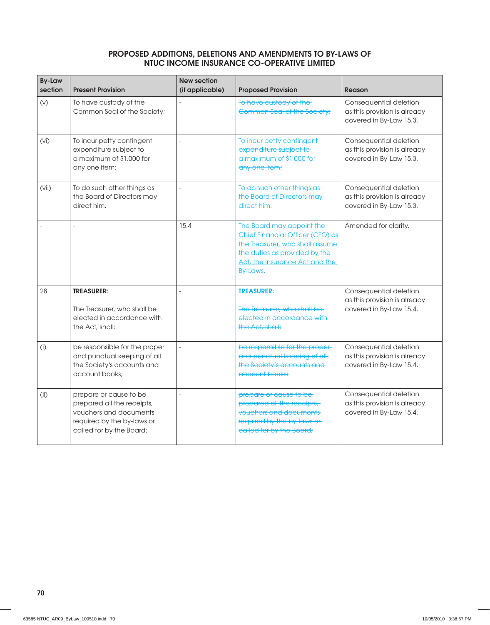| <b>By-Law</b><br>section | <b>Present Provision</b>                                                                                                                 | <b>New section</b><br>(if applicable) | <b>Proposed Provision</b>                                                                                                                                                       | <b>Reason</b>                                                                     |
|--------------------------|------------------------------------------------------------------------------------------------------------------------------------------|---------------------------------------|---------------------------------------------------------------------------------------------------------------------------------------------------------------------------------|-----------------------------------------------------------------------------------|
| (V)                      | To have custody of the<br>Common Seal of the Society;                                                                                    |                                       | To have custody of the<br>Common Seal of the Society;                                                                                                                           | Consequential deletion<br>as this provision is already<br>covered in By-Law 15.3. |
| (vi)                     | To incur petty contingent<br>expenditure subject to<br>a maximum of \$1,000 for<br>any one item;                                         | $\overline{a}$                        | To incur petty contingent<br>expenditure subject to<br>a maximum of \$1,000 for<br>any one item;                                                                                | Consequential deletion<br>as this provision is already<br>covered in By-Law 15.3. |
| (vii)                    | To do such other things as<br>the Board of Directors may<br>direct him.                                                                  |                                       | To do such other things as-<br>the Board of Directors may<br>direct him.                                                                                                        | Consequential deletion<br>as this provision is already<br>covered in By-Law 15.3. |
|                          |                                                                                                                                          | 15.4                                  | The Board may appoint the<br>Chief Financial Officer (CFO) as<br>the Treasurer, who shall assume<br>the duties as provided by the<br>Act, the Insurance Act and the<br>By-Laws. | Amended for clarity.                                                              |
| 28                       | <b>TREASURER:</b><br>The Treasurer, who shall be<br>elected in accordance with<br>the Act, shall:                                        |                                       | <b>TREASURER:</b><br>The Treasurer, who shall be<br>elected in accordance with<br>the Act, shall:                                                                               | Consequential deletion<br>as this provision is already<br>covered in By-Law 15.4. |
| (i)                      | be responsible for the proper<br>and punctual keeping of all<br>the Society's accounts and<br>account books:                             | $\overline{a}$                        | be responsible for the proper-<br>and punctual keeping of all-<br>the Society's accounts and<br>account books:                                                                  | Consequential deletion<br>as this provision is already<br>covered in By-Law 15.4. |
| (i)                      | prepare or cause to be<br>prepared all the receipts,<br>vouchers and documents<br>required by the by-laws or<br>called for by the Board; |                                       | prepare or cause to be-<br>prepared all the receipts,<br>vouchers and documents<br>required by the by-laws or<br>ealled for by the Board;                                       | Consequential deletion<br>as this provision is already<br>covered in By-Law 15.4. |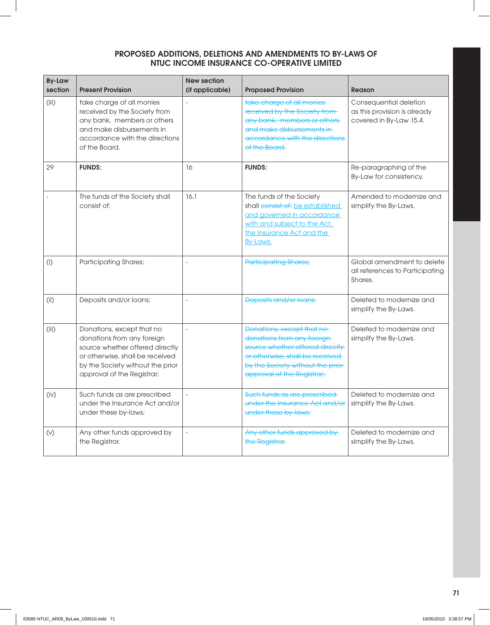| <b>By-Law</b><br>section | <b>Present Provision</b>                                                                                                                                                                        | <b>New section</b><br>(if applicable) | <b>Proposed Provision</b>                                                                                                                                                                          | <b>Reason</b>                                                                     |
|--------------------------|-------------------------------------------------------------------------------------------------------------------------------------------------------------------------------------------------|---------------------------------------|----------------------------------------------------------------------------------------------------------------------------------------------------------------------------------------------------|-----------------------------------------------------------------------------------|
| (iii)                    | take charge of all monies<br>received by the Society from<br>any bank, members or others<br>and make disbursements in<br>accordance with the directions<br>of the Board.                        |                                       | take charge of all monies<br>received by the Society from-<br>any bank, members or others<br>and make disbursements in<br>accordance with the directions<br>of the Board.                          | Consequential deletion<br>as this provision is already<br>covered in By-Law 15.4. |
| 29                       | <b>FUNDS:</b>                                                                                                                                                                                   | 16                                    | <b>FUNDS:</b>                                                                                                                                                                                      | Re-paragraphing of the<br>By-Law for consistency.                                 |
|                          | The funds of the Society shall<br>consist of:                                                                                                                                                   | 16.1                                  | The funds of the Society<br>shall consist of: be established<br>and governed in accordance<br>with and subject to the Act,<br>the Insurance Act and the<br>By-Laws.                                | Amended to modernize and<br>simplify the By-Laws.                                 |
| (i)                      | <b>Participating Shares;</b>                                                                                                                                                                    |                                       | <b>Participating Shares;</b>                                                                                                                                                                       | Global amendment to delete<br>all references to Participating<br>Shares.          |
| (i)                      | Deposits and/or loans;                                                                                                                                                                          | $\overline{a}$                        | Deposits and/or loans;                                                                                                                                                                             | Deleted to modernize and<br>simplify the By-Laws.                                 |
| (iii)                    | Donations, except that no<br>donations from any foreign<br>source whether offered directly<br>or otherwise, shall be received<br>by the Society without the prior<br>approval of the Registrar; | $\overline{a}$                        | Donations, except that no<br>donations from any foreign-<br>source whether offered directly<br>or otherwise, shall be received<br>by the Society without the prior-<br>approval of the Registrar;- | Deleted to modernize and<br>simplify the By-Laws.                                 |
| (iv)                     | Such funds as are prescribed<br>under the Insurance Act and/or<br>under these by-laws;                                                                                                          |                                       | Such funds as are prescribed<br>under the Insurance Act and/or<br>under these by-laws;                                                                                                             | Deleted to modernize and<br>simplify the By-Laws.                                 |
| $(\vee)$                 | Any other funds approved by<br>the Registrar.                                                                                                                                                   | $\overline{\phantom{0}}$              | Any other funds approved by<br>the Registrar.                                                                                                                                                      | Deleted to modernize and<br>simplify the By-Laws.                                 |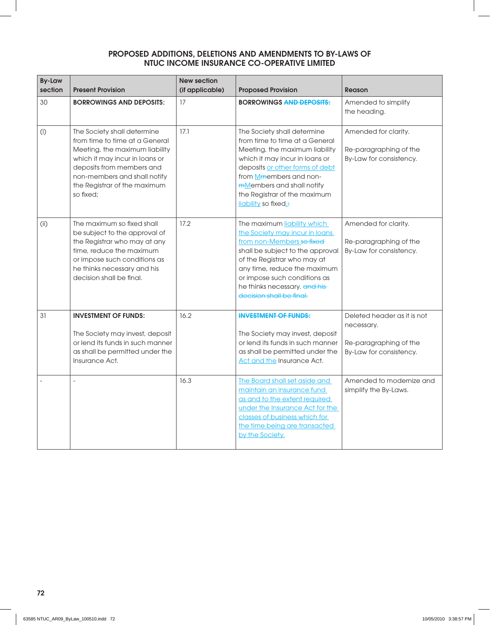| <b>By-Law</b><br>section | <b>Present Provision</b>                                                                                                                                                                                                                    | <b>New section</b><br>(if applicable) | <b>Proposed Provision</b>                                                                                                                                                                                                                                                                 | <b>Reason</b>                                                                                  |
|--------------------------|---------------------------------------------------------------------------------------------------------------------------------------------------------------------------------------------------------------------------------------------|---------------------------------------|-------------------------------------------------------------------------------------------------------------------------------------------------------------------------------------------------------------------------------------------------------------------------------------------|------------------------------------------------------------------------------------------------|
| 30                       | <b>BORROWINGS AND DEPOSITS:</b>                                                                                                                                                                                                             | 17                                    | <b>BORROWINGS AND DEPOSITS:</b>                                                                                                                                                                                                                                                           | Amended to simplify<br>the heading.                                                            |
| (i)                      | The Society shall determine<br>from time to time at a General<br>Meeting, the maximum liability<br>which it may incur in loans or<br>deposits from members and<br>non-members and shall notify<br>the Registrar of the maximum<br>so fixed; | 17.1                                  | The Society shall determine<br>from time to time at a General<br>Meeting, the maximum liability<br>which it may incur in loans or<br>deposits or other forms of debt<br>from Mmembers and non-<br>mMembers and shall notify<br>the Registrar of the maximum<br>liability so fixed.        | Amended for clarity.<br>Re-paragraphing of the<br>By-Law for consistency.                      |
| (i)                      | The maximum so fixed shall<br>be subject to the approval of<br>the Registrar who may at any<br>time, reduce the maximum<br>or impose such conditions as<br>he thinks necessary and his<br>decision shall be final.                          | 17.2                                  | The maximum liability which<br>the Society may incur in loans<br>from non-Members so fixed<br>shall be subject to the approval<br>of the Registrar who may at<br>any time, reduce the maximum<br>or impose such conditions as<br>he thinks necessary. and his<br>decision shall be final. | Amended for clarity.<br>Re-paragraphing of the<br>By-Law for consistency.                      |
| 31                       | <b>INVESTMENT OF FUNDS:</b><br>The Society may invest, deposit<br>or lend its funds in such manner<br>as shall be permitted under the<br>Insurance Act.                                                                                     | 16.2                                  | <b>INVESTMENT OF FUNDS:</b><br>The Society may invest, deposit<br>or lend its funds in such manner<br>as shall be permitted under the<br><b>Act and the Insurance Act.</b>                                                                                                                | Deleted header as it is not<br>necessary.<br>Re-paragraphing of the<br>By-Law for consistency. |
|                          |                                                                                                                                                                                                                                             | 16.3                                  | The Board shall set aside and<br>maintain an insurance fund<br>as and to the extent required<br>under the Insurance Act for the<br>classes of business which for<br>the time being are transacted<br>by the Society.                                                                      | Amended to modernize and<br>simplify the By-Laws.                                              |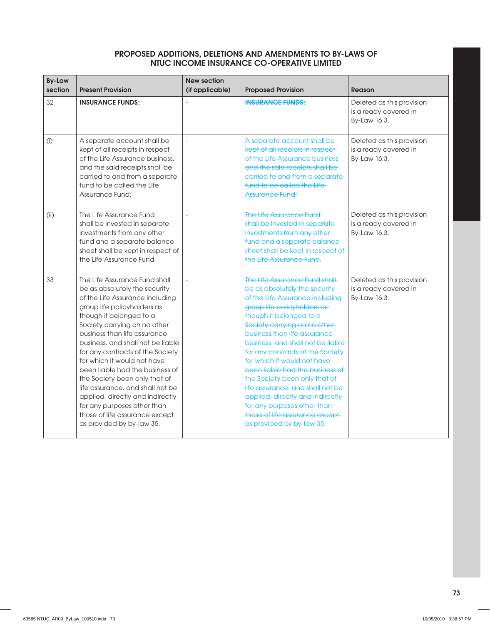| <b>By-Law</b><br>section | <b>Present Provision</b>                                                                                                                                                                                                                                                                                                                                                                                                                                                                                                                                                      | <b>New section</b><br>(if applicable) | <b>Proposed Provision</b>                                                                                                                                                                                                                                                                                                                                                                                                                                                                                                                                                             | Reason                                                             |
|--------------------------|-------------------------------------------------------------------------------------------------------------------------------------------------------------------------------------------------------------------------------------------------------------------------------------------------------------------------------------------------------------------------------------------------------------------------------------------------------------------------------------------------------------------------------------------------------------------------------|---------------------------------------|---------------------------------------------------------------------------------------------------------------------------------------------------------------------------------------------------------------------------------------------------------------------------------------------------------------------------------------------------------------------------------------------------------------------------------------------------------------------------------------------------------------------------------------------------------------------------------------|--------------------------------------------------------------------|
| 32                       | <b>INSURANCE FUNDS:</b>                                                                                                                                                                                                                                                                                                                                                                                                                                                                                                                                                       |                                       | <b>INSURANCE FUNDS:</b>                                                                                                                                                                                                                                                                                                                                                                                                                                                                                                                                                               | Deleted as this provision<br>is already covered in<br>By-Law 16.3. |
| (i)                      | A separate account shall be<br>kept of all receipts in respect<br>of the Life Assurance business,<br>and the said receipts shall be<br>carried to and from a separate<br>fund to be called the Life<br>Assurance Fund:                                                                                                                                                                                                                                                                                                                                                        | $\overline{a}$                        | A separate account shall be<br>kept of all receipts in respect-<br>of the Life Assurance business,<br>and the said receipts shall be-<br>carried to and from a separate-<br>fund to be called the Life<br>Assurance Fund:                                                                                                                                                                                                                                                                                                                                                             | Deleted as this provision<br>is already covered in<br>By-Law 16.3. |
| (i)                      | The Life Assurance Fund<br>shall be invested in separate<br>investments from any other<br>fund and a separate balance<br>sheet shall be kept in respect of<br>the Life Assurance Fund.                                                                                                                                                                                                                                                                                                                                                                                        | $\sim$                                | The Life Assurance Fund<br>shall be invested in separate-<br>investments from any other-<br>fund and a separate balance<br>sheet shall be kept in respect of<br>the Life Assurance Fund.                                                                                                                                                                                                                                                                                                                                                                                              | Deleted as this provision<br>is already covered in<br>By-Law 16.3. |
| 33                       | The Life Assurance Fund shall<br>be as absolutely the security<br>of the Life Assurance including<br>group life policyholders as<br>though it belonged to a<br>Society carrying on no other<br>business than life assurance<br>business, and shall not be liable<br>for any contracts of the Society<br>for which it would not have<br>been liable had the business of<br>the Society been only that of<br>life assurance, and shall not be<br>applied, directly and indirectly<br>for any purposes other than<br>those of life assurance except<br>as provided by by-law 35. | $\frac{1}{2}$                         | The Life Assurance Fund shall<br>be as absolutely the security-<br>of the Life Assurance including-<br>group life policyholders as-<br>though it belonged to a<br>Society carrying on no other-<br>business than life assurance<br>business, and shall not be liable<br>for any contracts of the Society-<br>for which it would not have<br>been liable had the business of<br>the Society been only that of<br>life assurance, and shall not be-<br>applied, directly and indirectly<br>for any purposes other than-<br>those of life assurance except-<br>as provided by by-law 35. | Deleted as this provision<br>is already covered in<br>By-Law 16.3. |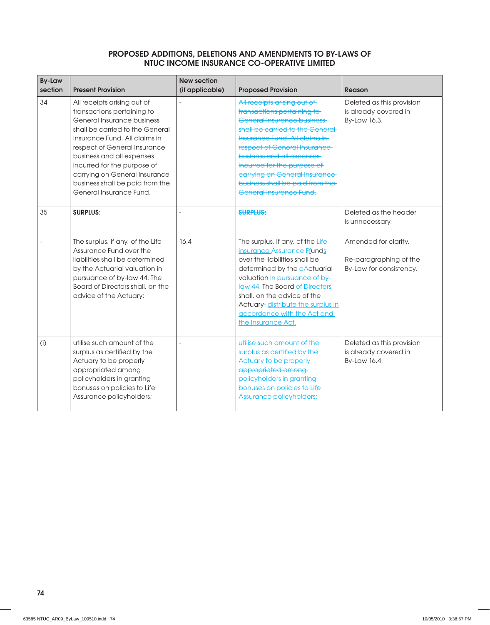| <b>By-Law</b><br>section | <b>Present Provision</b>                                                                                                                                                                                                                                                                                                                               | <b>New section</b><br>(if applicable) | <b>Proposed Provision</b>                                                                                                                                                                                                                                                                                                                                       | Reason                                                                    |
|--------------------------|--------------------------------------------------------------------------------------------------------------------------------------------------------------------------------------------------------------------------------------------------------------------------------------------------------------------------------------------------------|---------------------------------------|-----------------------------------------------------------------------------------------------------------------------------------------------------------------------------------------------------------------------------------------------------------------------------------------------------------------------------------------------------------------|---------------------------------------------------------------------------|
| 34                       | All receipts arising out of<br>transactions pertaining to<br>General Insurance business<br>shall be carried to the General<br>Insurance Fund. All claims in<br>respect of General Insurance<br>business and all expenses<br>incurred for the purpose of<br>carrying on General Insurance<br>business shall be paid from the<br>General Insurance Fund. |                                       | All receipts arising out of<br>transactions pertaining to<br><b>General Insurance business</b><br>shall be carried to the General<br>Insurance Fund. All claims in-<br>respect of General Insurance<br>business and all expenses<br>incurred for the purpose of<br>earrying on General Insurance<br>business shall be paid from the-<br>General Insurance Fund. | Deleted as this provision<br>is already covered in<br>By-Law 16.3.        |
| 35                       | <b>SURPLUS:</b>                                                                                                                                                                                                                                                                                                                                        |                                       | <b>SURPLUS:</b>                                                                                                                                                                                                                                                                                                                                                 | Deleted as the header<br>is unnecessary.                                  |
|                          | The surplus, if any, of the Life<br>Assurance Fund over the<br>liabilities shall be determined<br>by the Actuarial valuation in<br>pursuance of by-law 44. The<br>Board of Directors shall, on the<br>advice of the Actuary:                                                                                                                           | 16.4                                  | The surplus, if any, of the Life<br>insurance Assurance Ffunds<br>over the liabilities shall be<br>determined by the aActuarial<br>valuation in pursuance of by-<br>law 44. The Board of Directors<br>shall, on the advice of the<br>Actuary: distribute the surplus in<br>accordance with the Act and<br>the Insurance Act.                                    | Amended for clarity.<br>Re-paragraphing of the<br>By-Law for consistency. |
| (i)                      | utilise such amount of the<br>surplus as certified by the<br>Actuary to be properly<br>appropriated among<br>policyholders in granting<br>bonuses on policies to Life<br>Assurance policyholders;                                                                                                                                                      |                                       | utilise such amount of the<br>surplus as certified by the<br>Actuary to be properly<br>appropriated among-<br>policyholders in granting-<br>bonuses on policies to Life-<br>Assurance policyholders;                                                                                                                                                            | Deleted as this provision<br>is already covered in<br>By-Law 16.4.        |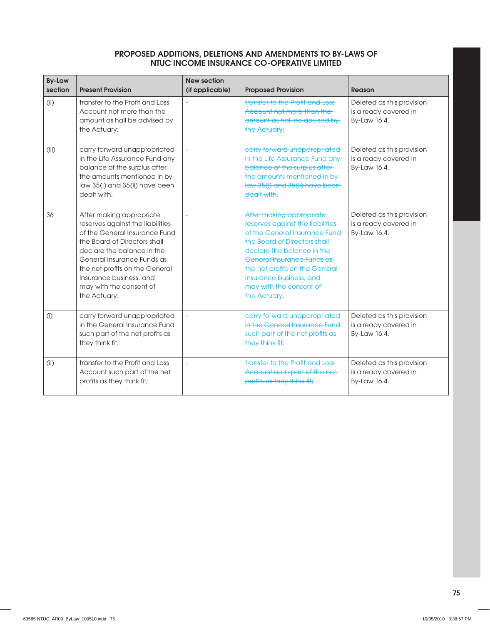| <b>By-Law</b><br>section | <b>Present Provision</b>                                                                                                                                                                                                                                                                          | <b>New section</b><br>(if applicable) | <b>Proposed Provision</b>                                                                                                                                                                                                                                                                            | Reason                                                             |
|--------------------------|---------------------------------------------------------------------------------------------------------------------------------------------------------------------------------------------------------------------------------------------------------------------------------------------------|---------------------------------------|------------------------------------------------------------------------------------------------------------------------------------------------------------------------------------------------------------------------------------------------------------------------------------------------------|--------------------------------------------------------------------|
| (i)                      | transfer to the Profit and Loss<br>Account not more than the<br>amount as hall be advised by<br>the Actuary;                                                                                                                                                                                      |                                       | transfer to the Profit and Loss-<br>Account not more than the<br>amount as hall be advised by<br>the Actuary;                                                                                                                                                                                        | Deleted as this provision<br>is already covered in<br>By-Law 16.4. |
| (iii)                    | carry forward unappropriated<br>in the Life Assurance Fund any<br>balance of the surplus after<br>the amounts mentioned in by-<br>law 35(i) and 35(ii) have been<br>dealt with.                                                                                                                   |                                       | earry forward unappropriated<br>in the Life Assurance Fund any-<br>balance of the surplus after-<br>the amounts mentioned in by-<br>law 35(i) and 35(ii) have been<br>dealt with.                                                                                                                    | Deleted as this provision<br>is already covered in<br>By-Law 16.4. |
| 36                       | After making appropriate<br>reserves against the liabilities<br>of the General Insurance Fund<br>the Board of Directors shall<br>declare the balance in the<br>General Insurance Funds as<br>the net profits on the General<br>Insurance business, and<br>may with the consent of<br>the Actuary: |                                       | After making appropriate<br>reserves against the liabilities<br>of the General Insurance Fund-<br>the Board of Directors shall<br>declare the balance in the<br>General Insurance Funds as-<br>the net profits on the General-<br>Insurance business, and<br>may with the consent of<br>the Actuary: | Deleted as this provision<br>is already covered in<br>By-Law 16.4. |
| (i)                      | carry forward unappropriated<br>in the General Insurance Fund<br>such part of the net profits as<br>they think fit;                                                                                                                                                                               | $\overline{a}$                        | carry forward unappropriated<br>in the General Insurance Fund<br>such part of the net profits as-<br>they think fit;                                                                                                                                                                                 | Deleted as this provision<br>is already covered in<br>By-Law 16.4. |
| (i)                      | transfer to the Profit and Loss<br>Account such part of the net<br>profits as they think fit;                                                                                                                                                                                                     | $\overline{a}$                        | transfer to the Profit and Loss-<br>Account such part of the net-<br>profits as they think fit;                                                                                                                                                                                                      | Deleted as this provision<br>is already covered in<br>By-Law 16.4. |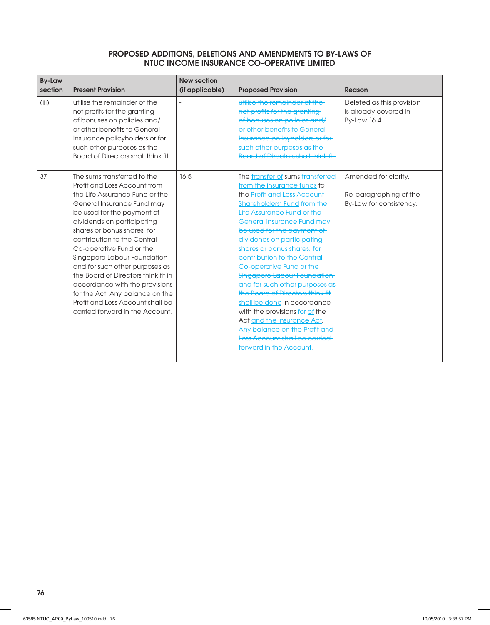| <b>By-Law</b><br>section | <b>Present Provision</b>                                                                                                                                                                                                                                                                                                                                                                                                                                                                                                              | <b>New section</b><br>(if applicable) | <b>Proposed Provision</b>                                                                                                                                                                                                                                                                                                                                                                                                                                                                                                                                                                                                                                         | Reason                                                                    |
|--------------------------|---------------------------------------------------------------------------------------------------------------------------------------------------------------------------------------------------------------------------------------------------------------------------------------------------------------------------------------------------------------------------------------------------------------------------------------------------------------------------------------------------------------------------------------|---------------------------------------|-------------------------------------------------------------------------------------------------------------------------------------------------------------------------------------------------------------------------------------------------------------------------------------------------------------------------------------------------------------------------------------------------------------------------------------------------------------------------------------------------------------------------------------------------------------------------------------------------------------------------------------------------------------------|---------------------------------------------------------------------------|
| (iii)                    | utilise the remainder of the<br>net profits for the granting<br>of bonuses on policies and/<br>or other benefits to General<br>Insurance policyholders or for<br>such other purposes as the<br>Board of Directors shall think fit.                                                                                                                                                                                                                                                                                                    |                                       | utilise the remainder of the<br>net profits for the granting<br>of bonuses on policies and/<br>or other benefits to General<br>Insurance policyholders or for-<br>such other purposes as the<br><b>Board of Directors shall think fit.</b>                                                                                                                                                                                                                                                                                                                                                                                                                        | Deleted as this provision<br>is already covered in<br>By-Law 16.4.        |
| 37                       | The sums transferred to the<br>Profit and Loss Account from<br>the Life Assurance Fund or the<br>General Insurance Fund may<br>be used for the payment of<br>dividends on participating<br>shares or bonus shares, for<br>contribution to the Central<br>Co-operative Fund or the<br>Singapore Labour Foundation<br>and for such other purposes as<br>the Board of Directors think fit in<br>accordance with the provisions<br>for the Act. Any balance on the<br>Profit and Loss Account shall be<br>carried forward in the Account. | 16.5                                  | The transfer of sums transferred<br>from the insurance funds to<br>the Profit and Loss Account<br>Shareholders' Fund from the<br>Life Assurance Fund or the<br><b>General Insurance Fund may-</b><br>be used for the payment of<br>dividends on participating<br>shares or bonus shares, for-<br>contribution to the Central<br>Co-operative Fund or the<br>Singapore Labour Foundation<br>and for such other purposes as-<br>the Board of Directors think fit<br>shall be done in accordance<br>with the provisions for of the<br>Act and the Insurance Act.<br>Any balance on the Profit and<br><b>Loss Account shall be carried</b><br>forward in the Account. | Amended for clarity.<br>Re-paragraphing of the<br>By-Law for consistency. |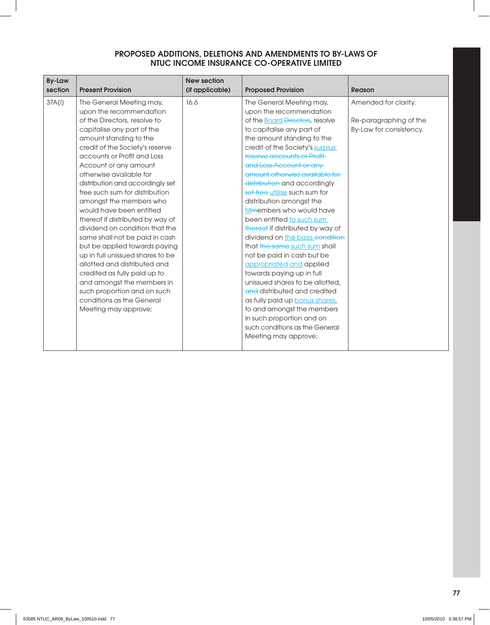| 37A(i)<br>16.6<br>The General Meeting may,<br>Amended for clarity.<br>The General Meeting may,<br>upon the recommendation<br>upon the recommendation<br>of the Directors, resolve to<br>of the <b>Board <del>Directors</del></b> , resolve<br>Re-paragraphing of the<br>to capitalise any part of<br>By-Law for consistency.<br>capitalise any part of the<br>amount standing to the<br>the amount standing to the<br>credit of the Society's surplus<br>credit of the Society's reserve<br>accounts or Profit and Loss<br>reserve accounts or Profit-<br>and Loss Account or any<br>Account or any amount<br>otherwise available for<br>amount otherwise available for<br>distribution and accordingly set<br>distribution and accordingly<br>free such sum for distribution<br>set free utilise such sum for<br>amongst the members who<br>distribution amongst the<br>would have been entitled<br>Mmembers who would have<br>been entitled to such sum<br>thereof if distributed by way of<br>dividend on condition that the<br>thereof if distributed by way of<br>same shall not be paid in cash<br>dividend on the basis condition<br>that the same such sum shall<br>but be applied towards paying<br>up in full unissued shares to be<br>not be paid in cash but be<br>allotted and distributed and<br>appropriated and applied<br>towards paying up in full<br>credited as fully paid up to<br>unissued shares to be allotted,<br>and amongst the members in<br>and distributed and credited<br>such proportion and on such<br>conditions as the General<br>as fully paid up <b>bonus shares</b> ,<br>to and amongst the members<br>Meeting may approve;<br>in such proportion and on<br>such conditions as the General<br>Meeting may approve; | <b>By-Law</b><br>section | <b>Present Provision</b> | <b>New section</b><br>(if applicable) | <b>Proposed Provision</b> | <b>Reason</b> |
|----------------------------------------------------------------------------------------------------------------------------------------------------------------------------------------------------------------------------------------------------------------------------------------------------------------------------------------------------------------------------------------------------------------------------------------------------------------------------------------------------------------------------------------------------------------------------------------------------------------------------------------------------------------------------------------------------------------------------------------------------------------------------------------------------------------------------------------------------------------------------------------------------------------------------------------------------------------------------------------------------------------------------------------------------------------------------------------------------------------------------------------------------------------------------------------------------------------------------------------------------------------------------------------------------------------------------------------------------------------------------------------------------------------------------------------------------------------------------------------------------------------------------------------------------------------------------------------------------------------------------------------------------------------------------------------------------------------------------------------------------------|--------------------------|--------------------------|---------------------------------------|---------------------------|---------------|
|                                                                                                                                                                                                                                                                                                                                                                                                                                                                                                                                                                                                                                                                                                                                                                                                                                                                                                                                                                                                                                                                                                                                                                                                                                                                                                                                                                                                                                                                                                                                                                                                                                                                                                                                                          |                          |                          |                                       |                           |               |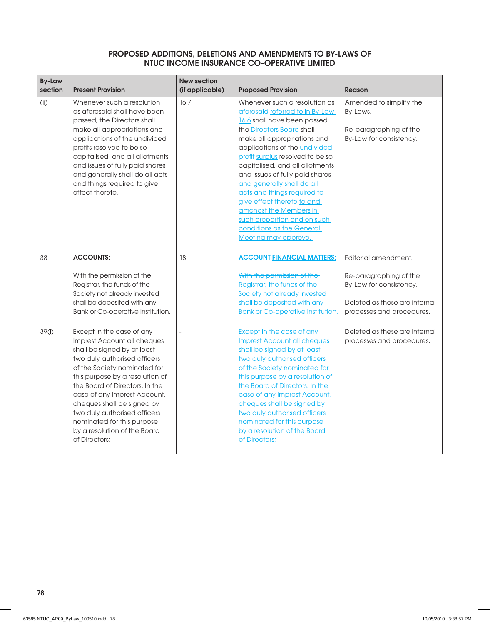| <b>By-Law</b><br>section | <b>Present Provision</b>                                                                                                                                                                                                                                                                                                                                                                                  | <b>New section</b><br>(if applicable) | <b>Proposed Provision</b>                                                                                                                                                                                                                                                                                                                                                                                                                                                                                                        | <b>Reason</b>                                                                                                                           |
|--------------------------|-----------------------------------------------------------------------------------------------------------------------------------------------------------------------------------------------------------------------------------------------------------------------------------------------------------------------------------------------------------------------------------------------------------|---------------------------------------|----------------------------------------------------------------------------------------------------------------------------------------------------------------------------------------------------------------------------------------------------------------------------------------------------------------------------------------------------------------------------------------------------------------------------------------------------------------------------------------------------------------------------------|-----------------------------------------------------------------------------------------------------------------------------------------|
| (i)                      | Whenever such a resolution<br>as aforesaid shall have been<br>passed, the Directors shall<br>make all appropriations and<br>applications of the undivided<br>profits resolved to be so<br>capitalised, and all allotments<br>and issues of fully paid shares<br>and generally shall do all acts<br>and things required to give<br>effect thereto.                                                         | 16.7                                  | Whenever such a resolution as<br>aforesaid referred to in By-Law<br>16.6 shall have been passed,<br>the <i>Directors</i> <b>Board</b> shall<br>make all appropriations and<br>applications of the undivided-<br>profit surplus resolved to be so<br>capitalised, and all allotments<br>and issues of fully paid shares<br>and generally shall do all<br>acts and things required to-<br>give effect thereto-to and<br>amongst the Members in<br>such proportion and on such<br>conditions as the General<br>Meeting may approve. | Amended to simplify the<br>By-Laws.<br>Re-paragraphing of the<br>By-Law for consistency.                                                |
| 38                       | <b>ACCOUNTS:</b><br>With the permission of the<br>Registrar, the funds of the<br>Society not already invested<br>shall be deposited with any<br>Bank or Co-operative Institution.                                                                                                                                                                                                                         | 18                                    | <b>ACCOUNT FINANCIAL MATTERS:</b><br>With the permission of the<br>Registrar, the funds of the<br>Society not already invested<br>shall be deposited with any<br><b>Bank or Co-operative Institution.</b>                                                                                                                                                                                                                                                                                                                        | Editorial amendment.<br>Re-paragraphing of the<br>By-Law for consistency.<br>Deleted as these are internal<br>processes and procedures. |
| 39(i)                    | Except in the case of any<br>Imprest Account all cheques<br>shall be signed by at least<br>two duly authorised officers<br>of the Society nominated for<br>this purpose by a resolution of<br>the Board of Directors. In the<br>case of any Imprest Account,<br>cheques shall be signed by<br>two duly authorised officers<br>nominated for this purpose<br>by a resolution of the Board<br>of Directors; |                                       | Except in the case of any-<br>Imprest Account all cheques<br>shall be signed by at least-<br>two duly authorised officers<br>of the Society nominated for<br>this purpose by a resolution of<br>the Board of Directors. In the<br>ease of any Imprest Account,<br>cheques shall be signed by<br>two duly authorised officers<br>nominated for this purpose<br>by a resolution of the Board-<br>of Directors:                                                                                                                     | Deleted as these are internal<br>processes and procedures.                                                                              |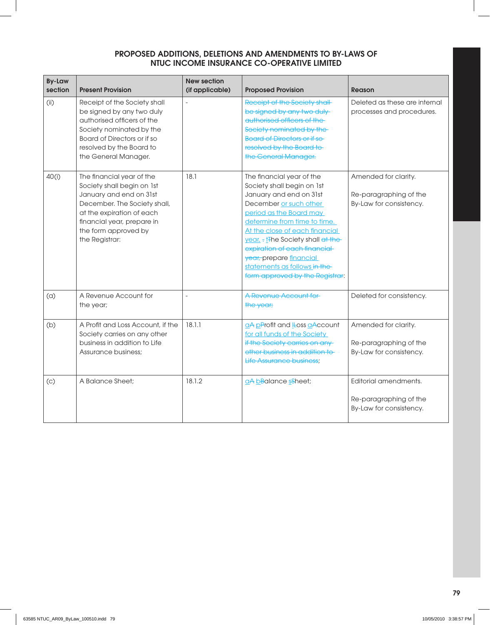| <b>By-Law</b><br>section | <b>Present Provision</b>                                                                                                                                                                                                | <b>New section</b><br>(if applicable) | <b>Proposed Provision</b>                                                                                                                                                                                                                                                                                                                                                     | <b>Reason</b>                                                              |
|--------------------------|-------------------------------------------------------------------------------------------------------------------------------------------------------------------------------------------------------------------------|---------------------------------------|-------------------------------------------------------------------------------------------------------------------------------------------------------------------------------------------------------------------------------------------------------------------------------------------------------------------------------------------------------------------------------|----------------------------------------------------------------------------|
| (i)                      | Receipt of the Society shall<br>be signed by any two duly<br>authorised officers of the<br>Society nominated by the<br>Board of Directors or if so<br>resolved by the Board to<br>the General Manager.                  | $\overline{a}$                        | Receipt of the Society shall-<br>be signed by any two duly-<br>authorised officers of the-<br>Society nominated by the<br><b>Board of Directors or if so</b><br>resolved by the Board to-<br>the General Manager.                                                                                                                                                             | Deleted as these are internal<br>processes and procedures.                 |
| 40(i)                    | The financial year of the<br>Society shall begin on 1st<br>January and end on 31st<br>December. The Society shall,<br>at the expiration of each<br>financial year, prepare in<br>the form approved by<br>the Registrar: | 18.1                                  | The financial year of the<br>Society shall begin on 1st<br>January and end on 31st<br>December or such other<br>period as the Board may<br>determine from time to time.<br>At the close of each financial<br>year, - the Society shall at the<br>expiration of each financial-<br>year, prepare financial<br>statements as follows in the-<br>form approved by the Registrar: | Amended for clarity.<br>Re-paragraphing of the<br>By-Law for consistency.  |
| (a)                      | A Revenue Account for<br>the year;                                                                                                                                                                                      | $\overline{a}$                        | A Revenue Account for<br>the year;                                                                                                                                                                                                                                                                                                                                            | Deleted for consistency.                                                   |
| (b)                      | A Profit and Loss Account, if the<br>Society carries on any other<br>business in addition to Life<br>Assurance business:                                                                                                | 18.1.1                                | aA pProfit and Leoss aAccount<br>for all funds of the Society<br>if the Society carries on any<br>other business in addition to<br>Life Assurance business:                                                                                                                                                                                                                   | Amended for clarity.<br>Re-paragraphing of the<br>By-Law for consistency.  |
| (c)                      | A Balance Sheet;                                                                                                                                                                                                        | 18.1.2                                | aA bBalance sSheet;                                                                                                                                                                                                                                                                                                                                                           | Editorial amendments.<br>Re-paragraphing of the<br>By-Law for consistency. |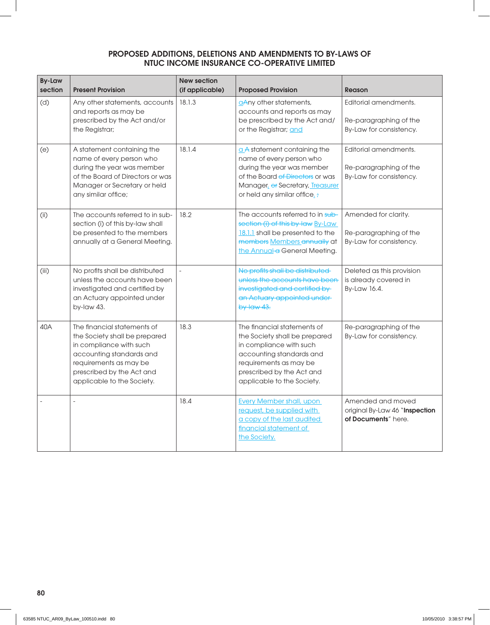| <b>By-Law</b><br>section | <b>Present Provision</b>                                                                                                                                                                                 | <b>New section</b><br>(if applicable) | <b>Proposed Provision</b>                                                                                                                                                                                  | Reason                                                                     |
|--------------------------|----------------------------------------------------------------------------------------------------------------------------------------------------------------------------------------------------------|---------------------------------------|------------------------------------------------------------------------------------------------------------------------------------------------------------------------------------------------------------|----------------------------------------------------------------------------|
| (d)                      | Any other statements, accounts<br>and reports as may be<br>prescribed by the Act and/or<br>the Registrar;                                                                                                | 18.1.3                                | aAny other statements,<br>accounts and reports as may<br>be prescribed by the Act and/<br>or the Registrar; and                                                                                            | Editorial amendments.<br>Re-paragraphing of the<br>By-Law for consistency. |
| (e)                      | A statement containing the<br>name of every person who<br>during the year was member<br>of the Board of Directors or was<br>Manager or Secretary or held<br>any similar office;                          | 18.1.4                                | $a$ A statement containing the<br>name of every person who<br>during the year was member<br>of the Board <del>of Directors</del> or was<br>Manager of Secretary, Treasurer<br>or held any similar office.: | Editorial amendments.<br>Re-paragraphing of the<br>By-Law for consistency. |
| (i)                      | The accounts referred to in sub-<br>section (i) of this by-law shall<br>be presented to the members<br>annually at a General Meeting.                                                                    | 18.2                                  | The accounts referred to in sub-<br>section (i) of this by-law By-Law<br>18.1.1 shall be presented to the<br>members Members annually at<br>the Annual a General Meeting.                                  | Amended for clarity.<br>Re-paragraphing of the<br>By-Law for consistency.  |
| (iii)                    | No profits shall be distributed<br>unless the accounts have been<br>investigated and certified by<br>an Actuary appointed under<br>by-law 43.                                                            |                                       | No profits shall be distributed<br>unless the accounts have been-<br>investigated and certified by<br>an Actuary appointed under-<br>$by$ -law 43.                                                         | Deleted as this provision<br>is already covered in<br>By-Law 16.4.         |
| 40A                      | The financial statements of<br>the Society shall be prepared<br>in compliance with such<br>accounting standards and<br>requirements as may be<br>prescribed by the Act and<br>applicable to the Society. | 18.3                                  | The financial statements of<br>the Society shall be prepared<br>in compliance with such<br>accounting standards and<br>requirements as may be<br>prescribed by the Act and<br>applicable to the Society.   | Re-paragraphing of the<br>By-Law for consistency.                          |
|                          |                                                                                                                                                                                                          | 18.4                                  | <b>Every Member shall, upon</b><br>request, be supplied with<br>a copy of the last audited<br>financial statement of<br>the Society.                                                                       | Amended and moved<br>original By-Law 46 "Inspection<br>of Documents" here. |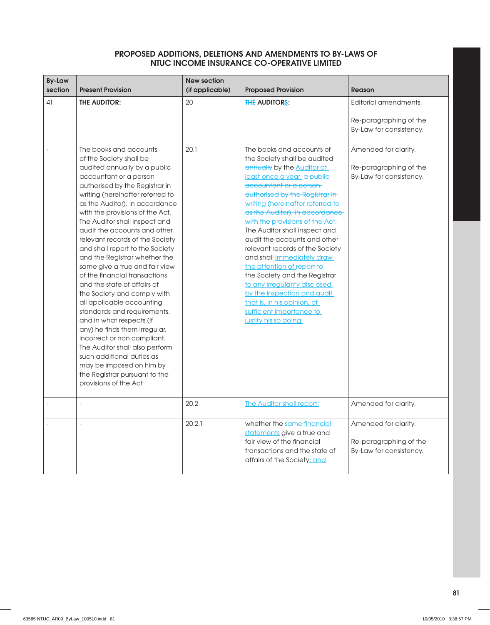| <b>By-Law</b><br>section | <b>Present Provision</b>                                                                                                                                                                                                                                                                                                                                                                                                                                                                                                                                                                                                                                                                                                                                                                                                                                                     | <b>New section</b><br>(if applicable) | <b>Proposed Provision</b>                                                                                                                                                                                                                                                                                                                                                                                                                                                                                                                                                                                                                                   | <b>Reason</b>                                                              |
|--------------------------|------------------------------------------------------------------------------------------------------------------------------------------------------------------------------------------------------------------------------------------------------------------------------------------------------------------------------------------------------------------------------------------------------------------------------------------------------------------------------------------------------------------------------------------------------------------------------------------------------------------------------------------------------------------------------------------------------------------------------------------------------------------------------------------------------------------------------------------------------------------------------|---------------------------------------|-------------------------------------------------------------------------------------------------------------------------------------------------------------------------------------------------------------------------------------------------------------------------------------------------------------------------------------------------------------------------------------------------------------------------------------------------------------------------------------------------------------------------------------------------------------------------------------------------------------------------------------------------------------|----------------------------------------------------------------------------|
| 41                       | <b>THE AUDITOR:</b>                                                                                                                                                                                                                                                                                                                                                                                                                                                                                                                                                                                                                                                                                                                                                                                                                                                          | 20                                    | <b>THE AUDITORS:</b>                                                                                                                                                                                                                                                                                                                                                                                                                                                                                                                                                                                                                                        | Editorial amendments.<br>Re-paragraphing of the<br>By-Law for consistency. |
|                          | The books and accounts<br>of the Society shall be<br>audited annually by a public<br>accountant or a person<br>authorised by the Registrar in<br>writing (hereinafter referred to<br>as the Auditor), in accordance<br>with the provisions of the Act.<br>The Auditor shall inspect and<br>audit the accounts and other<br>relevant records of the Society<br>and shall report to the Society<br>and the Registrar whether the<br>same give a true and fair view<br>of the financial transactions<br>and the state of affairs of<br>the Society and comply with<br>all applicable accounting<br>standards and requirements,<br>and in what respects (if<br>any) he finds them irregular,<br>incorrect or non compliant.<br>The Auditor shall also perform<br>such additional duties as<br>may be imposed on him by<br>the Registrar pursuant to the<br>provisions of the Act | 20.1                                  | The books and accounts of<br>the Society shall be audited<br>annually by the <b>Auditor at</b><br>least once a year, a public-<br>accountant or a person-<br>authorised by the Registrar in-<br>writing (hereinafter referred to-<br>as the Auditor), in accordance<br>with the provisions of the Act.<br>The Auditor shall inspect and<br>audit the accounts and other<br>relevant records of the Society<br>and shall immediately draw<br>the attention of report to<br>the Society and the Registrar<br>to any irregularity disclosed<br>by the inspection and audit<br>that is, in his opinion, of<br>sufficient importance to<br>justify his so doing. | Amended for clarity.<br>Re-paragraphing of the<br>By-Law for consistency.  |
|                          |                                                                                                                                                                                                                                                                                                                                                                                                                                                                                                                                                                                                                                                                                                                                                                                                                                                                              | 20.2                                  | <b>The Auditor shall report:</b>                                                                                                                                                                                                                                                                                                                                                                                                                                                                                                                                                                                                                            | Amended for clarity.                                                       |
|                          |                                                                                                                                                                                                                                                                                                                                                                                                                                                                                                                                                                                                                                                                                                                                                                                                                                                                              | 20.2.1                                | whether the same financial<br>statements give a true and<br>fair view of the financial<br>transactions and the state of<br>affairs of the Society; and                                                                                                                                                                                                                                                                                                                                                                                                                                                                                                      | Amended for clarity.<br>Re-paragraphing of the<br>By-Law for consistency.  |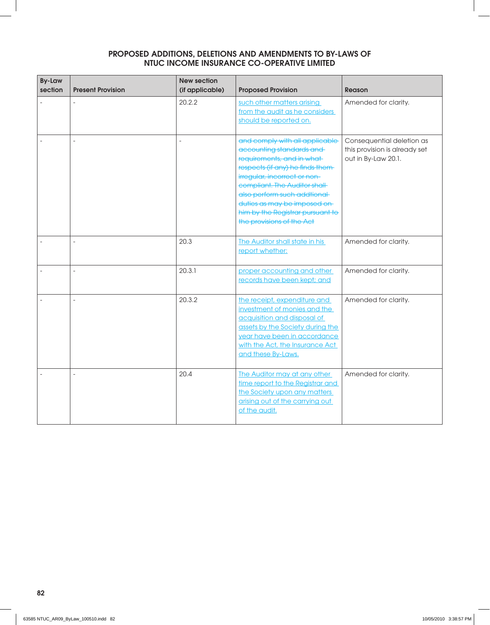| <b>By-Law</b><br>section | <b>Present Provision</b> | <b>New section</b><br>(if applicable) | <b>Proposed Provision</b>                                                                                                                                                                                                                                                                                                   | <b>Reason</b>                                                                     |
|--------------------------|--------------------------|---------------------------------------|-----------------------------------------------------------------------------------------------------------------------------------------------------------------------------------------------------------------------------------------------------------------------------------------------------------------------------|-----------------------------------------------------------------------------------|
|                          |                          | 20.2.2                                | such other matters arising<br>from the audit as he considers<br>should be reported on.                                                                                                                                                                                                                                      | Amended for clarity.                                                              |
|                          | L,                       | $\overline{a}$                        | and comply with all applicable<br>accounting standards and<br>requirements, and in what<br>respects (if any) he finds them-<br>irregular, incorrect or non-<br>compliant. The Auditor shall-<br>also perform such addtional<br>duties as may be imposed on<br>him by the Registrar pursuant to<br>the provisions of the Act | Consequential deletion as<br>this provision is already set<br>out in By-Law 20.1. |
|                          | $\overline{a}$           | 20.3                                  | The Auditor shall state in his<br>report whether:                                                                                                                                                                                                                                                                           | Amended for clarity.                                                              |
|                          | L.                       | 20.3.1                                | proper accounting and other<br>records have been kept; and                                                                                                                                                                                                                                                                  | Amended for clarity.                                                              |
|                          | $\bar{a}$                | 20.3.2                                | the receipt, expenditure and<br>investment of monies and the<br>acquisition and disposal of<br>assets by the Society during the<br>year have been in accordance<br>with the Act, the Insurance Act<br>and these By-Laws.                                                                                                    | Amended for clarity.                                                              |
|                          |                          | 20.4                                  | The Auditor may at any other<br>time report to the Registrar and<br>the Society upon any matters<br>arising out of the carrying out<br>of the audit.                                                                                                                                                                        | Amended for clarity.                                                              |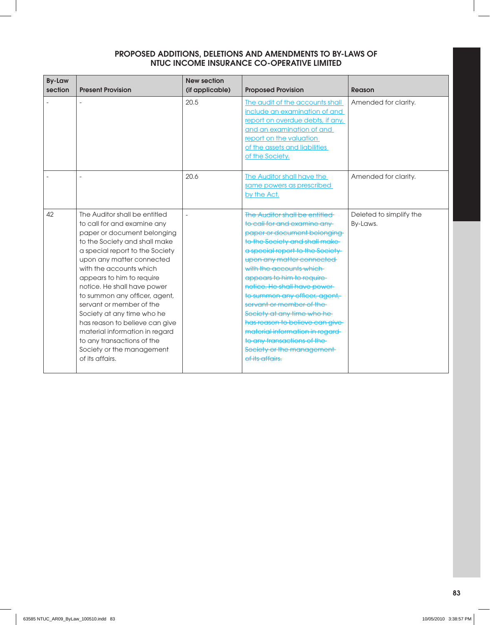| <b>By-Law</b><br>section | <b>Present Provision</b>                                                                                                                                                                                                                                                                                                                                                                                                                                                                                                         | <b>New section</b><br>(if applicable) | <b>Proposed Provision</b>                                                                                                                                                                                                                                                                                                                                                                                                                                                                                                                | Reason                              |
|--------------------------|----------------------------------------------------------------------------------------------------------------------------------------------------------------------------------------------------------------------------------------------------------------------------------------------------------------------------------------------------------------------------------------------------------------------------------------------------------------------------------------------------------------------------------|---------------------------------------|------------------------------------------------------------------------------------------------------------------------------------------------------------------------------------------------------------------------------------------------------------------------------------------------------------------------------------------------------------------------------------------------------------------------------------------------------------------------------------------------------------------------------------------|-------------------------------------|
|                          |                                                                                                                                                                                                                                                                                                                                                                                                                                                                                                                                  | 20.5                                  | The audit of the accounts shall<br>include an examination of and<br>report on overdue debts, if any,<br>and an examination of and<br>report on the valuation<br>of the assets and liabilities<br>of the Society.                                                                                                                                                                                                                                                                                                                         | Amended for clarity.                |
|                          |                                                                                                                                                                                                                                                                                                                                                                                                                                                                                                                                  | 20.6                                  | <b>The Auditor shall have the</b><br>same powers as prescribed<br>by the Act.                                                                                                                                                                                                                                                                                                                                                                                                                                                            | Amended for clarity.                |
| 42                       | The Auditor shall be entitled<br>to call for and examine any<br>paper or document belonging<br>to the Society and shall make<br>a special report to the Society<br>upon any matter connected<br>with the accounts which<br>appears to him to require<br>notice. He shall have power<br>to summon any officer, agent,<br>servant or member of the<br>Society at any time who he<br>has reason to believe can give<br>material information in regard<br>to any transactions of the<br>Society or the management<br>of its affairs. |                                       | The Auditor shall be entitled<br>to call for and examine any-<br>paper or document belonging<br>to the Society and shall make-<br>a special report to the Society<br>upon any matter connected<br>with the accounts which<br>appears to him to require-<br>notice. He shall have power<br>to summon any officer, agent,<br>servant or member of the<br>Society at any time who he-<br>has reason to believe can give-<br>material information in regard-<br>to any transactions of the-<br>Society or the management-<br>of its affairs. | Deleted to simplify the<br>By-Laws. |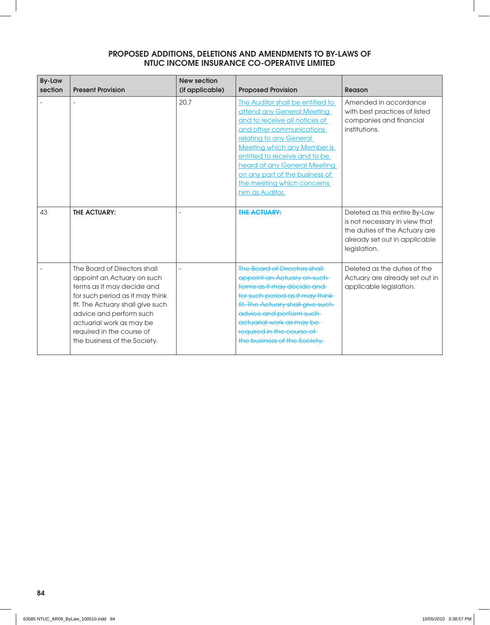| <b>By-Law</b><br>section | <b>Present Provision</b>                                                                                                                                                                                                                                                            | <b>New section</b><br>(if applicable) | <b>Proposed Provision</b>                                                                                                                                                                                                                                                                                                                        | Reason                                                                                                                                           |
|--------------------------|-------------------------------------------------------------------------------------------------------------------------------------------------------------------------------------------------------------------------------------------------------------------------------------|---------------------------------------|--------------------------------------------------------------------------------------------------------------------------------------------------------------------------------------------------------------------------------------------------------------------------------------------------------------------------------------------------|--------------------------------------------------------------------------------------------------------------------------------------------------|
|                          |                                                                                                                                                                                                                                                                                     | 20.7                                  | The Auditor shall be entitled to<br>attend any General Meeting<br>and to receive all notices of<br>and other communications<br>relating to any General<br><b>Meeting which any Member is</b><br>entitled to receive and to be<br>heard at any General Meeting<br>on any part of the business of<br>the meeting which concerns<br>him as Auditor. | Amended in accordance<br>with best practices of listed<br>companies and financial<br>institutions.                                               |
| 43                       | <b>THE ACTUARY:</b>                                                                                                                                                                                                                                                                 |                                       | <b>THE ACTUARY:</b>                                                                                                                                                                                                                                                                                                                              | Deleted as this entire By-Law<br>is not necessary in view that<br>the duties of the Actuary are<br>already set out in applicable<br>legislation. |
|                          | The Board of Directors shall<br>appoint an Actuary on such<br>terms as it may decide and<br>for such period as it may think<br>fit. The Actuary shall give such<br>advice and perform such<br>actuarial work as may be<br>required in the course of<br>the business of the Society. | $\overline{a}$                        | The Board of Directors shall<br>appoint an Actuary on such<br>terms as it may decide and<br>for such period as it may think<br>fit. The Actuary shall give such<br>advice and perform such<br>actuarial work as may be-<br>required in the course of<br>the business of the Society.                                                             | Deleted as the duties of the<br>Actuary are already set out in<br>applicable legislation.                                                        |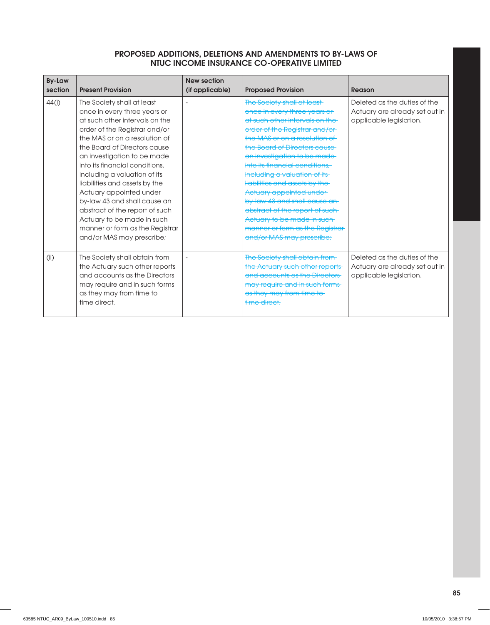| <b>By-Law</b><br>section | <b>Present Provision</b>        | <b>New section</b><br>(if applicable) | <b>Proposed Provision</b>        | Reason                         |
|--------------------------|---------------------------------|---------------------------------------|----------------------------------|--------------------------------|
|                          |                                 |                                       |                                  |                                |
| 44(i)                    | The Society shall at least      |                                       | The Society shall at least-      | Deleted as the duties of the   |
|                          | once in every three years or    |                                       | once in every three years or     | Actuary are already set out in |
|                          | at such other intervals on the  |                                       | at such other intervals on the   | applicable legislation.        |
|                          | order of the Registrar and/or   |                                       | order of the Registrar and/or-   |                                |
|                          | the MAS or on a resolution of   |                                       | the MAS or on a resolution of    |                                |
|                          | the Board of Directors cause    |                                       | the Board of Directors cause     |                                |
|                          | an investigation to be made     |                                       | an investigation to be made-     |                                |
|                          | into its financial conditions.  |                                       | into its financial conditions,   |                                |
|                          | including a valuation of its    |                                       | including a valuation of its-    |                                |
|                          | liabilities and assets by the   |                                       | liabilities and assets by the    |                                |
|                          | Actuary appointed under         |                                       | Actuary appointed under-         |                                |
|                          | by-law 43 and shall cause an    |                                       | by-law 43 and shall cause an-    |                                |
|                          | abstract of the report of such  |                                       | abstract of the report of such-  |                                |
|                          | Actuary to be made in such      |                                       | Actuary to be made in such       |                                |
|                          | manner or form as the Registrar |                                       | manner or form as the Registrar- |                                |
|                          | and/or MAS may prescribe;       |                                       | and/or MAS may prescribe;        |                                |
|                          |                                 |                                       |                                  |                                |
| (i)                      | The Society shall obtain from   |                                       | The Society shall obtain from    | Deleted as the duties of the   |
|                          | the Actuary such other reports  |                                       | the Actuary such other reports   | Actuary are already set out in |
|                          | and accounts as the Directors   |                                       | and accounts as the Directors    | applicable legislation.        |
|                          | may require and in such forms   |                                       | may require and in such forms-   |                                |
|                          | as they may from time to        |                                       | as they may from time to         |                                |
|                          | time direct.                    |                                       | time direct.                     |                                |
|                          |                                 |                                       |                                  |                                |
|                          |                                 |                                       |                                  |                                |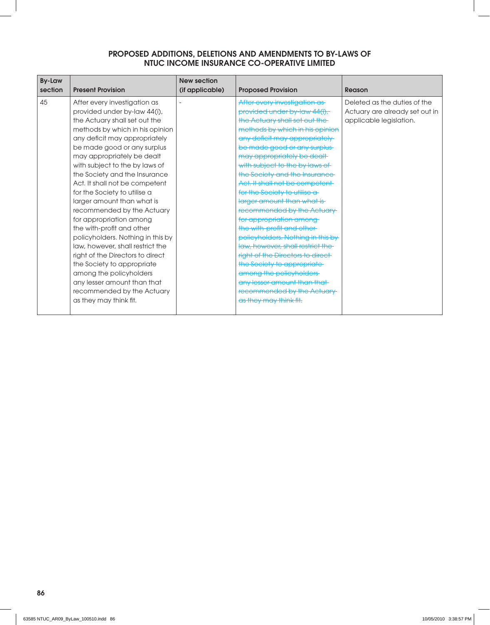| <b>By-Law</b> |                                                                                                                                                                                                                                                                                                                                                                                                                                                                                                                                                                                                                                                                                                                                                                                  | <b>New section</b> |                                                                                                                                                                                                                                                                                                                                                                                                                                                                                                                                                                                                                                                                                                                                                                                        |                                                                                                     |
|---------------|----------------------------------------------------------------------------------------------------------------------------------------------------------------------------------------------------------------------------------------------------------------------------------------------------------------------------------------------------------------------------------------------------------------------------------------------------------------------------------------------------------------------------------------------------------------------------------------------------------------------------------------------------------------------------------------------------------------------------------------------------------------------------------|--------------------|----------------------------------------------------------------------------------------------------------------------------------------------------------------------------------------------------------------------------------------------------------------------------------------------------------------------------------------------------------------------------------------------------------------------------------------------------------------------------------------------------------------------------------------------------------------------------------------------------------------------------------------------------------------------------------------------------------------------------------------------------------------------------------------|-----------------------------------------------------------------------------------------------------|
|               |                                                                                                                                                                                                                                                                                                                                                                                                                                                                                                                                                                                                                                                                                                                                                                                  |                    |                                                                                                                                                                                                                                                                                                                                                                                                                                                                                                                                                                                                                                                                                                                                                                                        |                                                                                                     |
| section<br>45 | <b>Present Provision</b><br>After every investigation as<br>provided under by-law 44(i),<br>the Actuary shall set out the<br>methods by which in his opinion<br>any deficit may appropriately<br>be made good or any surplus<br>may appropriately be dealt<br>with subject to the by laws of<br>the Society and the Insurance<br>Act. It shall not be competent<br>for the Society to utilise a<br>larger amount than what is<br>recommended by the Actuary<br>for appropriation among<br>the with-profit and other<br>policyholders. Nothing in this by<br>law, however, shall restrict the<br>right of the Directors to direct<br>the Society to appropriate<br>among the policyholders<br>any lesser amount than that<br>recommended by the Actuary<br>as they may think fit. | (if applicable)    | <b>Proposed Provision</b><br>After every investigation as-<br>provided under by-law 44(i),<br>the Actuary shall set out the<br>methods by which in his opinion<br>any deficit may appropriately<br>be made good or any surplus-<br>may appropriately be dealt<br>with subject to the by laws of<br>the Society and the Insurance<br>Act. It shall not be competent<br>for the Society to utilise a<br>larger amount than what is-<br>recommended by the Actuary<br>for appropriation among-<br>the with-profit and other<br>policyholders. Nothing in this by<br>law, however, shall restrict the<br>right of the Directors to direct-<br>the Society to appropriate<br>among the policyholders<br>any lesser amount than that<br>recommended by the Actuary<br>as they may think fit. | Reason<br>Deleted as the duties of the<br>Actuary are already set out in<br>applicable legislation. |
|               |                                                                                                                                                                                                                                                                                                                                                                                                                                                                                                                                                                                                                                                                                                                                                                                  |                    |                                                                                                                                                                                                                                                                                                                                                                                                                                                                                                                                                                                                                                                                                                                                                                                        |                                                                                                     |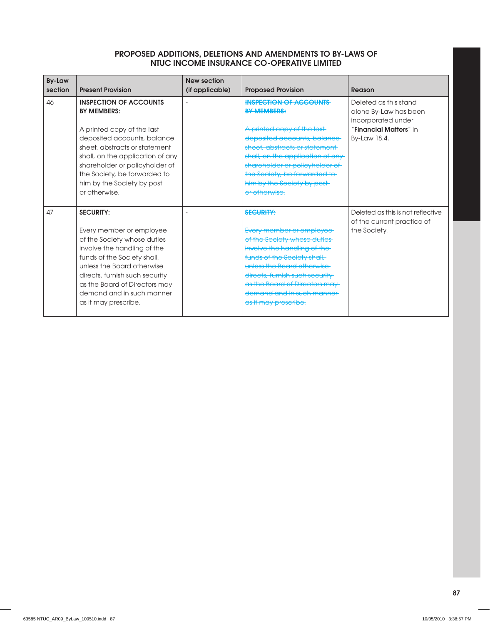| <b>By-Law</b><br>section | <b>Present Provision</b>                                                                                                                                                                                                                                                                               | <b>New section</b><br>(if applicable) | <b>Proposed Provision</b>                                                                                                                                                                                                                                                                                | Reason                                                                                                         |
|--------------------------|--------------------------------------------------------------------------------------------------------------------------------------------------------------------------------------------------------------------------------------------------------------------------------------------------------|---------------------------------------|----------------------------------------------------------------------------------------------------------------------------------------------------------------------------------------------------------------------------------------------------------------------------------------------------------|----------------------------------------------------------------------------------------------------------------|
| 46                       | <b>INSPECTION OF ACCOUNTS</b><br><b>BY MEMBERS:</b><br>A printed copy of the last<br>deposited accounts, balance<br>sheet, abstracts or statement<br>shall, on the application of any<br>shareholder or policyholder of<br>the Society, be forwarded to<br>him by the Society by post<br>or otherwise. |                                       | <b>INSPECTION OF ACCOUNTS</b><br><b>BY MEMBERS:</b><br>A printed copy of the last-<br>deposited accounts, balance<br>sheet, abstracts or statement<br>shall, on the application of any<br>shareholder or policyholder of<br>the Society, be forwarded to<br>him by the Society by post-<br>or otherwise. | Deleted as this stand<br>alone By-Law has been<br>incorporated under<br>"Financial Matters" in<br>By-Law 18.4. |
| 47                       | <b>SECURITY:</b><br>Every member or employee<br>of the Society whose duties<br>involve the handling of the<br>funds of the Society shall,<br>unless the Board otherwise<br>directs, furnish such security<br>as the Board of Directors may<br>demand and in such manner<br>as it may prescribe.        |                                       | <b>SECURITY:</b><br>Every member or employee<br>of the Society whose duties-<br>involve the handling of the-<br>funds of the Society shall,<br>unless the Board otherwise<br>directs, furnish such security<br>as the Board of Directors may-<br>demand and in such manner<br>as it may prescribe.       | Deleted as this is not reflective<br>of the current practice of<br>the Society.                                |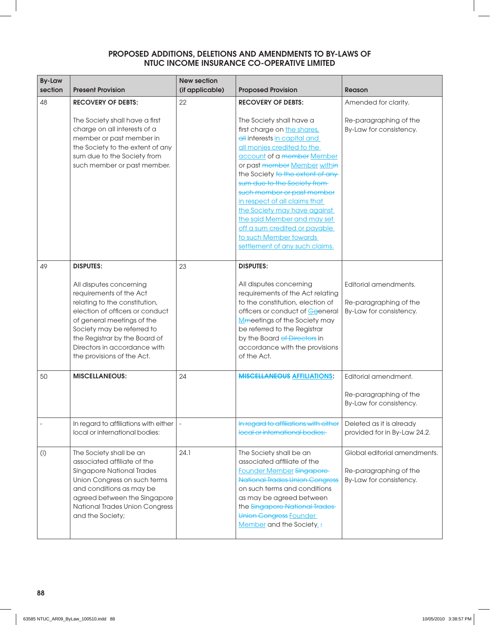| <b>By-Law</b><br>section | <b>Present Provision</b>                                                                                                                                                                                                                                                          | <b>New section</b><br>(if applicable) | <b>Proposed Provision</b>                                                                                                                                                                                                                                                                                                                                                                                                                                                           | <b>Reason</b>                                                                     |
|--------------------------|-----------------------------------------------------------------------------------------------------------------------------------------------------------------------------------------------------------------------------------------------------------------------------------|---------------------------------------|-------------------------------------------------------------------------------------------------------------------------------------------------------------------------------------------------------------------------------------------------------------------------------------------------------------------------------------------------------------------------------------------------------------------------------------------------------------------------------------|-----------------------------------------------------------------------------------|
| 48                       | <b>RECOVERY OF DEBTS:</b>                                                                                                                                                                                                                                                         | 22                                    | <b>RECOVERY OF DEBTS:</b>                                                                                                                                                                                                                                                                                                                                                                                                                                                           | Amended for clarity.                                                              |
|                          | The Society shall have a first<br>charge on all interests of a<br>member or past member in<br>the Society to the extent of any<br>sum due to the Society from<br>such member or past member.                                                                                      |                                       | The Society shall have a<br>first charge on the shares,<br>all interests in capital and<br>all monies credited to the<br>account of a member Member<br>or past member Member within<br>the Society to the extent of any-<br>sum due to the Society from-<br>such member or past member<br>in respect of all claims that<br>the Society may have against<br>the said Member and may set<br>off a sum credited or payable<br>to such Member towards<br>settlement of any such claims. | Re-paragraphing of the<br>By-Law for consistency.                                 |
| 49                       | <b>DISPUTES:</b>                                                                                                                                                                                                                                                                  | 23                                    | <b>DISPUTES:</b>                                                                                                                                                                                                                                                                                                                                                                                                                                                                    |                                                                                   |
|                          | All disputes concerning<br>requirements of the Act<br>relating to the constitution,<br>election of officers or conduct<br>of general meetings of the<br>Society may be referred to<br>the Registrar by the Board of<br>Directors in accordance with<br>the provisions of the Act. |                                       | All disputes concerning<br>requirements of the Act relating<br>to the constitution, election of<br>officers or conduct of Ggeneral<br>Mmeetings of the Society may<br>be referred to the Registrar<br>by the Board of Directors in<br>accordance with the provisions<br>of the Act.                                                                                                                                                                                                 | Editorial amendments.<br>Re-paragraphing of the<br>By-Law for consistency.        |
| 50                       | <b>MISCELLANEOUS:</b>                                                                                                                                                                                                                                                             | 24                                    | <b>MISCELLANEOUS AFFILIATIONS:</b>                                                                                                                                                                                                                                                                                                                                                                                                                                                  | Editorial amendment.                                                              |
|                          |                                                                                                                                                                                                                                                                                   |                                       |                                                                                                                                                                                                                                                                                                                                                                                                                                                                                     | Re-paragraphing of the<br>By-Law for consistency.                                 |
|                          | In regard to affiliations with either<br>local or international bodies:                                                                                                                                                                                                           |                                       | In regard to affiliations with either<br>local or international bodies:                                                                                                                                                                                                                                                                                                                                                                                                             | Deleted as it is already<br>provided for in By-Law 24.2.                          |
| (i)                      | The Society shall be an<br>associated affiliate of the<br><b>Singapore National Trades</b><br>Union Congress on such terms<br>and conditions as may be<br>agreed between the Singapore<br>National Trades Union Congress<br>and the Society;                                      | 24.1                                  | The Society shall be an<br>associated affiliate of the<br><b>Founder Member Singapore-</b><br><b>National Trades Union Congress</b><br>on such terms and conditions<br>as may be agreed between<br>the Singapore National Trades<br><b>Union Congress Founder</b><br>Member and the Society.:                                                                                                                                                                                       | Global editorial amendments.<br>Re-paragraphing of the<br>By-Law for consistency. |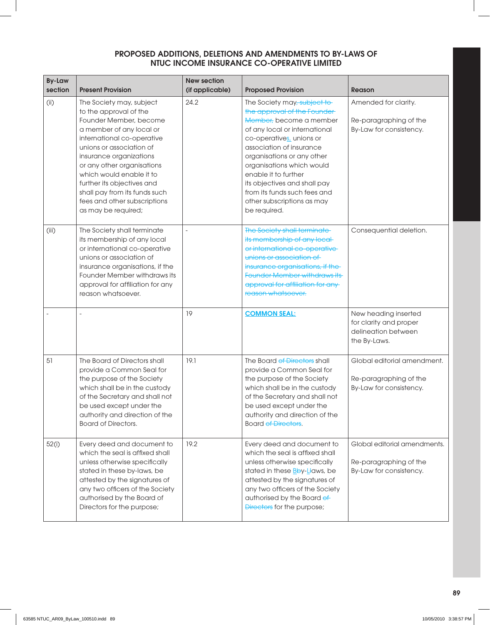| <b>By-Law</b> |                                                                                                                                                                                                                                                                                                                                                                               | <b>New section</b>       |                                                                                                                                                                                                                                                                                                                                                                                  |                                                                                       |
|---------------|-------------------------------------------------------------------------------------------------------------------------------------------------------------------------------------------------------------------------------------------------------------------------------------------------------------------------------------------------------------------------------|--------------------------|----------------------------------------------------------------------------------------------------------------------------------------------------------------------------------------------------------------------------------------------------------------------------------------------------------------------------------------------------------------------------------|---------------------------------------------------------------------------------------|
| section       | <b>Present Provision</b>                                                                                                                                                                                                                                                                                                                                                      | (if applicable)          | <b>Proposed Provision</b>                                                                                                                                                                                                                                                                                                                                                        | <b>Reason</b>                                                                         |
| (i)           | The Society may, subject<br>to the approval of the<br>Founder Member, become<br>a member of any local or<br>international co-operative<br>unions or association of<br>insurance organizations<br>or any other organisations<br>which would enable it to<br>further its objectives and<br>shall pay from its funds such<br>fees and other subscriptions<br>as may be required; | 24.2                     | The Society may, subject to<br>the approval of the Founder-<br>Member, become a member<br>of any local or international<br>co-operatives, unions or<br>association of insurance<br>organisations or any other<br>organisations which would<br>enable it to further<br>its objectives and shall pay<br>from its funds such fees and<br>other subscriptions as may<br>be required. | Amended for clarity.<br>Re-paragraphing of the<br>By-Law for consistency.             |
| (iii)         | The Society shall terminate<br>its membership of any local<br>or international co-operative<br>unions or association of<br>insurance organisations, if the<br>Founder Member withdraws its<br>approval for affiliation for any<br>reason whatsoever.                                                                                                                          | $\overline{\phantom{a}}$ | The Society shall terminate-<br>its membership of any local-<br>or international co-operative<br>unions or association of<br>insurance organisations, if the<br><b>Founder Member withdraws its</b><br>approval for affiliation for any<br>reason whatsoever.                                                                                                                    | Consequential deletion.                                                               |
|               |                                                                                                                                                                                                                                                                                                                                                                               | 19                       | <b>COMMON SEAL:</b>                                                                                                                                                                                                                                                                                                                                                              | New heading inserted<br>for clarity and proper<br>delineation between<br>the By-Laws. |
| 51            | The Board of Directors shall<br>provide a Common Seal for<br>the purpose of the Society<br>which shall be in the custody<br>of the Secretary and shall not<br>be used except under the<br>authority and direction of the<br><b>Board of Directors.</b>                                                                                                                        | 19.1                     | The Board of Directors shall<br>provide a Common Seal for<br>the purpose of the Society<br>which shall be in the custody<br>of the Secretary and shall not<br>be used except under the<br>authority and direction of the<br>Board of Directors.                                                                                                                                  | Global editorial amendment.<br>Re-paragraphing of the<br>By-Law for consistency.      |
| 52(i)         | Every deed and document to<br>which the seal is affixed shall<br>unless otherwise specifically<br>stated in these by-laws, be<br>attested by the signatures of<br>any two officers of the Society<br>authorised by the Board of<br>Directors for the purpose;                                                                                                                 | 19.2                     | Every deed and document to<br>which the seal is affixed shall<br>unless otherwise specifically<br>stated in these <b>Bby-Llaws</b> , be<br>attested by the signatures of<br>any two officers of the Society<br>authorised by the Board of<br>Directors for the purpose;                                                                                                          | Global editorial amendments.<br>Re-paragraphing of the<br>By-Law for consistency.     |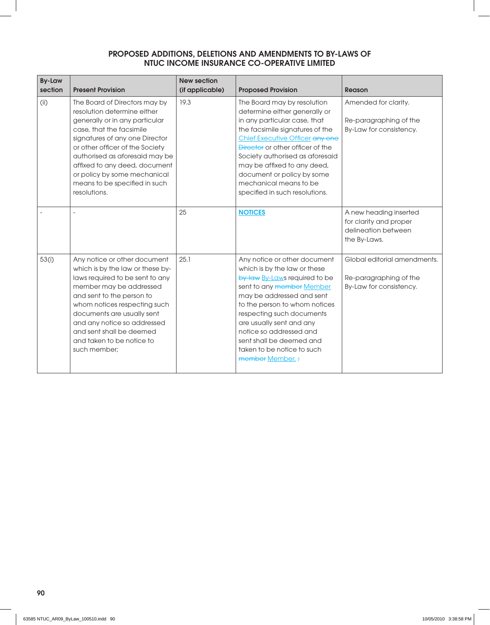| <b>By-Law</b><br>section | <b>Present Provision</b>                                                                                                                                                                                                                                                                                                                            | <b>New section</b><br>(if applicable) | <b>Proposed Provision</b>                                                                                                                                                                                                                                                                                                                                          | <b>Reason</b>                                                                           |
|--------------------------|-----------------------------------------------------------------------------------------------------------------------------------------------------------------------------------------------------------------------------------------------------------------------------------------------------------------------------------------------------|---------------------------------------|--------------------------------------------------------------------------------------------------------------------------------------------------------------------------------------------------------------------------------------------------------------------------------------------------------------------------------------------------------------------|-----------------------------------------------------------------------------------------|
| (ii)                     | The Board of Directors may by<br>resolution determine either<br>generally or in any particular<br>case, that the facsimile<br>signatures of any one Director<br>or other officer of the Society<br>authorised as aforesaid may be<br>affixed to any deed, document<br>or policy by some mechanical<br>means to be specified in such<br>resolutions. | 19.3                                  | The Board may by resolution<br>determine either generally or<br>in any particular case, that<br>the facsimile signatures of the<br>Chief Executive Officer any one<br>Director or other officer of the<br>Society authorised as aforesaid<br>may be affixed to any deed,<br>document or policy by some<br>mechanical means to be<br>specified in such resolutions. | Amended for clarity.<br>Re-paragraphing of the<br>By-Law for consistency.               |
|                          |                                                                                                                                                                                                                                                                                                                                                     | 25                                    | <b>NOTICES</b>                                                                                                                                                                                                                                                                                                                                                     | A new heading inserted<br>for clarity and proper<br>delineation between<br>the By-Laws. |
| 53(i)                    | Any notice or other document<br>which is by the law or these by-<br>laws required to be sent to any<br>member may be addressed<br>and sent to the person to<br>whom notices respecting such<br>documents are usually sent<br>and any notice so addressed<br>and sent shall be deemed<br>and taken to be notice to<br>such member:                   | 25.1                                  | Any notice or other document<br>which is by the law or these<br>by-law By-Laws required to be<br>sent to any member Member<br>may be addressed and sent<br>to the person to whom notices<br>respecting such documents<br>are usually sent and any<br>notice so addressed and<br>sent shall be deemed and<br>taken to be notice to such<br>member Member. ;         | Global editorial amendments.<br>Re-paragraphing of the<br>By-Law for consistency.       |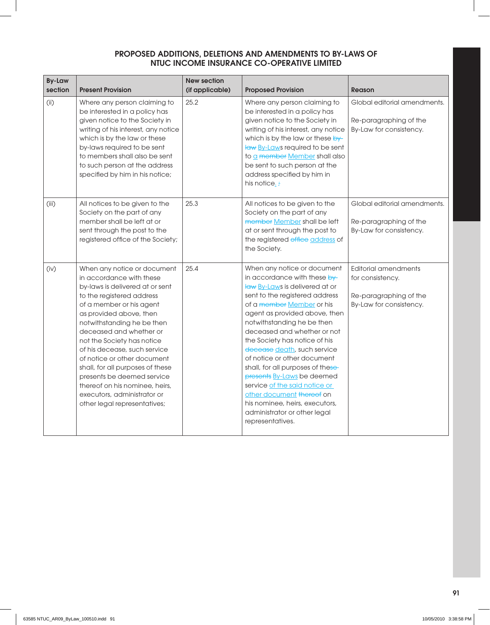| <b>By-Law</b><br>section | <b>Present Provision</b>                                                                                                                                                                                                                                                                                                                                                                                                                                                                                | <b>New section</b><br>(if applicable) | <b>Proposed Provision</b>                                                                                                                                                                                                                                                                                                                                                                                                                                                                                                                                                        | <b>Reason</b>                                                                                        |
|--------------------------|---------------------------------------------------------------------------------------------------------------------------------------------------------------------------------------------------------------------------------------------------------------------------------------------------------------------------------------------------------------------------------------------------------------------------------------------------------------------------------------------------------|---------------------------------------|----------------------------------------------------------------------------------------------------------------------------------------------------------------------------------------------------------------------------------------------------------------------------------------------------------------------------------------------------------------------------------------------------------------------------------------------------------------------------------------------------------------------------------------------------------------------------------|------------------------------------------------------------------------------------------------------|
| (i)                      | Where any person claiming to<br>be interested in a policy has<br>given notice to the Society in<br>writing of his interest, any notice<br>which is by the law or these<br>by-laws required to be sent<br>to members shall also be sent<br>to such person at the address<br>specified by him in his notice;                                                                                                                                                                                              | 25.2                                  | Where any person claiming to<br>be interested in a policy has<br>given notice to the Society in<br>writing of his interest, any notice<br>which is by the law or these by-<br>law By-Laws required to be sent<br>to a member Member shall also<br>be sent to such person at the<br>address specified by him in<br>his notice. $\frac{1}{l}$                                                                                                                                                                                                                                      | Global editorial amendments.<br>Re-paragraphing of the<br>By-Law for consistency.                    |
| (iii)                    | All notices to be given to the<br>Society on the part of any<br>member shall be left at or<br>sent through the post to the<br>registered office of the Society;                                                                                                                                                                                                                                                                                                                                         | 25.3                                  | All notices to be given to the<br>Society on the part of any<br>member Member shall be left<br>at or sent through the post to<br>the registered office address of<br>the Society.                                                                                                                                                                                                                                                                                                                                                                                                | Global editorial amendments.<br>Re-paragraphing of the<br>By-Law for consistency.                    |
| (iv)                     | When any notice or document<br>in accordance with these<br>by-laws is delivered at or sent<br>to the registered address<br>of a member or his agent<br>as provided above, then<br>notwithstanding he be then<br>deceased and whether or<br>not the Society has notice<br>of his decease, such service<br>of notice or other document<br>shall, for all purposes of these<br>presents be deemed service<br>thereof on his nominee, heirs,<br>executors, administrator or<br>other legal representatives; | 25.4                                  | When any notice or document<br>in accordance with these by-<br>law By-Laws is delivered at or<br>sent to the registered address<br>of a member Member or his<br>agent as provided above, then<br>notwithstanding he be then<br>deceased and whether or not<br>the Society has notice of his<br>decease death, such service<br>of notice or other document<br>shall, for all purposes of these-<br>presents By-Laws be deemed<br>service of the said notice or<br>other document thereof on<br>his nominee, heirs, executors,<br>administrator or other legal<br>representatives. | <b>Editorial amendments</b><br>for consistency.<br>Re-paragraphing of the<br>By-Law for consistency. |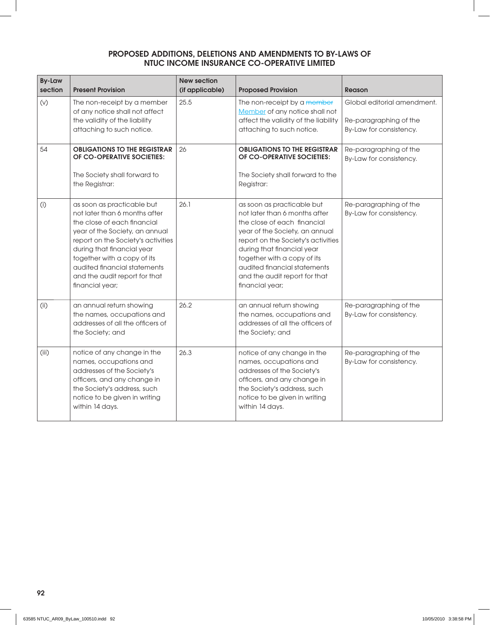| <b>By-Law</b><br>section | <b>Present Provision</b>                                                                                                                                                                                                                                                                                            | <b>New section</b><br>(if applicable) | <b>Proposed Provision</b>                                                                                                                                                                                                                                                                                           | <b>Reason</b>                                                                    |
|--------------------------|---------------------------------------------------------------------------------------------------------------------------------------------------------------------------------------------------------------------------------------------------------------------------------------------------------------------|---------------------------------------|---------------------------------------------------------------------------------------------------------------------------------------------------------------------------------------------------------------------------------------------------------------------------------------------------------------------|----------------------------------------------------------------------------------|
| $(\vee)$                 | The non-receipt by a member<br>of any notice shall not affect<br>the validity of the liability<br>attaching to such notice.                                                                                                                                                                                         | 25.5                                  | The non-receipt by a member<br>Member of any notice shall not<br>affect the validity of the liability<br>attaching to such notice.                                                                                                                                                                                  | Global editorial amendment.<br>Re-paragraphing of the<br>By-Law for consistency. |
| 54                       | <b>OBLIGATIONS TO THE REGISTRAR</b><br>OF CO-OPERATIVE SOCIETIES:<br>The Society shall forward to<br>the Registrar:                                                                                                                                                                                                 | 26                                    | <b>OBLIGATIONS TO THE REGISTRAR</b><br>OF CO-OPERATIVE SOCIETIES:<br>The Society shall forward to the<br>Registrar:                                                                                                                                                                                                 | Re-paragraphing of the<br>By-Law for consistency.                                |
| (i)                      | as soon as practicable but<br>not later than 6 months after<br>the close of each financial<br>year of the Society, an annual<br>report on the Society's activities<br>during that financial year<br>together with a copy of its<br>audited financial statements<br>and the audit report for that<br>financial year; | 26.1                                  | as soon as practicable but<br>not later than 6 months after<br>the close of each financial<br>year of the Society, an annual<br>report on the Society's activities<br>during that financial year<br>together with a copy of its<br>audited financial statements<br>and the audit report for that<br>financial year; | Re-paragraphing of the<br>By-Law for consistency.                                |
| (i)                      | an annual return showing<br>the names, occupations and<br>addresses of all the officers of<br>the Society; and                                                                                                                                                                                                      | 26.2                                  | an annual return showing<br>the names, occupations and<br>addresses of all the officers of<br>the Society; and                                                                                                                                                                                                      | Re-paragraphing of the<br>By-Law for consistency.                                |
| (iii)                    | notice of any change in the<br>names, occupations and<br>addresses of the Society's<br>officers, and any change in<br>the Society's address, such<br>notice to be given in writing<br>within 14 days.                                                                                                               | 26.3                                  | notice of any change in the<br>names, occupations and<br>addresses of the Society's<br>officers, and any change in<br>the Society's address, such<br>notice to be given in writing<br>within 14 days.                                                                                                               | Re-paragraphing of the<br>By-Law for consistency.                                |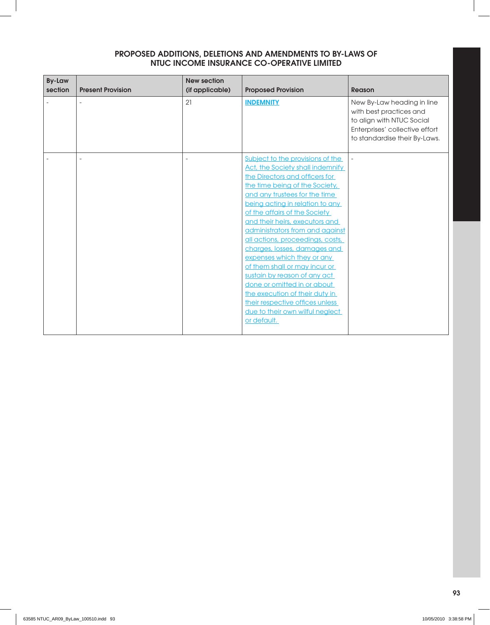| <b>By-Law</b><br>section | <b>Present Provision</b> | <b>New section</b><br>(if applicable) | <b>Proposed Provision</b>                                                                                                                                                                                                                                                                                                                                                                                                                                                                                                                                                                                                                   | <b>Reason</b>                                                                                                                                         |
|--------------------------|--------------------------|---------------------------------------|---------------------------------------------------------------------------------------------------------------------------------------------------------------------------------------------------------------------------------------------------------------------------------------------------------------------------------------------------------------------------------------------------------------------------------------------------------------------------------------------------------------------------------------------------------------------------------------------------------------------------------------------|-------------------------------------------------------------------------------------------------------------------------------------------------------|
|                          |                          | 21                                    | <b>INDEMNITY</b>                                                                                                                                                                                                                                                                                                                                                                                                                                                                                                                                                                                                                            | New By-Law heading in line<br>with best practices and<br>to align with NTUC Social<br>Enterprises' collective effort<br>to standardise their By-Laws. |
|                          |                          | $\overline{\phantom{a}}$              | Subject to the provisions of the<br>Act, the Society shall indemnify<br>the Directors and officers for<br>the time being of the Society,<br>and any trustees for the time<br>being acting in relation to any<br>of the affairs of the Society<br>and their heirs, executors and<br>administrators from and against<br>all actions, proceedings, costs,<br>charges, losses, damages and<br>expenses which they or any<br>of them shall or may incur or<br>sustain by reason of any act<br>done or omitted in or about<br>the execution of their duty in<br>their respective offices unless<br>due to their own wilful neglect<br>or default. | $\overline{a}$                                                                                                                                        |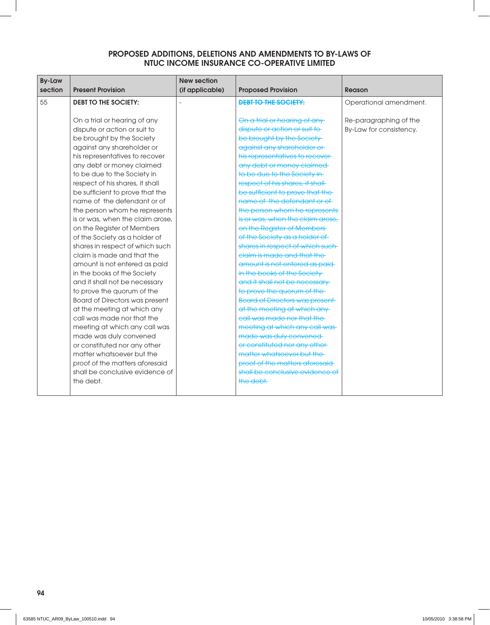| <b>By-Law</b><br>section | <b>Present Provision</b>         | <b>New section</b><br>(if applicable) | <b>Proposed Provision</b>              | Reason                  |
|--------------------------|----------------------------------|---------------------------------------|----------------------------------------|-------------------------|
| 55                       | <b>DEBT TO THE SOCIETY:</b>      |                                       | <b>DEBT TO THE SOCIETY:</b>            | Operational amendment.  |
|                          |                                  |                                       |                                        |                         |
|                          | On a trial or hearing of any     |                                       | On a trial or hearing of any-          | Re-paragraphing of the  |
|                          | dispute or action or suit to     |                                       | dispute or action or suit to           | By-Law for consistency. |
|                          | be brought by the Society        |                                       | be brought by the Society-             |                         |
|                          | against any shareholder or       |                                       | against any shareholder or             |                         |
|                          | his representatives to recover   |                                       | his representatives to recover-        |                         |
|                          | any debt or money claimed        |                                       | any debt or money claimed              |                         |
|                          | to be due to the Society in      |                                       | to be due to the Society in-           |                         |
|                          | respect of his shares, it shall  |                                       | respect of his shares, it shall-       |                         |
|                          | be sufficient to prove that the  |                                       | be sufficient to prove that the        |                         |
|                          | name of the defendant or of      |                                       | name of the defendant or of            |                         |
|                          | the person whom he represents    |                                       | the person whom he represents          |                         |
|                          | is or was, when the claim arose, |                                       | is or was, when the claim arose,       |                         |
|                          | on the Register of Members       |                                       | on the Register of Members             |                         |
|                          | of the Society as a holder of    |                                       | of the Society as a holder of          |                         |
|                          | shares in respect of which such  |                                       | shares in respect of which such-       |                         |
|                          | claim is made and that the       |                                       | elaim is made and that the             |                         |
|                          | amount is not entered as paid    |                                       | amount is not entered as paid-         |                         |
|                          | in the books of the Society      |                                       | in the books of the Society-           |                         |
|                          | and it shall not be necessary    |                                       | and it shall not be necessary-         |                         |
|                          | to prove the quorum of the       |                                       | to prove the quorum of the-            |                         |
|                          | Board of Directors was present   |                                       | <b>Board of Directors was present-</b> |                         |
|                          | at the meeting at which any      |                                       | at the meeting at which any            |                         |
|                          | call was made nor that the       |                                       | call was made nor that the             |                         |
|                          | meeting at which any call was    |                                       | meeting at which any call was-         |                         |
|                          | made was duly convened           |                                       | made was duly convened                 |                         |
|                          | or constituted nor any other     |                                       | or constituted nor any other-          |                         |
|                          | matter whatsoever but the        |                                       | matter whatsoever but the              |                         |
|                          | proof of the matters aforesaid   |                                       | proof of the matters aforesaid         |                         |
|                          | shall be conclusive evidence of  |                                       | shall be conclusive evidence of        |                         |
|                          | the debt.                        |                                       | the debt.                              |                         |
|                          |                                  |                                       |                                        |                         |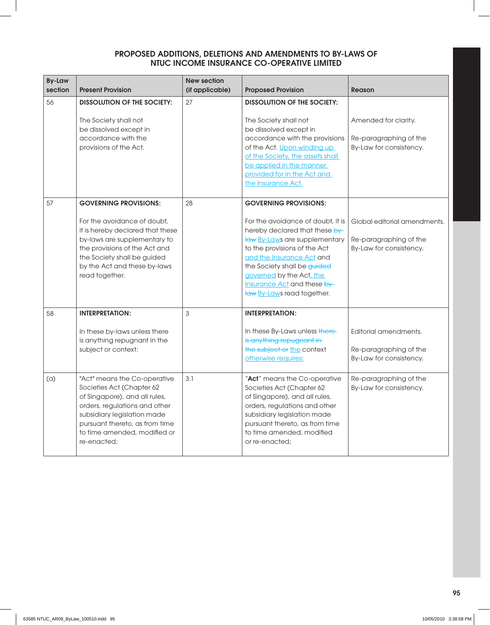| <b>By-Law</b><br>section | <b>Present Provision</b>                                                                                                                                                                                                                          | <b>New section</b><br>(if applicable) | <b>Proposed Provision</b>                                                                                                                                                                                                                                                                                                 | <b>Reason</b>                                                                     |
|--------------------------|---------------------------------------------------------------------------------------------------------------------------------------------------------------------------------------------------------------------------------------------------|---------------------------------------|---------------------------------------------------------------------------------------------------------------------------------------------------------------------------------------------------------------------------------------------------------------------------------------------------------------------------|-----------------------------------------------------------------------------------|
| 56                       | <b>DISSOLUTION OF THE SOCIETY:</b><br>The Society shall not<br>be dissolved except in<br>accordance with the<br>provisions of the Act.                                                                                                            | 27                                    | <b>DISSOLUTION OF THE SOCIETY:</b><br>The Society shall not<br>be dissolved except in<br>accordance with the provisions<br>of the Act. Upon winding up<br>of the Society, the assets shall<br>be applied in the manner<br>provided for in the Act and<br>the Insurance Act.                                               | Amended for clarity.<br>Re-paragraphing of the<br>By-Law for consistency.         |
| 57                       | <b>GOVERNING PROVISIONS:</b><br>For the avoidance of doubt,<br>it is hereby declared that these<br>by-laws are supplementary to<br>the provisions of the Act and<br>the Society shall be guided<br>by the Act and these by-laws<br>read together. | 28                                    | <b>GOVERNING PROVISIONS:</b><br>For the avoidance of doubt, it is<br>hereby declared that these by-<br>law By-Laws are supplementary<br>to the provisions of the Act<br>and the Insurance Act and<br>the Society shall be guided<br>governed by the Act, the<br>Insurance Act and these by-<br>law By-Laws read together. | Global editorial amendments.<br>Re-paragraphing of the<br>By-Law for consistency. |
| 58                       | <b>INTERPRETATION:</b><br>In these by-laws unless there<br>is anything repugnant in the<br>subject or context:                                                                                                                                    | 3                                     | <b>INTERPRETATION:</b><br>In these By-Laws unless there-<br>is anything repugnant in<br>the subject or the context<br>otherwise requires:                                                                                                                                                                                 | Editorial amendments.<br>Re-paragraphing of the<br>By-Law for consistency.        |
| (a)                      | "Act" means the Co-operative<br>Societies Act (Chapter 62<br>of Singapore), and all rules,<br>orders, regulations and other<br>subsidiary legislation made<br>pursuant thereto, as from time<br>to time amended, modified or<br>re-enacted;       | 3.1                                   | "Act" means the Co-operative<br>Societies Act (Chapter 62<br>of Singapore), and all rules,<br>orders, regulations and other<br>subsidiary legislation made<br>pursuant thereto, as from time<br>to time amended, modified<br>or re-enacted;                                                                               | Re-paragraphing of the<br>By-Law for consistency.                                 |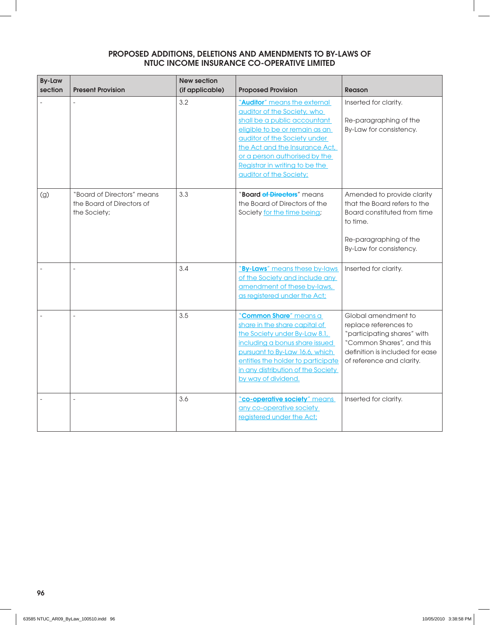| <b>By-Law</b><br>section | <b>Present Provision</b>                                                | <b>New section</b><br>(if applicable) | <b>Proposed Provision</b>                                                                                                                                                                                                                                                                     | <b>Reason</b>                                                                                                                                                            |
|--------------------------|-------------------------------------------------------------------------|---------------------------------------|-----------------------------------------------------------------------------------------------------------------------------------------------------------------------------------------------------------------------------------------------------------------------------------------------|--------------------------------------------------------------------------------------------------------------------------------------------------------------------------|
|                          |                                                                         | 3.2                                   | "Auditor" means the external<br>auditor of the Society, who<br>shall be a public accountant<br>eligible to be or remain as an<br>auditor of the Society under<br>the Act and the Insurance Act,<br>or a person authorised by the<br>Registrar in writing to be the<br>auditor of the Society; | Inserted for clarity.<br>Re-paragraphing of the<br>By-Law for consistency.                                                                                               |
| (g)                      | "Board of Directors" means<br>the Board of Directors of<br>the Society; | 3.3                                   | "Board of Directors" means<br>the Board of Directors of the<br>Society for the time being;                                                                                                                                                                                                    | Amended to provide clarity<br>that the Board refers to the<br>Board constituted from time<br>to time.<br>Re-paragraphing of the<br>By-Law for consistency.               |
|                          |                                                                         | 3.4                                   | "By-Laws" means these by-laws<br>of the Society and include any<br>amendment of these by-laws,<br>as registered under the Act;                                                                                                                                                                | Inserted for clarity.                                                                                                                                                    |
|                          |                                                                         | 3.5                                   | "Common Share" means a<br>share in the share capital of<br>the Society under By-Law 8.1,<br>including a bonus share issued<br>pursuant to By-Law 16.6, which<br>entitles the holder to participate<br>in any distribution of the Society<br>by way of dividend.                               | Global amendment to<br>replace references to<br>"participating shares" with<br>"Common Shares", and this<br>definition is included for ease<br>of reference and clarity. |
|                          |                                                                         | 3.6                                   | "co-operative society" means<br>any co-operative society<br>registered under the Act;                                                                                                                                                                                                         | Inserted for clarity.                                                                                                                                                    |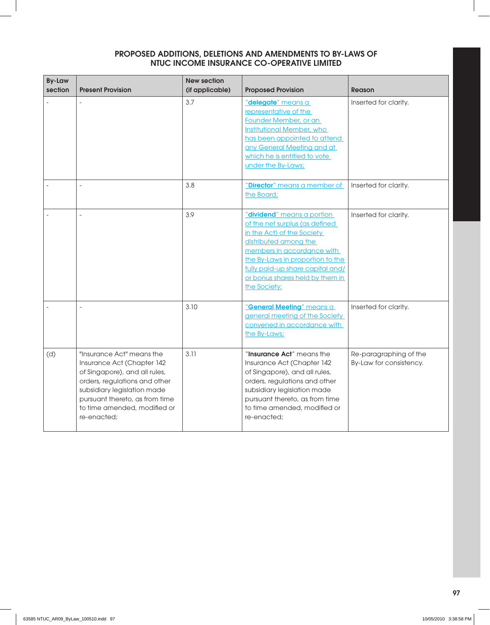| <b>By-Law</b><br>section | <b>Present Provision</b>                                                                                                                                                                                                                  | <b>New section</b><br>(if applicable) | <b>Proposed Provision</b>                                                                                                                                                                                                                                                    | <b>Reason</b>                                     |
|--------------------------|-------------------------------------------------------------------------------------------------------------------------------------------------------------------------------------------------------------------------------------------|---------------------------------------|------------------------------------------------------------------------------------------------------------------------------------------------------------------------------------------------------------------------------------------------------------------------------|---------------------------------------------------|
|                          |                                                                                                                                                                                                                                           | 3.7                                   | "delegate" means a<br>representative of the<br>Founder Member, or an<br><b>Institutional Member, who</b><br>has been appointed to attend<br>any General Meeting and at<br>which he is entitled to vote<br>under the By-Laws;                                                 | Inserted for clarity.                             |
|                          | $\overline{a}$                                                                                                                                                                                                                            | 3.8                                   | "Director" means a member of<br>the Board;                                                                                                                                                                                                                                   | Inserted for clarity.                             |
|                          |                                                                                                                                                                                                                                           | 3.9                                   | "dividend" means a portion<br>of the net surplus (as defined<br>in the Act) of the Society<br>distributed among the<br>members in accordance with<br>the By-Laws in proportion to the<br>fully paid-up share capital and/<br>or bonus shares held by them in<br>the Society; | Inserted for clarity.                             |
|                          |                                                                                                                                                                                                                                           | 3.10                                  | "General Meeting" means a<br>general meeting of the Society<br>convened in accordance with<br>the By-Laws;                                                                                                                                                                   | Inserted for clarity.                             |
| (d)                      | "Insurance Act" means the<br>Insurance Act (Chapter 142<br>of Singapore), and all rules,<br>orders, regulations and other<br>subsidiary legislation made<br>pursuant thereto, as from time<br>to time amended, modified or<br>re-enacted; | 3.11                                  | "Insurance Act" means the<br>Insurance Act (Chapter 142<br>of Singapore), and all rules,<br>orders, regulations and other<br>subsidiary legislation made<br>pursuant thereto, as from time<br>to time amended, modified or<br>re-enacted;                                    | Re-paragraphing of the<br>By-Law for consistency. |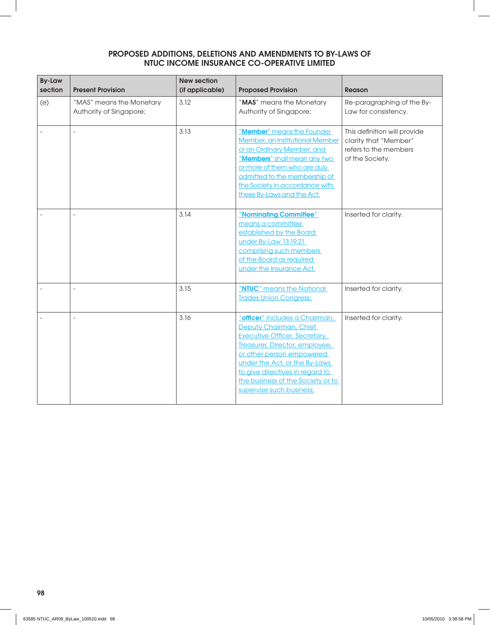| <b>By-Law</b><br>section | <b>Present Provision</b>                            | <b>New section</b><br>(if applicable) | <b>Proposed Provision</b>                                                                                                                                                                                                                                                                     | <b>Reason</b>                                                                                     |
|--------------------------|-----------------------------------------------------|---------------------------------------|-----------------------------------------------------------------------------------------------------------------------------------------------------------------------------------------------------------------------------------------------------------------------------------------------|---------------------------------------------------------------------------------------------------|
| (e)                      | "MAS" means the Monetary<br>Authority of Singapore; | 3.12                                  | "MAS" means the Monetary<br>Authority of Singapore;                                                                                                                                                                                                                                           | Re-paragraphing of the By-<br>Law for consistency.                                                |
|                          |                                                     | 3.13                                  | "Member" means the Founder<br>Member, an Institutional Member<br>or an Ordinary Member, and<br>"Members" shall mean any two<br>or more of them who are duly<br>admitted to the membership of<br>the Society in accordance with<br>these By-Laws and the Act;                                  | This definition will provide<br>clarity that "Member"<br>refers to the members<br>of the Society. |
|                          |                                                     | 3.14                                  | "Nominating Committee"<br>means a committee<br>established by the Board<br>under By-Law 13.19.21<br>comprising such members<br>of the Board as required<br>under the Insurance Act.                                                                                                           | Inserted for clarity.                                                                             |
|                          |                                                     | 3.15                                  | "NTUC" means the National<br><b>Trades Union Congress;</b>                                                                                                                                                                                                                                    | Inserted for clarity.                                                                             |
|                          |                                                     | 3.16                                  | "officer" includes a Chairman,<br>Deputy Chairman, Chief<br>Executive Officer, Secretary,<br>Treasurer, Director, employee,<br>or other person empowered<br>under the Act, or the By-Laws<br>to give directives in regard to<br>the business of the Society or to<br>supervise such business; | Inserted for clarity.                                                                             |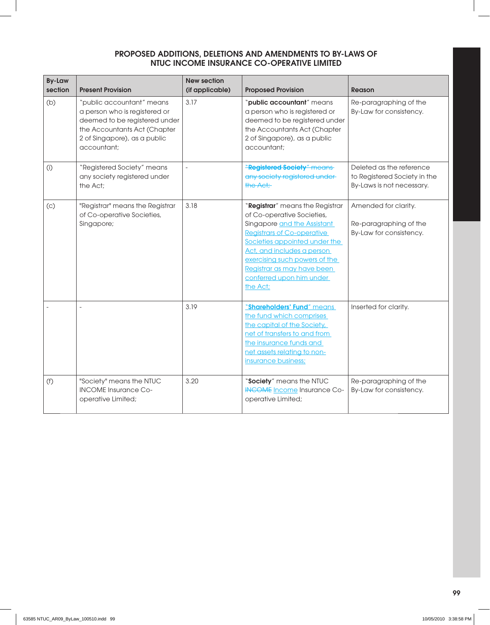| <b>By-Law</b><br>section | <b>Present Provision</b>                                                                                                                                                   | <b>New section</b><br>(if applicable) | <b>Proposed Provision</b>                                                                                                                                                                                                                                                                               | <b>Reason</b>                                                                         |
|--------------------------|----------------------------------------------------------------------------------------------------------------------------------------------------------------------------|---------------------------------------|---------------------------------------------------------------------------------------------------------------------------------------------------------------------------------------------------------------------------------------------------------------------------------------------------------|---------------------------------------------------------------------------------------|
| (b)                      | "public accountant" means<br>a person who is registered or<br>deemed to be registered under<br>the Accountants Act (Chapter<br>2 of Singapore), as a public<br>accountant; | 3.17                                  | "public accountant" means<br>a person who is registered or<br>deemed to be registered under<br>the Accountants Act (Chapter<br>2 of Singapore), as a public<br>accountant;                                                                                                                              | Re-paragraphing of the<br>By-Law for consistency.                                     |
| (i)                      | "Registered Society" means<br>any society registered under<br>the Act;                                                                                                     | $\overline{a}$                        | "Registered Society" means<br>any society registered under-<br>the Act;                                                                                                                                                                                                                                 | Deleted as the reference<br>to Registered Society in the<br>By-Laws is not necessary. |
| (c)                      | "Registrar" means the Registrar<br>of Co-operative Societies,<br>Singapore;                                                                                                | 3.18                                  | "Registrar" means the Registrar<br>of Co-operative Societies,<br>Singapore and the Assistant<br><b>Registrars of Co-operative</b><br>Societies appointed under the<br>Act, and includes a person<br>exercising such powers of the<br>Registrar as may have been<br>conferred upon him under<br>the Act; | Amended for clarity.<br>Re-paragraphing of the<br>By-Law for consistency.             |
|                          | $\overline{a}$                                                                                                                                                             | 3.19                                  | "Shareholders' Fund" means<br>the fund which comprises<br>the capital of the Society,<br>net of transfers to and from<br>the insurance funds and<br>net assets relating to non-<br>insurance business;                                                                                                  | Inserted for clarity.                                                                 |
| (f)                      | "Society" means the NTUC<br><b>INCOME</b> Insurance Co-<br>operative Limited;                                                                                              | 3.20                                  | "Society" means the NTUC<br><b>INCOME</b> Income Insurance Co-<br>operative Limited;                                                                                                                                                                                                                    | Re-paragraphing of the<br>By-Law for consistency.                                     |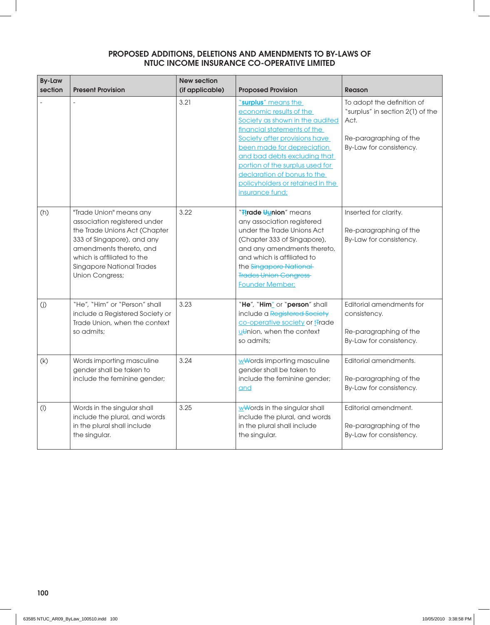| <b>By-Law</b><br>section | <b>Present Provision</b>                                                                                                                                                                                                               | <b>New section</b><br>(if applicable) | <b>Proposed Provision</b>                                                                                                                                                                                                                                                                                                                | <b>Reason</b>                                                                                                               |
|--------------------------|----------------------------------------------------------------------------------------------------------------------------------------------------------------------------------------------------------------------------------------|---------------------------------------|------------------------------------------------------------------------------------------------------------------------------------------------------------------------------------------------------------------------------------------------------------------------------------------------------------------------------------------|-----------------------------------------------------------------------------------------------------------------------------|
|                          |                                                                                                                                                                                                                                        | 3.21                                  | "surplus" means the<br>economic results of the<br>Society as shown in the audited<br>financial statements of the<br>Society after provisions have<br>been made for depreciation<br>and bad debts excluding that<br>portion of the surplus used for<br>declaration of bonus to the<br>policyholders or retained in the<br>insurance fund; | To adopt the definition of<br>"surplus" in section 2(1) of the<br>Act.<br>Re-paragraphing of the<br>By-Law for consistency. |
| (h)                      | "Trade Union" means any<br>association registered under<br>the Trade Unions Act (Chapter<br>333 of Singapore), and any<br>amendments thereto, and<br>which is affiliated to the<br><b>Singapore National Trades</b><br>Union Congress; | 3.22                                  | " <del>T</del> trade <del>U</del> union" means<br>any association registered<br>under the Trade Unions Act<br>(Chapter 333 of Singapore),<br>and any amendments thereto,<br>and which is affiliated to<br>the Singapore National<br><b>Trades Union Congress</b><br><b>Founder Member:</b>                                               | Inserted for clarity.<br>Re-paragraphing of the<br>By-Law for consistency.                                                  |
| (j)                      | "He", "Him" or "Person" shall<br>include a Registered Society or<br>Trade Union, when the context<br>so admits:                                                                                                                        | 3.23                                  | "He", "Him" or "person" shall<br>include a Registered Society<br>co-operative society or t <sub>rade</sub><br>utthion, when the context<br>so admits:                                                                                                                                                                                    | Editorial amendments for<br>consistency.<br>Re-paragraphing of the<br>By-Law for consistency.                               |
| (k)                      | Words importing masculine<br>gender shall be taken to<br>include the feminine gender;                                                                                                                                                  | 3.24                                  | wwords importing masculine<br>gender shall be taken to<br>include the feminine gender;<br>and                                                                                                                                                                                                                                            | Editorial amendments.<br>Re-paragraphing of the<br>By-Law for consistency.                                                  |
| $($ l $)$                | Words in the singular shall<br>include the plural, and words<br>in the plural shall include<br>the singular.                                                                                                                           | 3.25                                  | wwords in the singular shall<br>include the plural, and words<br>in the plural shall include<br>the singular.                                                                                                                                                                                                                            | Editorial amendment.<br>Re-paragraphing of the<br>By-Law for consistency.                                                   |